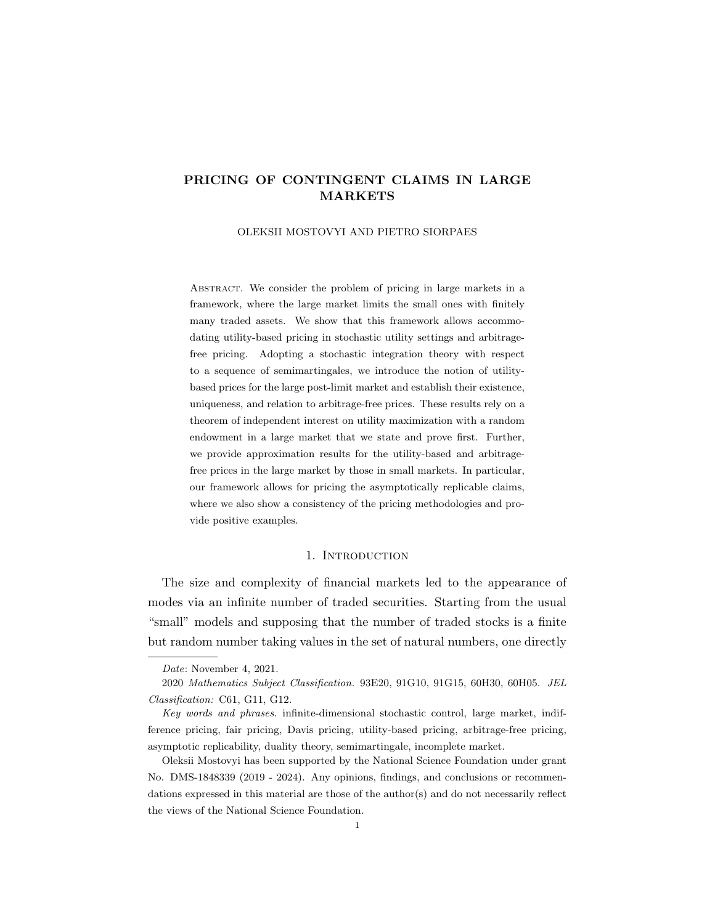## PRICING OF CONTINGENT CLAIMS IN LARGE MARKETS

OLEKSII MOSTOVYI AND PIETRO SIORPAES

ABSTRACT. We consider the problem of pricing in large markets in a framework, where the large market limits the small ones with finitely many traded assets. We show that this framework allows accommodating utility-based pricing in stochastic utility settings and arbitragefree pricing. Adopting a stochastic integration theory with respect to a sequence of semimartingales, we introduce the notion of utilitybased prices for the large post-limit market and establish their existence, uniqueness, and relation to arbitrage-free prices. These results rely on a theorem of independent interest on utility maximization with a random endowment in a large market that we state and prove first. Further, we provide approximation results for the utility-based and arbitragefree prices in the large market by those in small markets. In particular, our framework allows for pricing the asymptotically replicable claims, where we also show a consistency of the pricing methodologies and provide positive examples.

#### 1. Introduction

The size and complexity of financial markets led to the appearance of modes via an infinite number of traded securities. Starting from the usual "small" models and supposing that the number of traded stocks is a finite but random number taking values in the set of natural numbers, one directly

Date: November 4, 2021.

2020 Mathematics Subject Classification. 93E20, 91G10, 91G15, 60H30, 60H05. JEL Classification: C61, G11, G12.

Key words and phrases. infinite-dimensional stochastic control, large market, indifference pricing, fair pricing, Davis pricing, utility-based pricing, arbitrage-free pricing, asymptotic replicability, duality theory, semimartingale, incomplete market.

Oleksii Mostovyi has been supported by the National Science Foundation under grant No. DMS-1848339 (2019 - 2024). Any opinions, findings, and conclusions or recommendations expressed in this material are those of the author(s) and do not necessarily reflect the views of the National Science Foundation.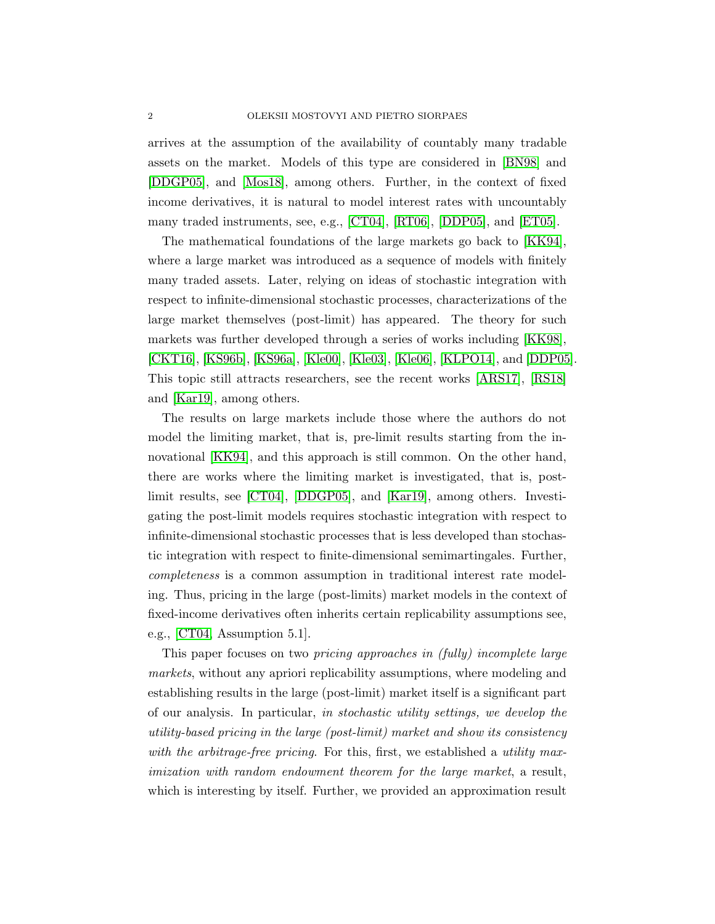arrives at the assumption of the availability of countably many tradable assets on the market. Models of this type are considered in [\[BN98\]](#page-41-0) and [\[DDGP05\]](#page-41-1), and [\[Mos18\]](#page-43-0), among others. Further, in the context of fixed income derivatives, it is natural to model interest rates with uncountably many traded instruments, see, e.g., [\[CT04\]](#page-41-2), [\[RT06\]](#page-43-1), [\[DDP05\]](#page-41-3), and [\[ET05\]](#page-42-0).

The mathematical foundations of the large markets go back to [\[KK94\]](#page-42-1), where a large market was introduced as a sequence of models with finitely many traded assets. Later, relying on ideas of stochastic integration with respect to infinite-dimensional stochastic processes, characterizations of the large market themselves (post-limit) has appeared. The theory for such markets was further developed through a series of works including [\[KK98\]](#page-42-2), [\[CKT16\]](#page-41-4), [\[KS96b\]](#page-42-3), [\[KS96a\]](#page-42-4), [\[Kle00\]](#page-42-5), [\[Kle03\]](#page-42-6), [\[Kle06\]](#page-42-7), [\[KLPO14\]](#page-42-8), and [\[DDP05\]](#page-41-3). This topic still attracts researchers, see the recent works [\[ARS17\]](#page-41-5), [\[RS18\]](#page-43-2) and [\[Kar19\]](#page-42-9), among others.

The results on large markets include those where the authors do not model the limiting market, that is, pre-limit results starting from the innovational [\[KK94\]](#page-42-1), and this approach is still common. On the other hand, there are works where the limiting market is investigated, that is, postlimit results, see [\[CT04\]](#page-41-2), [\[DDGP05\]](#page-41-1), and [\[Kar19\]](#page-42-9), among others. Investigating the post-limit models requires stochastic integration with respect to infinite-dimensional stochastic processes that is less developed than stochastic integration with respect to finite-dimensional semimartingales. Further, completeness is a common assumption in traditional interest rate modeling. Thus, pricing in the large (post-limits) market models in the context of fixed-income derivatives often inherits certain replicability assumptions see, e.g., [\[CT04,](#page-41-2) Assumption 5.1].

This paper focuses on two pricing approaches in (fully) incomplete large markets, without any apriori replicability assumptions, where modeling and establishing results in the large (post-limit) market itself is a significant part of our analysis. In particular, in stochastic utility settings, we develop the utility-based pricing in the large (post-limit) market and show its consistency with the arbitrage-free pricing. For this, first, we established a *utility max*imization with random endowment theorem for the large market, a result, which is interesting by itself. Further, we provided an approximation result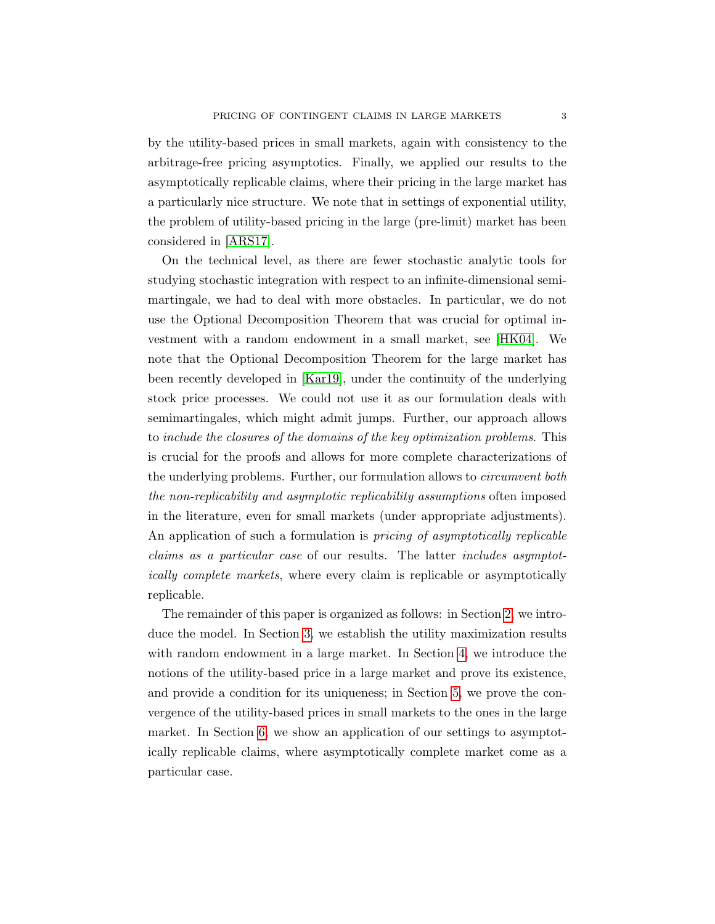by the utility-based prices in small markets, again with consistency to the arbitrage-free pricing asymptotics. Finally, we applied our results to the asymptotically replicable claims, where their pricing in the large market has a particularly nice structure. We note that in settings of exponential utility, the problem of utility-based pricing in the large (pre-limit) market has been considered in [\[ARS17\]](#page-41-5).

On the technical level, as there are fewer stochastic analytic tools for studying stochastic integration with respect to an infinite-dimensional semimartingale, we had to deal with more obstacles. In particular, we do not use the Optional Decomposition Theorem that was crucial for optimal investment with a random endowment in a small market, see [\[HK04\]](#page-42-10). We note that the Optional Decomposition Theorem for the large market has been recently developed in [\[Kar19\]](#page-42-9), under the continuity of the underlying stock price processes. We could not use it as our formulation deals with semimartingales, which might admit jumps. Further, our approach allows to include the closures of the domains of the key optimization problems. This is crucial for the proofs and allows for more complete characterizations of the underlying problems. Further, our formulation allows to circumvent both the non-replicability and asymptotic replicability assumptions often imposed in the literature, even for small markets (under appropriate adjustments). An application of such a formulation is *pricing of asymptotically replicable* claims as a particular case of our results. The latter includes asymptotically complete markets, where every claim is replicable or asymptotically replicable.

The remainder of this paper is organized as follows: in Section [2,](#page-3-0) we introduce the model. In Section [3,](#page-9-0) we establish the utility maximization results with random endowment in a large market. In Section [4,](#page-16-0) we introduce the notions of the utility-based price in a large market and prove its existence, and provide a condition for its uniqueness; in Section [5,](#page-20-0) we prove the convergence of the utility-based prices in small markets to the ones in the large market. In Section [6,](#page-36-0) we show an application of our settings to asymptotically replicable claims, where asymptotically complete market come as a particular case.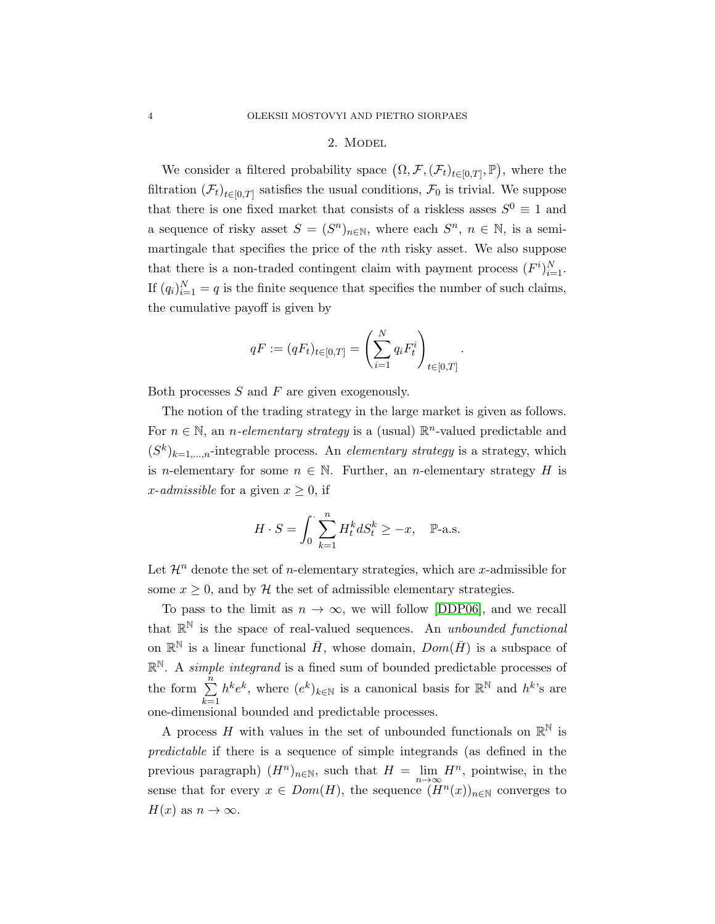## 2. Model

<span id="page-3-0"></span>We consider a filtered probability space  $(\Omega, \mathcal{F}, (\mathcal{F}_t)_{t \in [0,T]}, \mathbb{P})$ , where the filtration  $(\mathcal{F}_t)_{t \in [0,T]}$  satisfies the usual conditions,  $\mathcal{F}_0$  is trivial. We suppose that there is one fixed market that consists of a riskless asses  $S^0 \equiv 1$  and a sequence of risky asset  $S = (S^n)_{n \in \mathbb{N}}$ , where each  $S^n$ ,  $n \in \mathbb{N}$ , is a semimartingale that specifies the price of the nth risky asset. We also suppose that there is a non-traded contingent claim with payment process  $(F^i)_{i=1}^N$ . If  $(q_i)_{i=1}^N = q$  is the finite sequence that specifies the number of such claims, the cumulative payoff is given by

$$
qF := (qF_t)_{t \in [0,T]} = \left(\sum_{i=1}^N q_i F_t^i\right)_{t \in [0,T]}.
$$

Both processes  $S$  and  $F$  are given exogenously.

The notion of the trading strategy in the large market is given as follows. For  $n \in \mathbb{N}$ , an *n*-elementary strategy is a (usual)  $\mathbb{R}^n$ -valued predictable and  $(S<sup>k</sup>)<sub>k=1,...,n</sub>$ -integrable process. An *elementary strategy* is a strategy, which is n-elementary for some  $n \in \mathbb{N}$ . Further, an n-elementary strategy H is x-admissible for a given  $x \geq 0$ , if

$$
H \cdot S = \int_0^{\cdot} \sum_{k=1}^n H_t^k dS_t^k \ge -x, \quad \mathbb{P}\text{-a.s.}
$$

Let  $\mathcal{H}^n$  denote the set of *n*-elementary strategies, which are *x*-admissible for some  $x \geq 0$ , and by H the set of admissible elementary strategies.

To pass to the limit as  $n \to \infty$ , we will follow [\[DDP06\]](#page-42-11), and we recall that  $\mathbb{R}^{\mathbb{N}}$  is the space of real-valued sequences. An unbounded functional on  $\mathbb{R}^{\mathbb{N}}$  is a linear functional  $\bar{H}$ , whose domain,  $Dom(\bar{H})$  is a subspace of  $\mathbb{R}^{\mathbb{N}}$ . A *simple integrand* is a fined sum of bounded predictable processes of the form  $\sum_{n=1}^{\infty}$  $k=1$  $h^k e^k$ , where  $(e^k)_{k \in \mathbb{N}}$  is a canonical basis for  $\mathbb{R}^{\mathbb{N}}$  and  $h^k$ 's are one-dimensional bounded and predictable processes.

A process H with values in the set of unbounded functionals on  $\mathbb{R}^{\mathbb{N}}$  is predictable if there is a sequence of simple integrands (as defined in the previous paragraph)  $(H^n)_{n\in\mathbb{N}}$ , such that  $H = \lim_{n\to\infty} H^n$ , pointwise, in the sense that for every  $x \in Dom(H)$ , the sequence  $(H^n(x))_{n\in\mathbb{N}}$  converges to  $H(x)$  as  $n \to \infty$ .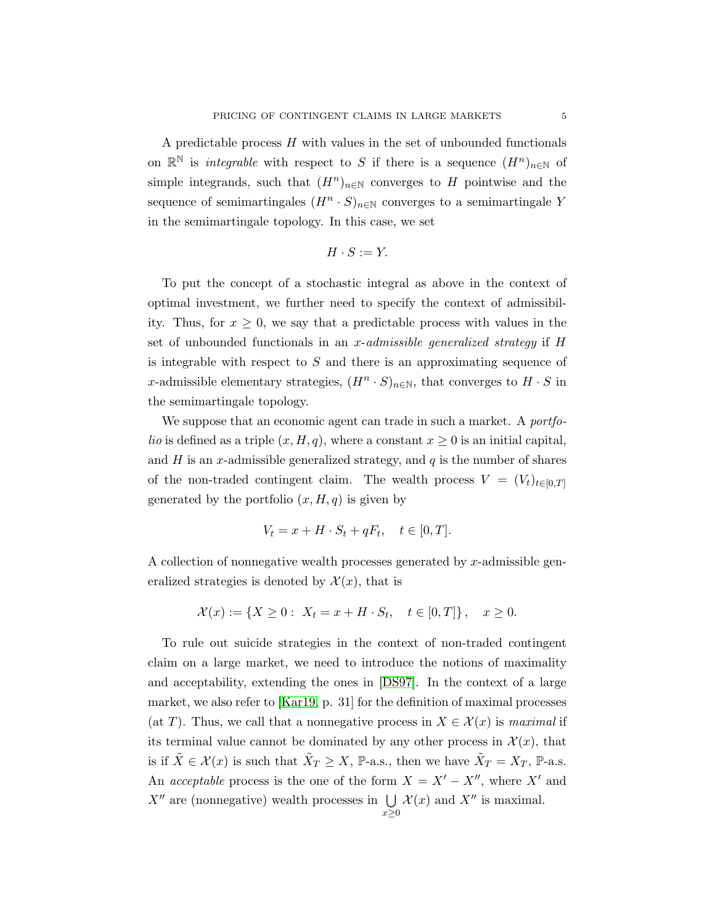A predictable process  $H$  with values in the set of unbounded functionals on  $\mathbb{R}^{\mathbb{N}}$  is *integrable* with respect to S if there is a sequence  $(H^n)_{n\in\mathbb{N}}$  of simple integrands, such that  $(H^n)_{n\in\mathbb{N}}$  converges to H pointwise and the sequence of semimartingales  $(H^n \cdot S)_{n \in \mathbb{N}}$  converges to a semimartingale Y in the semimartingale topology. In this case, we set

$$
H \cdot S := Y.
$$

To put the concept of a stochastic integral as above in the context of optimal investment, we further need to specify the context of admissibility. Thus, for  $x \geq 0$ , we say that a predictable process with values in the set of unbounded functionals in an x-admissible generalized strategy if  $H$ is integrable with respect to  $S$  and there is an approximating sequence of x-admissible elementary strategies,  $(H^n \cdot S)_{n \in \mathbb{N}}$ , that converges to  $H \cdot S$  in the semimartingale topology.

We suppose that an economic agent can trade in such a market. A *portfolio* is defined as a triple  $(x, H, q)$ , where a constant  $x \geq 0$  is an initial capital, and  $H$  is an x-admissible generalized strategy, and  $q$  is the number of shares of the non-traded contingent claim. The wealth process  $V = (V_t)_{t \in [0,T]}$ generated by the portfolio  $(x, H, q)$  is given by

$$
V_t = x + H \cdot S_t + qF_t, \quad t \in [0, T].
$$

A collection of nonnegative wealth processes generated by x-admissible generalized strategies is denoted by  $\mathcal{X}(x)$ , that is

$$
\mathcal{X}(x) := \{ X \ge 0 : \ X_t = x + H \cdot S_t, \quad t \in [0, T] \}, \quad x \ge 0.
$$

To rule out suicide strategies in the context of non-traded contingent claim on a large market, we need to introduce the notions of maximality and acceptability, extending the ones in [\[DS97\]](#page-42-12). In the context of a large market, we also refer to [\[Kar19,](#page-42-9) p. 31] for the definition of maximal processes (at T). Thus, we call that a nonnegative process in  $X \in \mathcal{X}(x)$  is maximal if its terminal value cannot be dominated by any other process in  $\mathcal{X}(x)$ , that is if  $\tilde{X} \in \mathcal{X}(x)$  is such that  $\tilde{X}_T \geq X$ ,  $\mathbb{P}\text{-a.s.}$ , then we have  $\tilde{X}_T = X_T$ ,  $\mathbb{P}\text{-a.s.}$ An *acceptable* process is the one of the form  $X = X' - X''$ , where X' and  $X''$  are (nonnegative) wealth processes in  $\bigcup \mathcal{X}(x)$  and  $X''$  is maximal.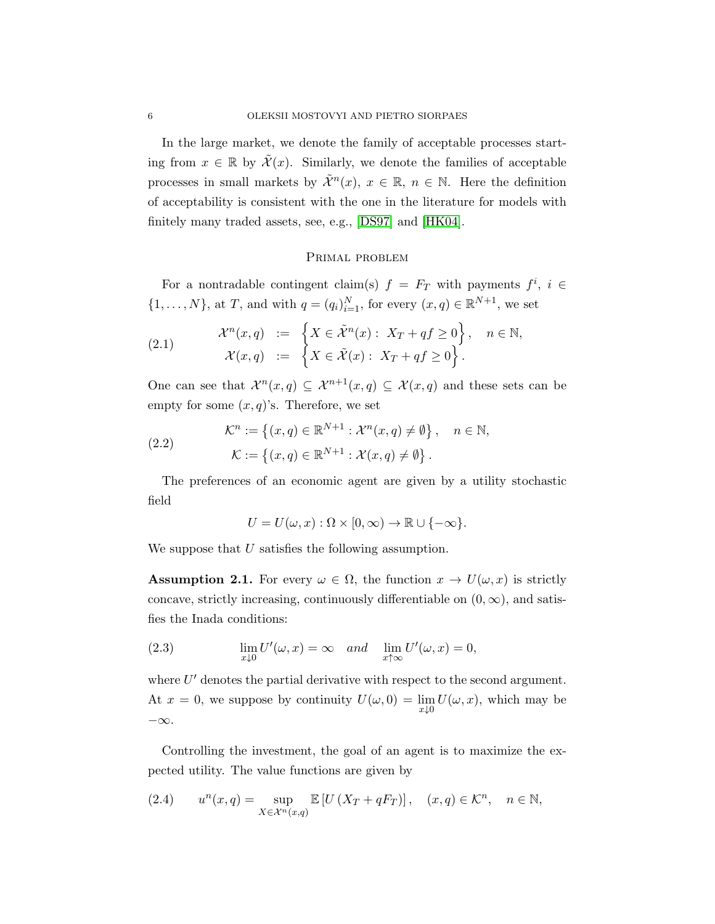In the large market, we denote the family of acceptable processes starting from  $x \in \mathbb{R}$  by  $\mathcal{X}(x)$ . Similarly, we denote the families of acceptable processes in small markets by  $\tilde{\mathcal{X}}^n(x)$ ,  $x \in \mathbb{R}$ ,  $n \in \mathbb{N}$ . Here the definition of acceptability is consistent with the one in the literature for models with finitely many traded assets, see, e.g., [\[DS97\]](#page-42-12) and [\[HK04\]](#page-42-10).

### Primal problem

For a nontradable contingent claim(s)  $f = F_T$  with payments  $f^i$ ,  $i \in$  $\{1,\ldots,N\}$ , at T, and with  $q=(q_i)_{i=1}^N$ , for every  $(x,q) \in \mathbb{R}^{N+1}$ , we set

(2.1) 
$$
\mathcal{X}^n(x,q) := \left\{ X \in \tilde{\mathcal{X}}^n(x) : X_T + qf \ge 0 \right\}, \quad n \in \mathbb{N},
$$

$$
\mathcal{X}(x,q) := \left\{ X \in \tilde{\mathcal{X}}(x) : X_T + qf \ge 0 \right\}.
$$

One can see that  $\mathcal{X}^n(x,q) \subseteq \mathcal{X}^{n+1}(x,q) \subseteq \mathcal{X}(x,q)$  and these sets can be empty for some  $(x, q)$ 's. Therefore, we set

(2.2) 
$$
\mathcal{K}^n := \left\{ (x, q) \in \mathbb{R}^{N+1} : \mathcal{X}^n(x, q) \neq \emptyset \right\}, \quad n \in \mathbb{N},
$$

$$
\mathcal{K} := \left\{ (x, q) \in \mathbb{R}^{N+1} : \mathcal{X}(x, q) \neq \emptyset \right\}.
$$

The preferences of an economic agent are given by a utility stochastic field

$$
U = U(\omega, x) : \Omega \times [0, \infty) \to \mathbb{R} \cup \{-\infty\}.
$$

We suppose that U satisfies the following assumption.

<span id="page-5-1"></span>**Assumption 2.1.** For every  $\omega \in \Omega$ , the function  $x \to U(\omega, x)$  is strictly concave, strictly increasing, continuously differentiable on  $(0, \infty)$ , and satisfies the Inada conditions:

(2.3) 
$$
\lim_{x \downarrow 0} U'(\omega, x) = \infty \quad and \quad \lim_{x \uparrow \infty} U'(\omega, x) = 0,
$$

where  $U'$  denotes the partial derivative with respect to the second argument. At  $x = 0$ , we suppose by continuity  $U(\omega, 0) = \lim_{x \downarrow 0} U(\omega, x)$ , which may be −∞.

Controlling the investment, the goal of an agent is to maximize the expected utility. The value functions are given by

<span id="page-5-0"></span>(2.4) 
$$
u^{n}(x, q) = \sup_{X \in \mathcal{X}^{n}(x, q)} \mathbb{E}\left[U\left(X_{T} + qF_{T}\right)\right], \quad (x, q) \in \mathcal{K}^{n}, \quad n \in \mathbb{N},
$$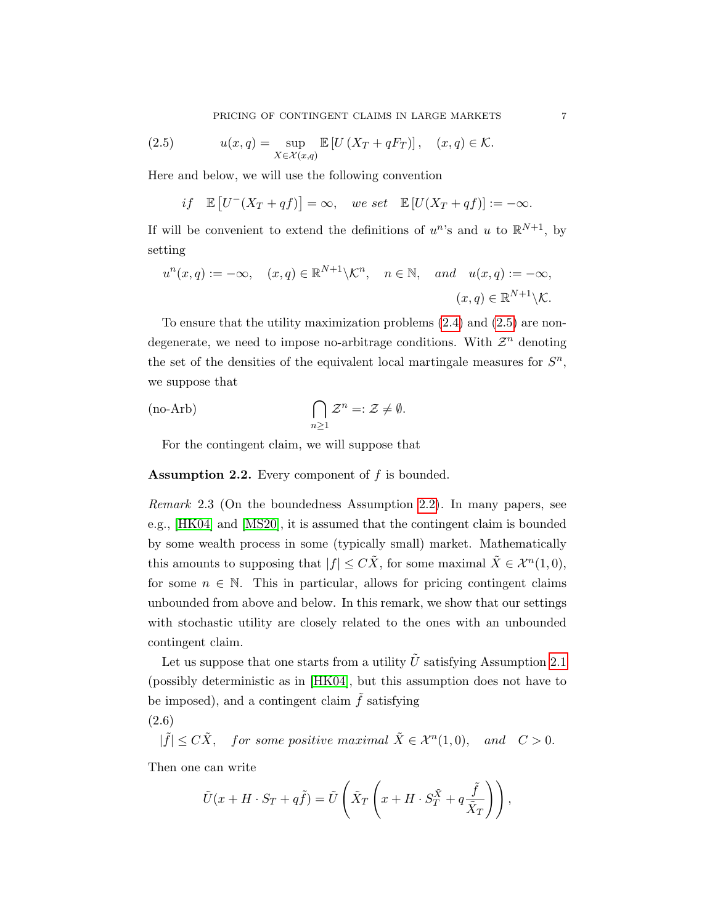<span id="page-6-0"></span>PRICING OF CONTINGENT CLAIMS IN LARGE MARKETS  $\hspace{2cm} 7$ 

(2.5) 
$$
u(x,q) = \sup_{X \in \mathcal{X}(x,q)} \mathbb{E}\left[U\left(X_T + qF_T\right)\right], \quad (x,q) \in \mathcal{K}.
$$

Here and below, we will use the following convention

<span id="page-6-2"></span>if  $\mathbb{E}\left[U^-(X_T+qf)\right]=\infty$ , we set  $\mathbb{E}\left[U(X_T+qf)\right]:=-\infty$ .

If will be convenient to extend the definitions of  $u^n$ 's and u to  $\mathbb{R}^{N+1}$ , by setting

$$
u^{n}(x,q) := -\infty, \quad (x,q) \in \mathbb{R}^{N+1} \backslash \mathcal{K}^{n}, \quad n \in \mathbb{N}, \quad and \quad u(x,q) := -\infty,
$$

$$
(x,q) \in \mathbb{R}^{N+1} \backslash \mathcal{K}.
$$

To ensure that the utility maximization problems [\(2.4\)](#page-5-0) and [\(2.5\)](#page-6-0) are nondegenerate, we need to impose no-arbitrage conditions. With  $\mathcal{Z}^n$  denoting the set of the densities of the equivalent local martingale measures for  $S<sup>n</sup>$ , we suppose that

<span id="page-6-3"></span>(no-Arb) 
$$
\bigcap_{n\geq 1} \mathcal{Z}^n =: \mathcal{Z} \neq \emptyset.
$$

For the contingent claim, we will suppose that

<span id="page-6-1"></span>**Assumption 2.2.** Every component of  $f$  is bounded.

Remark 2.3 (On the boundedness Assumption [2.2\)](#page-6-1). In many papers, see e.g., [\[HK04\]](#page-42-10) and [\[MS20\]](#page-43-3), it is assumed that the contingent claim is bounded by some wealth process in some (typically small) market. Mathematically this amounts to supposing that  $|f| \leq C\tilde{X}$ , for some maximal  $\tilde{X} \in \mathcal{X}^n(1,0)$ , for some  $n \in \mathbb{N}$ . This in particular, allows for pricing contingent claims unbounded from above and below. In this remark, we show that our settings with stochastic utility are closely related to the ones with an unbounded contingent claim.

Let us suppose that one starts from a utility  $\tilde{U}$  satisfying Assumption [2.1](#page-5-1) (possibly deterministic as in [\[HK04\]](#page-42-10), but this assumption does not have to be imposed), and a contingent claim  $\tilde{f}$  satisfying

(2.6)

$$
|\tilde{f}| \le C\tilde{X}, \quad \text{for some positive maximal } \tilde{X} \in \mathcal{X}^n(1,0), \quad \text{and} \quad C > 0.
$$

Then one can write

$$
\tilde{U}(x+H\cdot S_T+q\tilde{f})=\tilde{U}\left(\tilde{X}_T\left(x+H\cdot S_T^{\tilde{X}}+q\frac{\tilde{f}}{\tilde{X}_T}\right)\right),\,
$$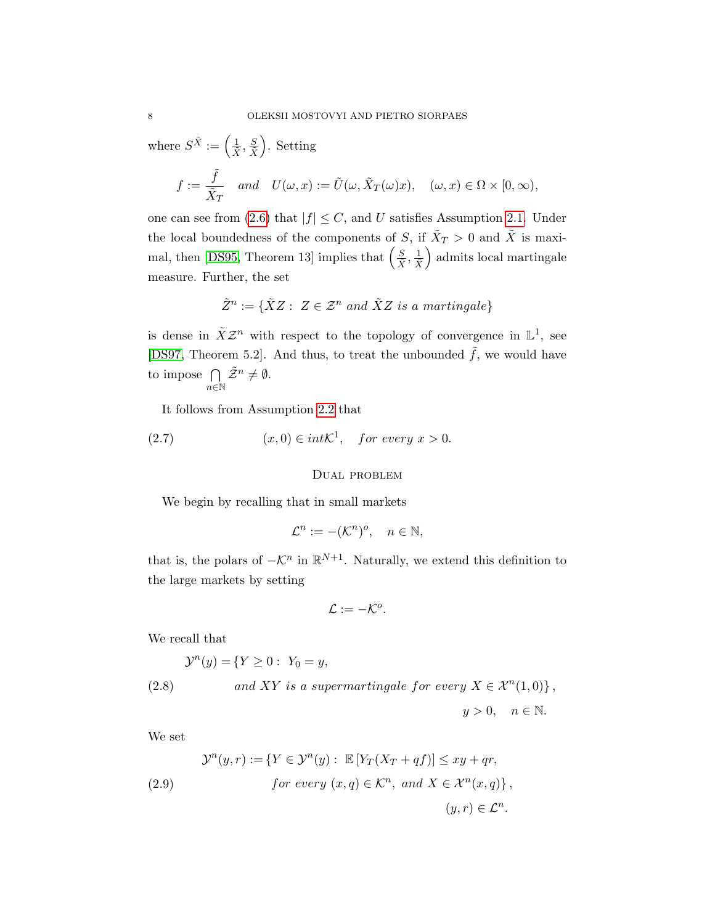where  $S^{\tilde{X}} := \left(\frac{1}{\tilde{X}}, \frac{S}{\tilde{X}}\right)$ . Setting

$$
f:=\frac{\tilde f}{\tilde X_T} \quad and \quad U(\omega,x):=\tilde U(\omega,\tilde X_T(\omega)x), \quad (\omega,x)\in \Omega\times[0,\infty),
$$

one can see from [\(2.6\)](#page-6-2) that  $|f| \leq C$ , and U satisfies Assumption [2.1.](#page-5-1) Under the local boundedness of the components of S, if  $\tilde{X}_T > 0$  and  $\tilde{X}$  is maxi-mal, then [\[DS95,](#page-42-13) Theorem 13] implies that  $\left(\frac{S}{\tilde{X}}, \frac{1}{\tilde{X}}\right)$  admits local martingale measure. Further, the set

$$
\tilde{Z}^n := \{ \tilde{X}Z : Z \in \mathcal{Z}^n \text{ and } \tilde{X}Z \text{ is a martingale} \}
$$

is dense in  $\tilde{X} \mathcal{Z}^n$  with respect to the topology of convergence in  $\mathbb{L}^1$ , see [\[DS97,](#page-42-12) Theorem 5.2]. And thus, to treat the unbounded  $\tilde{f}$ , we would have to impose  $\bigcap$  $n\in\mathbb{N}$  $\tilde{Z}^n\neq \emptyset.$ 

It follows from Assumption [2.2](#page-6-1) that

(2.7) 
$$
(x,0) \in int\mathcal{K}^1
$$
, for every  $x > 0$ .

## Dual problem

We begin by recalling that in small markets

$$
\mathcal{L}^n := -(\mathcal{K}^n)^o, \quad n \in \mathbb{N},
$$

that is, the polars of  $-\mathcal{K}^n$  in  $\mathbb{R}^{N+1}$ . Naturally, we extend this definition to the large markets by setting

$$
\mathcal{L}:=-\mathcal{K}^o.
$$

We recall that

(2.8) 
$$
\mathcal{Y}^{n}(y) = \{ Y \ge 0 : Y_0 = y,
$$

$$
and XY is a supermartingale for every X \in \mathcal{X}^{n}(1,0) \},
$$

 $y > 0$ ,  $n \in \mathbb{N}$ .

We set

(2.9) 
$$
\mathcal{Y}^n(y,r) := \{ Y \in \mathcal{Y}^n(y) : \mathbb{E}[Y_T(X_T + qf)] \leq xy + qr,
$$
  
for every  $(x, q) \in \mathcal{K}^n$ , and  $X \in \mathcal{X}^n(x,q) \},$   
 $(y,r) \in \mathcal{L}^n$ .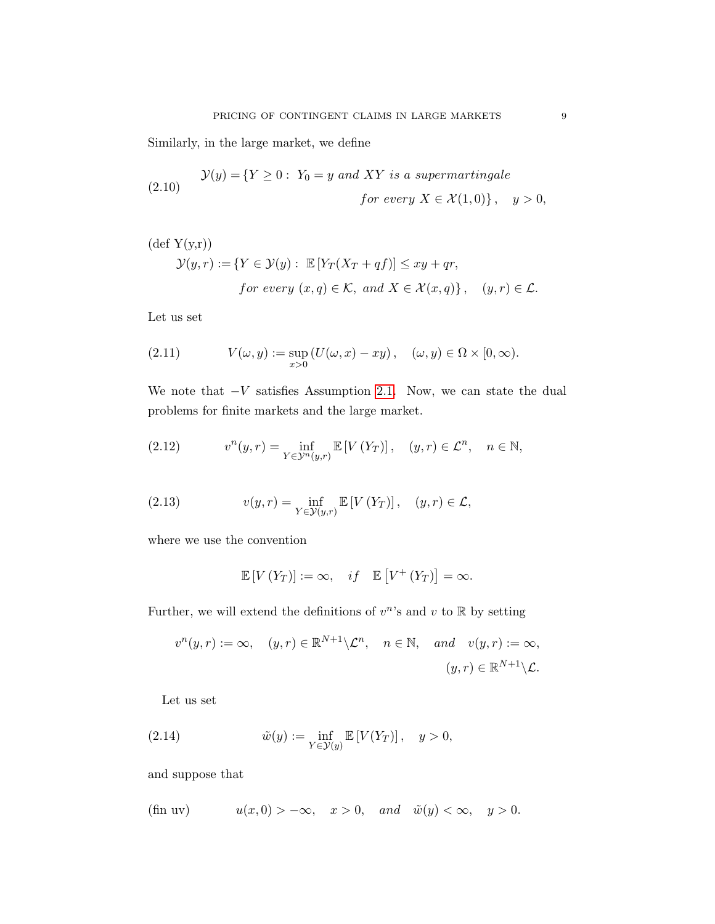Similarly, in the large market, we define

<span id="page-8-3"></span>(2.10) 
$$
\mathcal{Y}(y) = \{ Y \ge 0 : Y_0 = y \text{ and } XY \text{ is a supermartingale}
$$
  
for every  $X \in \mathcal{X}(1,0) \}, y > 0,$ 

$$
(\text{def } Y(y,r))
$$
  

$$
\mathcal{Y}(y,r) := \{ Y \in \mathcal{Y}(y) : \mathbb{E}[Y_T(X_T + qf)] \le xy + qr,
$$
  
for every  $(x, q) \in \mathcal{K}$ , and  $X \in \mathcal{X}(x,q) \}$ ,  $(y,r) \in \mathcal{L}$ .

Let us set

(2.11) 
$$
V(\omega, y) := \sup_{x>0} (U(\omega, x) - xy), \quad (\omega, y) \in \Omega \times [0, \infty).
$$

We note that  $-V$  satisfies Assumption [2.1.](#page-5-1) Now, we can state the dual problems for finite markets and the large market.

<span id="page-8-2"></span>(2.12) 
$$
v^{n}(y,r) = \inf_{Y \in \mathcal{Y}^{n}(y,r)} \mathbb{E}\left[V\left(Y_{T}\right)\right], \quad (y,r) \in \mathcal{L}^{n}, \quad n \in \mathbb{N},
$$

(2.13) 
$$
v(y,r) = \inf_{Y \in \mathcal{Y}(y,r)} \mathbb{E}\left[V(Y_T)\right], \quad (y,r) \in \mathcal{L},
$$

where we use the convention

<span id="page-8-4"></span><span id="page-8-1"></span>
$$
\mathbb{E}[V(Y_T)] := \infty, \quad if \quad \mathbb{E}[V^+(Y_T)] = \infty.
$$

Further, we will extend the definitions of  $v^n$ 's and  $v$  to  $\mathbb R$  by setting

$$
v^{n}(y,r) := \infty, \quad (y,r) \in \mathbb{R}^{N+1} \setminus \mathcal{L}^{n}, \quad n \in \mathbb{N}, \quad \text{and} \quad v(y,r) := \infty,
$$

$$
(y,r) \in \mathbb{R}^{N+1} \setminus \mathcal{L}.
$$

Let us set

(2.14) 
$$
\tilde{w}(y) := \inf_{Y \in \mathcal{Y}(y)} \mathbb{E}\left[V(Y_T)\right], \quad y > 0,
$$

and suppose that

<span id="page-8-0"></span>
$$
\text{(fin uv)} \quad u(x,0) > -\infty, \quad x > 0, \quad \text{and} \quad \tilde{w}(y) < \infty, \quad y > 0.
$$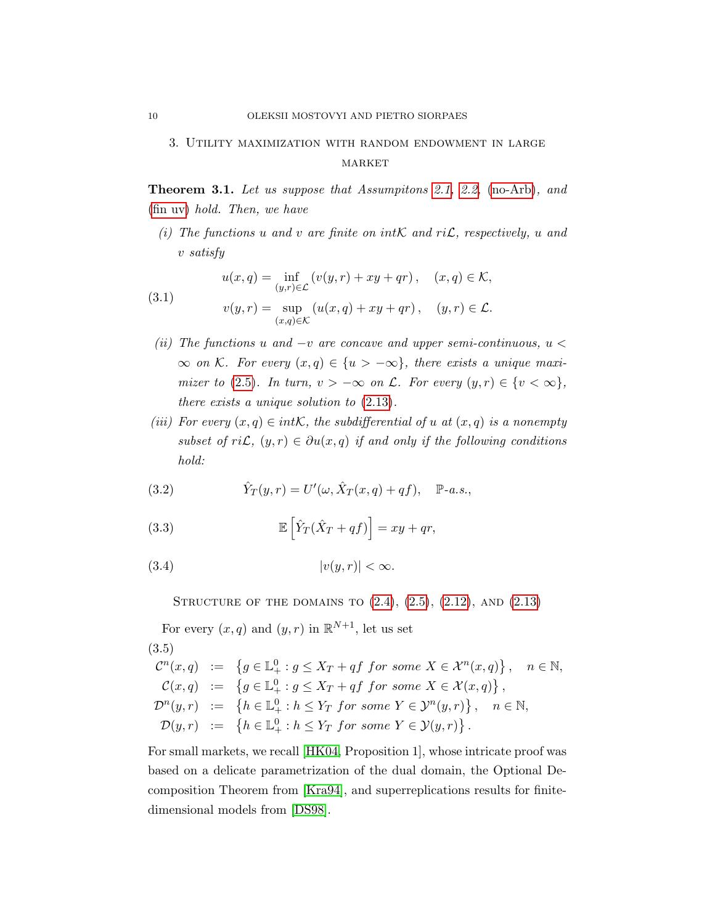# <span id="page-9-0"></span>3. Utility maximization with random endowment in large MARKET

<span id="page-9-2"></span>**Theorem 3.1.** Let us suppose that Assumptions [2.1,](#page-5-1) [2.2,](#page-6-1) [\(no-Arb\)](#page-6-3), and [\(fin uv\)](#page-8-0) hold. Then, we have

(i) The functions u and v are finite on intK and riL, respectively, u and v satisfy

(3.1) 
$$
u(x,q) = \inf_{(y,r)\in\mathcal{L}} (v(y,r) + xy + qr), \quad (x,q)\in\mathcal{K},
$$

$$
v(y,r) = \sup_{(x,q)\in\mathcal{K}} (u(x,q) + xy + qr), \quad (y,r)\in\mathcal{L}.
$$

- (ii) The functions u and  $-v$  are concave and upper semi-continuous,  $u <$  $\infty$  on K. For every  $(x,q) \in \{u > -\infty\}$ , there exists a unique maxi-mizer to [\(2.5\)](#page-6-0). In turn,  $v > -\infty$  on  $\mathcal{L}$ . For every  $(y, r) \in \{v < \infty\},$ there exists a unique solution to [\(2.13\)](#page-8-1).
- (iii) For every  $(x, q) \in int\mathcal{K}$ , the subdifferential of u at  $(x, q)$  is a nonempty subset of ri $\mathcal{L}, (y, r) \in \partial u(x, q)$  if and only if the following conditions hold:

(3.2) 
$$
\hat{Y}_T(y,r) = U'(\omega, \hat{X}_T(x,q) + qf), \quad \mathbb{P}\text{-}a.s.,
$$

(3.3) 
$$
\mathbb{E}\left[\hat{Y}_T(\hat{X}_T + qf)\right] = xy + qr,
$$

$$
(3.4) \t\t |v(y,r)| < \infty.
$$

STRUCTURE OF THE DOMAINS TO  $(2.4)$ ,  $(2.5)$ ,  $(2.12)$ , AND  $(2.13)$ 

For every  $(x, q)$  and  $(y, r)$  in  $\mathbb{R}^{N+1}$ , let us set

<span id="page-9-1"></span>(3.5)  
\n
$$
\mathcal{C}^n(x,q) := \{ g \in \mathbb{L}^0_+ : g \le X_T + qf \text{ for some } X \in \mathcal{X}^n(x,q) \}, \quad n \in \mathbb{N},
$$
\n
$$
\mathcal{C}(x,q) := \{ g \in \mathbb{L}^0_+ : g \le X_T + qf \text{ for some } X \in \mathcal{X}(x,q) \},
$$
\n
$$
\mathcal{D}^n(y,r) := \{ h \in \mathbb{L}^0_+ : h \le Y_T \text{ for some } Y \in \mathcal{Y}^n(y,r) \}, \quad n \in \mathbb{N},
$$
\n
$$
\mathcal{D}(y,r) := \{ h \in \mathbb{L}^0_+ : h \le Y_T \text{ for some } Y \in \mathcal{Y}(y,r) \}.
$$

For small markets, we recall [\[HK04,](#page-42-10) Proposition 1], whose intricate proof was based on a delicate parametrization of the dual domain, the Optional Decomposition Theorem from [\[Kra94\]](#page-42-14), and superreplications results for finitedimensional models from [\[DS98\]](#page-42-15).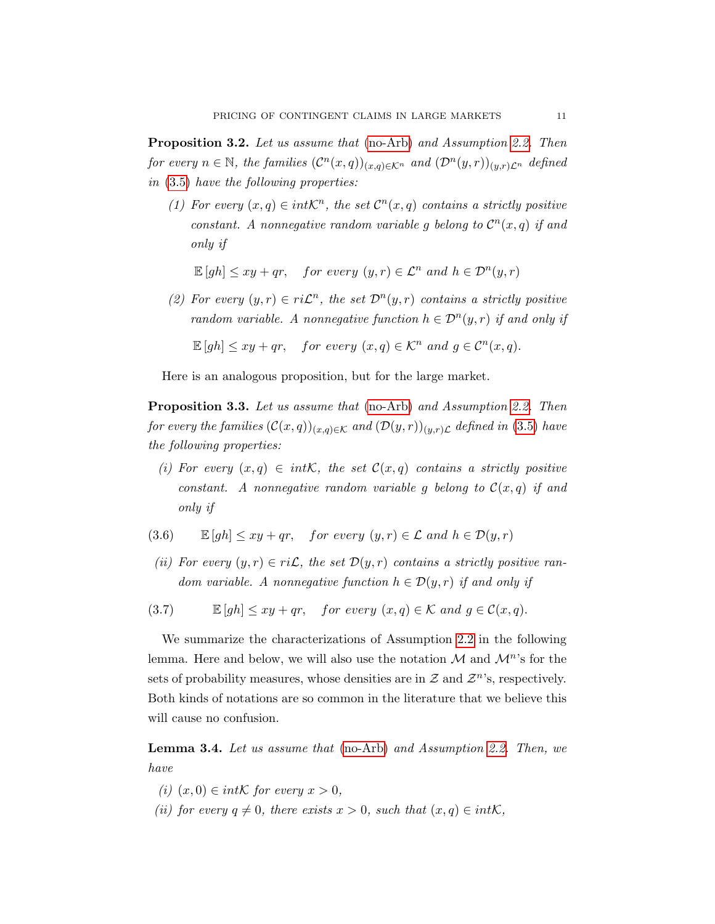Proposition 3.2. Let us assume that [\(no-Arb\)](#page-6-3) and Assumption [2.2.](#page-6-1) Then for every  $n \in \mathbb{N}$ , the families  $(\mathcal{C}^n(x,q))_{(x,q)\in\mathcal{K}^n}$  and  $(\mathcal{D}^n(y,r))_{(y,r)\mathcal{L}^n}$  defined in [\(3.5\)](#page-9-1) have the following properties:

(1) For every  $(x,q) \in int\mathcal{K}^n$ , the set  $\mathcal{C}^n(x,q)$  contains a strictly positive constant. A nonnegative random variable g belong to  $\mathcal{C}^n(x,q)$  if and only if

<span id="page-10-1"></span>
$$
\mathbb{E}[gh] \le xy + qr, \quad for\ every\ (y,r) \in \mathcal{L}^n\ and\ h \in \mathcal{D}^n(y,r)
$$

(2) For every  $(y, r) \in ri\mathcal{L}^n$ , the set  $\mathcal{D}^n(y, r)$  contains a strictly positive random variable. A nonnegative function  $h \in \mathcal{D}^n(y,r)$  if and only if

$$
\mathbb{E}[gh] \le xy + qr, \quad for\ every\ (x,q) \in \mathcal{K}^n \ and\ g \in \mathcal{C}^n(x,q).
$$

Here is an analogous proposition, but for the large market.

<span id="page-10-0"></span>Proposition 3.3. Let us assume that [\(no-Arb\)](#page-6-3) and Assumption [2.2.](#page-6-1) Then for every the families  $(C(x,q))_{(x,q)\in\mathcal{K}}$  and  $(\mathcal{D}(y,r))_{(y,r)\mathcal{L}}$  defined in [\(3.5\)](#page-9-1) have the following properties:

(i) For every  $(x, q) \in intK$ , the set  $\mathcal{C}(x,q)$  contains a strictly positive constant. A nonnegative random variable g belong to  $\mathcal{C}(x,q)$  if and only if

(3.6) 
$$
\mathbb{E}[gh] \le xy + qr, \quad for\ every\ (y,r) \in \mathcal{L} \ and \ h \in \mathcal{D}(y,r)
$$

- (ii) For every  $(y, r) \in ri\mathcal{L}$ , the set  $\mathcal{D}(y, r)$  contains a strictly positive random variable. A nonnegative function  $h \in \mathcal{D}(y,r)$  if and only if
- <span id="page-10-2"></span>(3.7)  $\mathbb{E}[gh] \leq xy + qr$ , for every  $(x, q) \in \mathcal{K}$  and  $q \in \mathcal{C}(x, q)$ .

We summarize the characterizations of Assumption [2.2](#page-6-1) in the following lemma. Here and below, we will also use the notation  $\mathcal M$  and  $\mathcal M^n$ 's for the sets of probability measures, whose densities are in  $\mathcal Z$  and  $\mathcal Z^n$ 's, respectively. Both kinds of notations are so common in the literature that we believe this will cause no confusion.

<span id="page-10-3"></span>**Lemma 3.4.** Let us assume that [\(no-Arb\)](#page-6-3) and Assumption [2.2.](#page-6-1) Then, we have

- (i)  $(x, 0) \in int\mathcal{K}$  for every  $x > 0$ ,
- (ii) for every  $q \neq 0$ , there exists  $x > 0$ , such that  $(x, q) \in int\mathcal{K}$ ,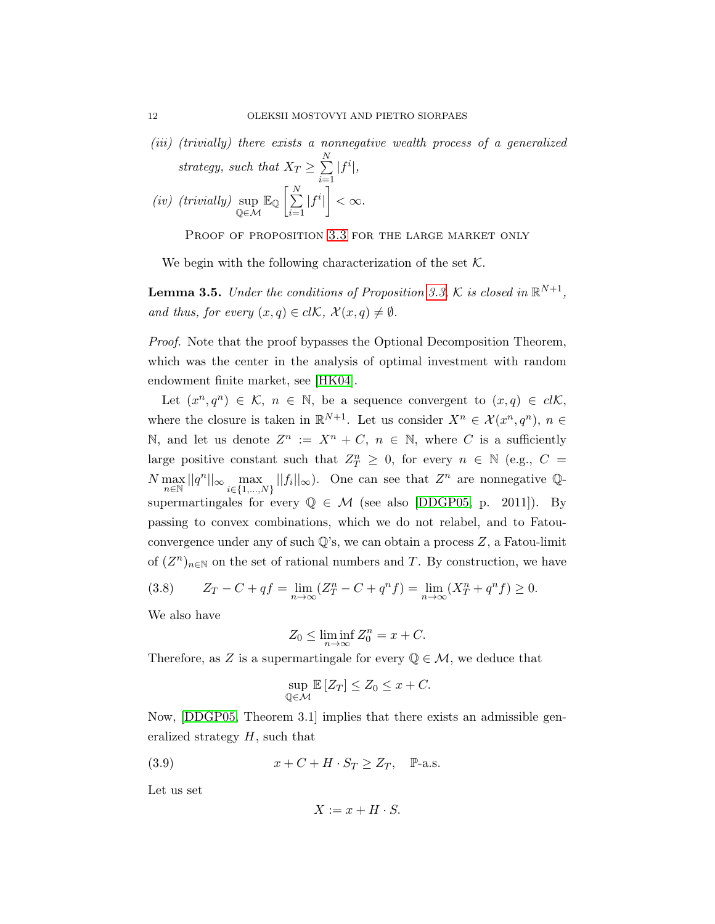(iii) (trivially) there exists a nonnegative wealth process of a generalized strategy, such that  $X_T \ge \sum_{i=1}^{N} |f^i|$ ,

$$
\text{strategy, such that } \Delta T \leq \sum_{i=1}^N |J|,
$$
\n
$$
\text{(iv) (trivially) } \sup_{\mathbb{Q} \in \mathcal{M}} \mathbb{E}_{\mathbb{Q}} \left[ \sum_{i=1}^N |f^i| \right] < \infty.
$$

PROOF OF PROPOSITION [3.3](#page-10-0) FOR THE LARGE MARKET ONLY

We begin with the following characterization of the set  $K$ .

<span id="page-11-2"></span>**Lemma 3.5.** Under the conditions of Proposition [3.3,](#page-10-0) K is closed in  $\mathbb{R}^{N+1}$ , and thus, for every  $(x, q) \in cl\mathcal{K}$ ,  $\mathcal{X}(x, q) \neq \emptyset$ .

Proof. Note that the proof bypasses the Optional Decomposition Theorem, which was the center in the analysis of optimal investment with random endowment finite market, see [\[HK04\]](#page-42-10).

Let  $(x^n, q^n) \in \mathcal{K}$ ,  $n \in \mathbb{N}$ , be a sequence convergent to  $(x, q) \in cl\mathcal{K}$ , where the closure is taken in  $\mathbb{R}^{N+1}$ . Let us consider  $X^n \in \mathcal{X}(x^n, q^n)$ ,  $n \in \mathcal{X}(x^n, q^n)$ N, and let us denote  $Z^n := X^n + C$ ,  $n \in \mathbb{N}$ , where C is a sufficiently large positive constant such that  $Z_T^n \geq 0$ , for every  $n \in \mathbb{N}$  (e.g.,  $C =$  $N \max_{n \in \mathbb{N}} ||q^n||_{\infty} \max_{i \in \{1,\dots,N\}} ||f_i||_{\infty}$ . One can see that  $Z^n$  are nonnegative Qsupermartingales for every  $\mathbb{Q} \in \mathcal{M}$  (see also [\[DDGP05,](#page-41-1) p. 2011]). By passing to convex combinations, which we do not relabel, and to Fatouconvergence under any of such  $\mathbb{Q}$ 's, we can obtain a process Z, a Fatou-limit of  $(Z^n)_{n\in\mathbb{N}}$  on the set of rational numbers and T. By construction, we have

<span id="page-11-0"></span>(3.8) 
$$
Z_T - C + qf = \lim_{n \to \infty} (Z_T^n - C + q^n f) = \lim_{n \to \infty} (X_T^n + q^n f) \ge 0.
$$

We also have

<span id="page-11-1"></span>
$$
Z_0 \le \liminf_{n \to \infty} Z_0^n = x + C.
$$

Therefore, as Z is a supermartingale for every  $\mathbb{Q} \in \mathcal{M}$ , we deduce that

$$
\sup_{\mathbb{Q}\in\mathcal{M}} \mathbb{E}\left[Z_T\right] \le Z_0 \le x + C.
$$

Now, [\[DDGP05,](#page-41-1) Theorem 3.1] implies that there exists an admissible generalized strategy  $H$ , such that

(3.9) 
$$
x + C + H \cdot S_T \ge Z_T, \quad P-a.s.
$$

Let us set

$$
X := x + H \cdot S.
$$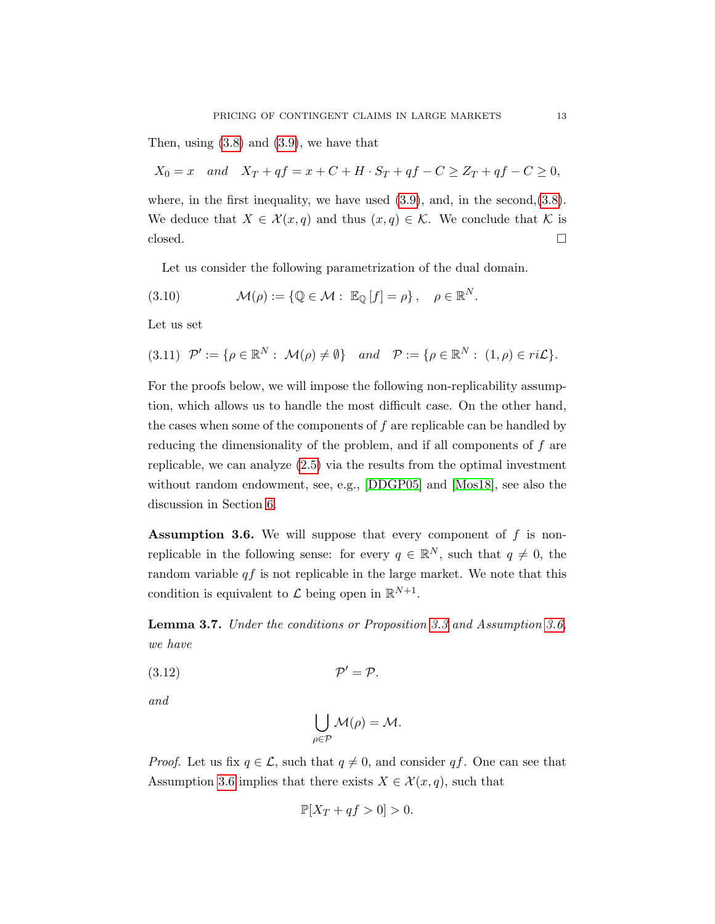Then, using [\(3.8\)](#page-11-0) and [\(3.9\)](#page-11-1), we have that

 $X_0 = x$  and  $X_T + qf = x + C + H \cdot S_T + qf - C \geq Z_T + qf - C \geq 0$ , where, in the first inequality, we have used  $(3.9)$ , and, in the second, $(3.8)$ . We deduce that  $X \in \mathcal{X}(x,q)$  and thus  $(x,q) \in \mathcal{K}$ . We conclude that K is  $\Box$ closed.

Let us consider the following parametrization of the dual domain.

(3.10) 
$$
\mathcal{M}(\rho) := \{ \mathbb{Q} \in \mathcal{M} : \mathbb{E}_{\mathbb{Q}}[f] = \rho \}, \quad \rho \in \mathbb{R}^N.
$$

Let us set

$$
(3.11) \mathcal{P}' := \{ \rho \in \mathbb{R}^N : \mathcal{M}(\rho) \neq \emptyset \} \quad and \quad \mathcal{P} := \{ \rho \in \mathbb{R}^N : (1, \rho) \in ri\mathcal{L} \}.
$$

For the proofs below, we will impose the following non-replicability assumption, which allows us to handle the most difficult case. On the other hand, the cases when some of the components of  $f$  are replicable can be handled by reducing the dimensionality of the problem, and if all components of f are replicable, we can analyze [\(2.5\)](#page-6-0) via the results from the optimal investment without random endowment, see, e.g., [\[DDGP05\]](#page-41-1) and [\[Mos18\]](#page-43-0), see also the discussion in Section [6.](#page-36-0)

<span id="page-12-0"></span>**Assumption 3.6.** We will suppose that every component of  $f$  is nonreplicable in the following sense: for every  $q \in \mathbb{R}^N$ , such that  $q \neq 0$ , the random variable  $qf$  is not replicable in the large market. We note that this condition is equivalent to  $\mathcal L$  being open in  $\mathbb R^{N+1}$ .

<span id="page-12-1"></span>Lemma 3.7. Under the conditions or Proposition [3.3](#page-10-0) and Assumption [3.6,](#page-12-0) we have

$$
(3.12)\t\t\t\t\mathcal{P}' = \mathcal{P}.
$$

and

$$
\bigcup_{\rho \in \mathcal{P}} \mathcal{M}(\rho) = \mathcal{M}.
$$

*Proof.* Let us fix  $q \in \mathcal{L}$ , such that  $q \neq 0$ , and consider qf. One can see that Assumption [3.6](#page-12-0) implies that there exists  $X \in \mathcal{X}(x,q)$ , such that

$$
\mathbb{P}[X_T + qf > 0] > 0.
$$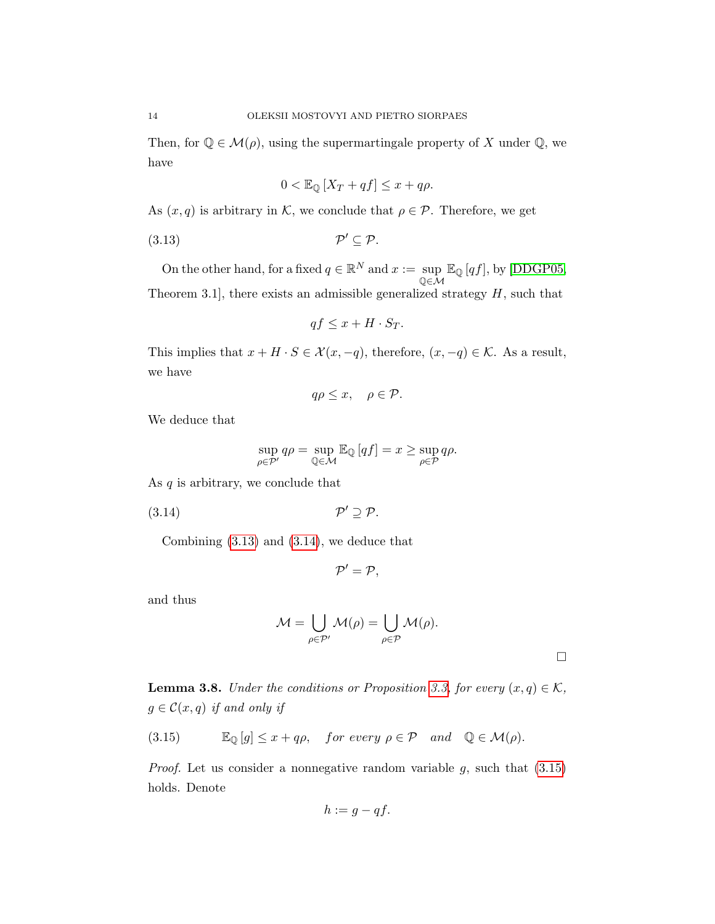Then, for  $\mathbb{Q} \in \mathcal{M}(\rho)$ , using the supermartingale property of X under  $\mathbb{Q}$ , we have

<span id="page-13-0"></span>
$$
0 < \mathbb{E}_{\mathbb{Q}}\left[X_T + qf\right] \le x + q\rho.
$$

As  $(x, q)$  is arbitrary in K, we conclude that  $\rho \in \mathcal{P}$ . Therefore, we get

$$
(3.13) \t\t \mathcal{P}' \subseteq \mathcal{P}.
$$

On the other hand, for a fixed  $q \in \mathbb{R}^N$  and  $x := \text{sup}$ Q∈M  $\mathbb{E}_{\mathbb{Q}}[qf],$  by [\[DDGP05,](#page-41-1)

Theorem 3.1], there exists an admissible generalized strategy  $H$ , such that

<span id="page-13-1"></span>
$$
qf \le x + H \cdot S_T.
$$

This implies that  $x + H \cdot S \in \mathcal{X}(x, -q)$ , therefore,  $(x, -q) \in \mathcal{K}$ . As a result, we have

$$
q\rho \leq x, \quad \rho \in \mathcal{P}.
$$

We deduce that

$$
\sup_{\rho \in \mathcal{P}'} q\rho = \sup_{\mathbb{Q} \in \mathcal{M}} \mathbb{E}_{\mathbb{Q}} \left[ qf \right] = x \ge \sup_{\rho \in \mathcal{P}} q\rho.
$$

As  $q$  is arbitrary, we conclude that

$$
(3.14) \t\t \t\t \mathcal{P}' \supseteq \mathcal{P}.
$$

Combining [\(3.13\)](#page-13-0) and [\(3.14\)](#page-13-1), we deduce that

$$
\mathcal{P}'=\mathcal{P},
$$

and thus

$$
\mathcal{M} = \bigcup_{\rho \in \mathcal{P}'} \mathcal{M}(\rho) = \bigcup_{\rho \in \mathcal{P}} \mathcal{M}(\rho).
$$

 $\Box$ 

<span id="page-13-3"></span>**Lemma 3.8.** Under the conditions or Proposition [3.3,](#page-10-0) for every  $(x, q) \in \mathcal{K}$ ,  $g \in \mathcal{C}(x,q)$  if and only if

<span id="page-13-2"></span>(3.15) 
$$
\mathbb{E}_{\mathbb{Q}}[g] \leq x + q\rho, \quad \text{for every } \rho \in \mathcal{P} \quad \text{and} \quad \mathbb{Q} \in \mathcal{M}(\rho).
$$

*Proof.* Let us consider a nonnegative random variable  $g$ , such that  $(3.15)$ holds. Denote

$$
h := g - qf.
$$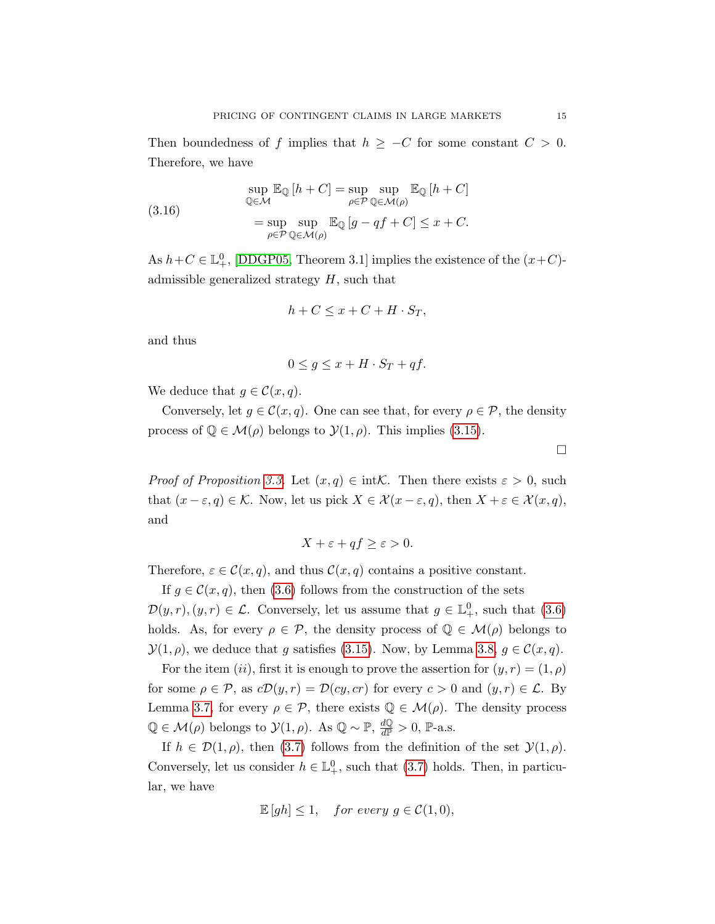Then boundedness of f implies that  $h \geq -C$  for some constant  $C > 0$ . Therefore, we have

(3.16) 
$$
\sup_{\mathbb{Q}\in\mathcal{M}} \mathbb{E}_{\mathbb{Q}}[h+C] = \sup_{\rho\in\mathcal{P}} \sup_{\mathbb{Q}\in\mathcal{M}(\rho)} \mathbb{E}_{\mathbb{Q}}[h+C]
$$

$$
= \sup_{\rho\in\mathcal{P}} \sup_{\mathbb{Q}\in\mathcal{M}(\rho)} \mathbb{E}_{\mathbb{Q}}[g-qf+C] \le x+C.
$$

As  $h + C \in \mathbb{L}^0_+$ , [\[DDGP05,](#page-41-1) Theorem 3.1] implies the existence of the  $(x+C)$ admissible generalized strategy  $H$ , such that

$$
h + C \le x + C + H \cdot S_T,
$$

and thus

$$
0 \le g \le x + H \cdot S_T + qf.
$$

We deduce that  $g \in \mathcal{C}(x,q)$ .

Conversely, let  $g \in \mathcal{C}(x,q)$ . One can see that, for every  $\rho \in \mathcal{P}$ , the density process of  $\mathbb{Q} \in \mathcal{M}(\rho)$  belongs to  $\mathcal{Y}(1, \rho)$ . This implies [\(3.15\)](#page-13-2).

*Proof of Proposition [3.3.](#page-10-0)* Let  $(x, q) \in \text{intK}$ . Then there exists  $\varepsilon > 0$ , such that  $(x - \varepsilon, q) \in \mathcal{K}$ . Now, let us pick  $X \in \mathcal{X}(x - \varepsilon, q)$ , then  $X + \varepsilon \in \mathcal{X}(x, q)$ , and

$$
X + \varepsilon + qf \ge \varepsilon > 0.
$$

Therefore,  $\varepsilon \in \mathcal{C}(x,q)$ , and thus  $\mathcal{C}(x,q)$  contains a positive constant.

If  $g \in \mathcal{C}(x, q)$ , then [\(3.6\)](#page-10-1) follows from the construction of the sets

 $\mathcal{D}(y,r), (y,r) \in \mathcal{L}$ . Conversely, let us assume that  $g \in \mathbb{L}^0_+$ , such that  $(3.6)$ holds. As, for every  $\rho \in \mathcal{P}$ , the density process of  $\mathbb{Q} \in \mathcal{M}(\rho)$  belongs to  $\mathcal{Y}(1,\rho)$ , we deduce that g satisfies [\(3.15\)](#page-13-2). Now, by Lemma [3.8,](#page-13-3)  $q \in \mathcal{C}(x,q)$ .

For the item (ii), first it is enough to prove the assertion for  $(y, r) = (1, \rho)$ for some  $\rho \in \mathcal{P}$ , as  $c\mathcal{D}(y,r) = \mathcal{D}(cy, cr)$  for every  $c > 0$  and  $(y, r) \in \mathcal{L}$ . By Lemma [3.7,](#page-12-1) for every  $\rho \in \mathcal{P}$ , there exists  $\mathbb{Q} \in \mathcal{M}(\rho)$ . The density process  $\mathbb{Q} \in \mathcal{M}(\rho)$  belongs to  $\mathcal{Y}(1, \rho)$ . As  $\mathbb{Q} \sim \mathbb{P}$ ,  $\frac{d\mathbb{Q}}{d\mathbb{P}} > 0$ , P-a.s.

If  $h \in \mathcal{D}(1,\rho)$ , then [\(3.7\)](#page-10-2) follows from the definition of the set  $\mathcal{Y}(1,\rho)$ . Conversely, let us consider  $h \in \mathbb{L}^0_+$ , such that [\(3.7\)](#page-10-2) holds. Then, in particular, we have

$$
\mathbb{E}[gh] \le 1, \quad for\ every\ g \in \mathcal{C}(1,0),
$$

 $\Box$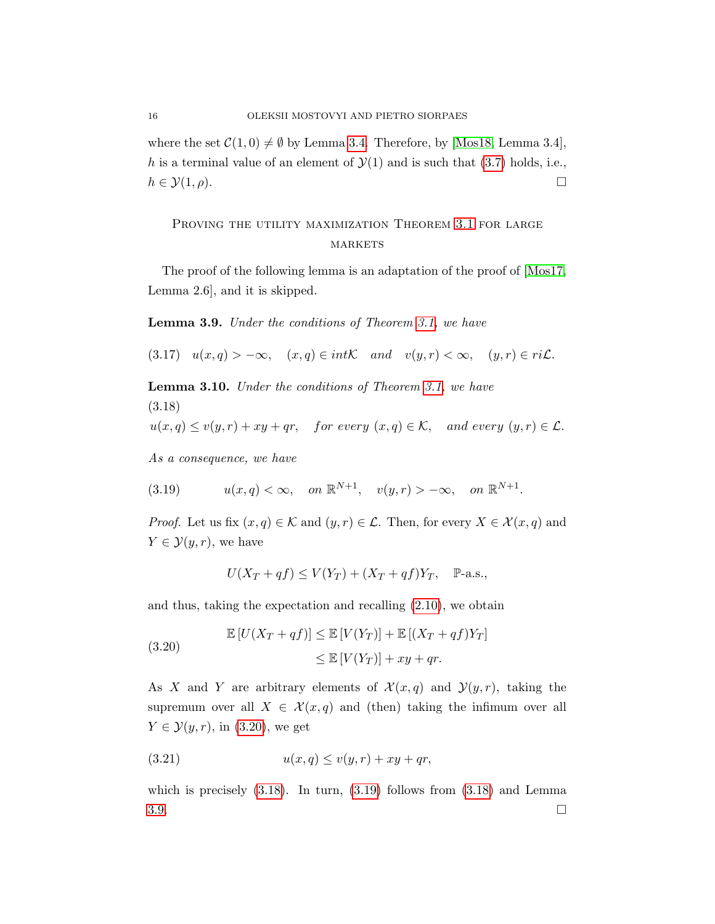where the set  $C(1, 0) \neq \emptyset$  by Lemma [3.4.](#page-10-3) Therefore, by [\[Mos18,](#page-43-0) Lemma 3.4], h is a terminal value of an element of  $\mathcal{Y}(1)$  and is such that  $(3.7)$  holds, i.e.,  $h \in \mathcal{Y}(1,\rho).$ 

## PROVING THE UTILITY MAXIMIZATION THEOREM [3.1](#page-9-2) FOR LARGE **MARKETS**

The proof of the following lemma is an adaptation of the proof of [\[Mos17,](#page-43-4) Lemma 2.6], and it is skipped.

<span id="page-15-3"></span>Lemma 3.9. Under the conditions of Theorem [3.1,](#page-9-2) we have

(3.17)  $u(x,q) > -\infty$ ,  $(x,q) \in int\mathcal{K}$  and  $v(y,r) < \infty$ ,  $(y,r) \in ri\mathcal{L}$ .

Lemma 3.10. Under the conditions of Theorem [3.1,](#page-9-2) we have (3.18)

<span id="page-15-1"></span>
$$
u(x,q) \le v(y,r) + xy + qr
$$
, for every  $(x,q) \in K$ , and every  $(y,r) \in \mathcal{L}$ .

As a consequence, we have

<span id="page-15-2"></span>(3.19) 
$$
u(x,q) < \infty
$$
, on  $\mathbb{R}^{N+1}$ ,  $v(y,r) > -\infty$ , on  $\mathbb{R}^{N+1}$ .

*Proof.* Let us fix  $(x, q) \in \mathcal{K}$  and  $(y, r) \in \mathcal{L}$ . Then, for every  $X \in \mathcal{X}(x, q)$  and  $Y \in \mathcal{Y}(y,r)$ , we have

<span id="page-15-0"></span>
$$
U(X_T + qf) \le V(Y_T) + (X_T + qf)Y_T, \quad P\text{-a.s.},
$$

and thus, taking the expectation and recalling [\(2.10\)](#page-8-3), we obtain

(3.20) 
$$
\mathbb{E}\left[U(X_T+qf)\right] \leq \mathbb{E}\left[V(Y_T)\right] + \mathbb{E}\left[(X_T+qf)Y_T\right] \leq \mathbb{E}\left[V(Y_T)\right] + xy + qr.
$$

As X and Y are arbitrary elements of  $\mathcal{X}(x,q)$  and  $\mathcal{Y}(y,r)$ , taking the supremum over all  $X \in \mathcal{X}(x,q)$  and (then) taking the infimum over all  $Y \in \mathcal{Y}(y,r)$ , in [\(3.20\)](#page-15-0), we get

$$
(3.21) \t\t u(x,q) \le v(y,r) + xy + qr,
$$

which is precisely  $(3.18)$ . In turn,  $(3.19)$  follows from  $(3.18)$  and Lemma  $3.9.$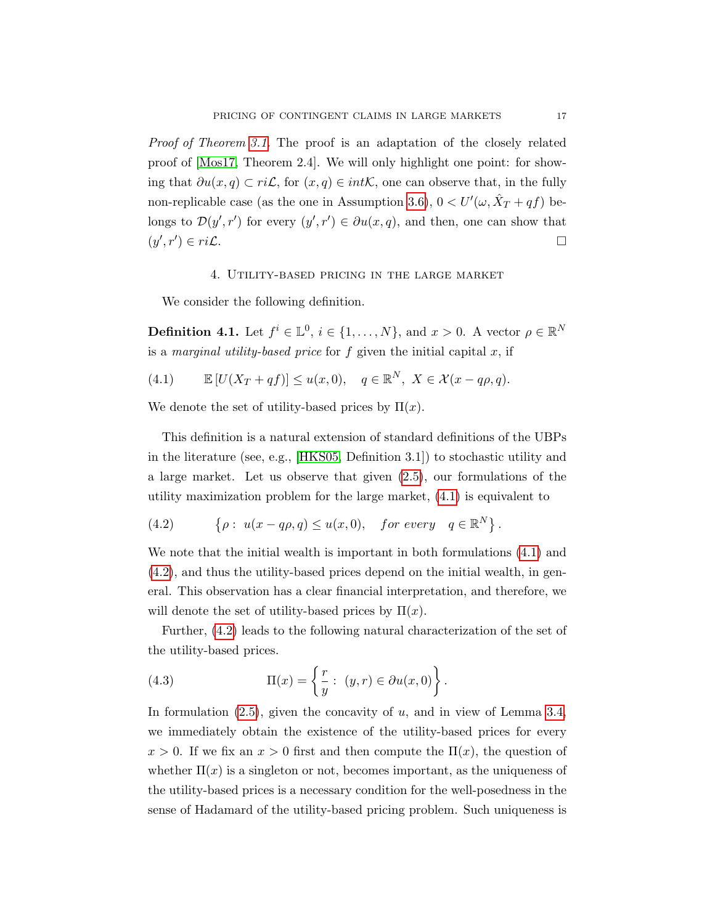Proof of Theorem [3.1.](#page-9-2) The proof is an adaptation of the closely related proof of [\[Mos17,](#page-43-4) Theorem 2.4]. We will only highlight one point: for showing that  $\partial u(x, q) \subset ri\mathcal{L}$ , for  $(x, q) \in int\mathcal{K}$ , one can observe that, in the fully non-replicable case (as the one in Assumption [3.6\)](#page-12-0),  $0 < U'(\omega, \hat{X}_T + qf)$  belongs to  $\mathcal{D}(y', r')$  for every  $(y', r') \in \partial u(x, q)$ , and then, one can show that  $(y', r')$  $) \in ri\mathcal{L}.$ 

### 4. Utility-based pricing in the large market

<span id="page-16-0"></span>We consider the following definition.

**Definition 4.1.** Let  $f^i \in \mathbb{L}^0$ ,  $i \in \{1, ..., N\}$ , and  $x > 0$ . A vector  $\rho \in \mathbb{R}^N$ is a marginal utility-based price for  $f$  given the initial capital  $x$ , if

<span id="page-16-1"></span>(4.1) 
$$
\mathbb{E}[U(X_T + qf)] \le u(x,0), \quad q \in \mathbb{R}^N, X \in \mathcal{X}(x - q\rho, q).
$$

We denote the set of utility-based prices by  $\Pi(x)$ .

This definition is a natural extension of standard definitions of the UBPs in the literature (see, e.g., [\[HKS05,](#page-42-16) Definition 3.1]) to stochastic utility and a large market. Let us observe that given [\(2.5\)](#page-6-0), our formulations of the utility maximization problem for the large market, [\(4.1\)](#page-16-1) is equivalent to

<span id="page-16-2"></span>(4.2) 
$$
\{\rho: u(x-q\rho, q) \leq u(x, 0), \text{ for every } q \in \mathbb{R}^N\}.
$$

We note that the initial wealth is important in both formulations [\(4.1\)](#page-16-1) and [\(4.2\)](#page-16-2), and thus the utility-based prices depend on the initial wealth, in general. This observation has a clear financial interpretation, and therefore, we will denote the set of utility-based prices by  $\Pi(x)$ .

Further, [\(4.2\)](#page-16-2) leads to the following natural characterization of the set of the utility-based prices.

<span id="page-16-3"></span>(4.3) 
$$
\Pi(x) = \left\{ \frac{r}{y} : (y, r) \in \partial u(x, 0) \right\}.
$$

In formulation  $(2.5)$ , given the concavity of u, and in view of Lemma [3.4,](#page-10-3) we immediately obtain the existence of the utility-based prices for every  $x > 0$ . If we fix an  $x > 0$  first and then compute the  $\Pi(x)$ , the question of whether  $\Pi(x)$  is a singleton or not, becomes important, as the uniqueness of the utility-based prices is a necessary condition for the well-posedness in the sense of Hadamard of the utility-based pricing problem. Such uniqueness is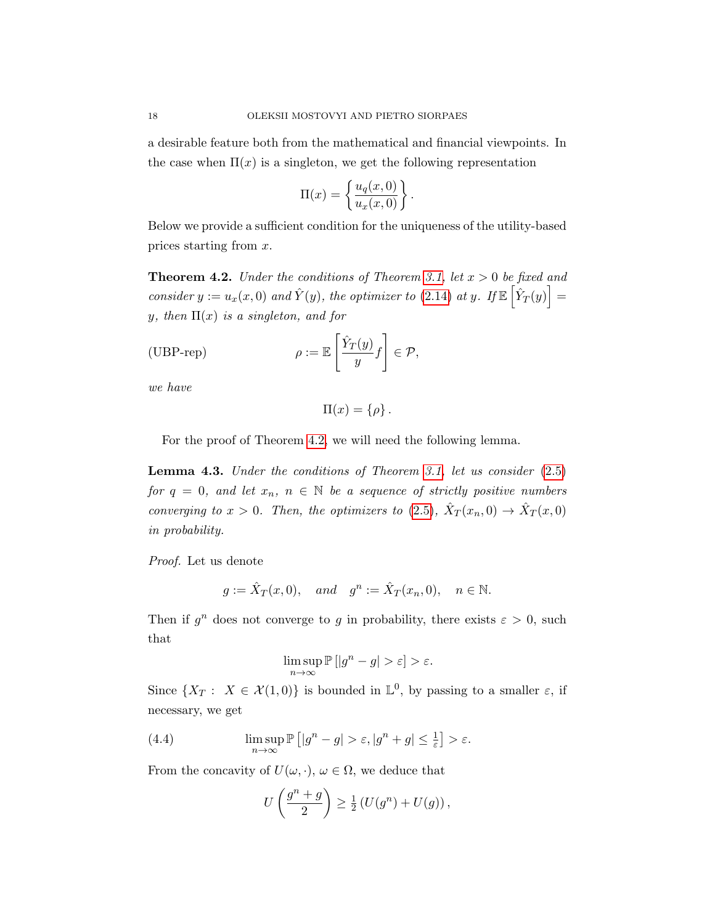a desirable feature both from the mathematical and financial viewpoints. In the case when  $\Pi(x)$  is a singleton, we get the following representation

$$
\Pi(x) = \left\{ \frac{u_q(x,0)}{u_x(x,0)} \right\}.
$$

Below we provide a sufficient condition for the uniqueness of the utility-based prices starting from x.

<span id="page-17-0"></span>**Theorem 4.2.** Under the conditions of Theorem [3.1,](#page-9-2) let  $x > 0$  be fixed and consider  $y := u_x(x,0)$  and  $\hat{Y}(y)$ , the optimizer to [\(2.14\)](#page-8-4) at y. If  $\mathbb{E} \left[ \hat{Y}_T(y) \right] =$ y, then  $\Pi(x)$  is a singleton, and for

<span id="page-17-2"></span>(UBP-rep) 
$$
\rho := \mathbb{E}\left[\frac{\hat{Y}_T(y)}{y}f\right] \in \mathcal{P},
$$

we have

$$
\Pi(x) = \{\rho\}.
$$

For the proof of Theorem [4.2,](#page-17-0) we will need the following lemma.

<span id="page-17-1"></span>**Lemma 4.3.** Under the conditions of Theorem [3.1,](#page-9-2) let us consider  $(2.5)$ for  $q = 0$ , and let  $x_n$ ,  $n \in \mathbb{N}$  be a sequence of strictly positive numbers converging to  $x > 0$ . Then, the optimizers to [\(2.5\)](#page-6-0),  $\hat{X}_T(x_n, 0) \to \hat{X}_T(x, 0)$ in probability.

Proof. Let us denote

$$
g := \hat{X}_T(x,0)
$$
, and  $g^n := \hat{X}_T(x_n,0)$ ,  $n \in \mathbb{N}$ .

Then if  $g^n$  does not converge to g in probability, there exists  $\varepsilon > 0$ , such that

$$
\limsup_{n\to\infty}\mathbb{P}\left[|g^n-g|>\varepsilon\right]>\varepsilon.
$$

Since  $\{X_T: X \in \mathcal{X}(1,0)\}\$ is bounded in  $\mathbb{L}^0$ , by passing to a smaller  $\varepsilon$ , if necessary, we get

(4.4) 
$$
\limsup_{n \to \infty} \mathbb{P}\left[|g^n - g| > \varepsilon, |g^n + g| \le \frac{1}{\varepsilon}\right] > \varepsilon.
$$

From the concavity of  $U(\omega, \cdot)$ ,  $\omega \in \Omega$ , we deduce that

$$
U\left(\frac{g^n+g}{2}\right) \ge \frac{1}{2}\left(U(g^n)+U(g)\right),\,
$$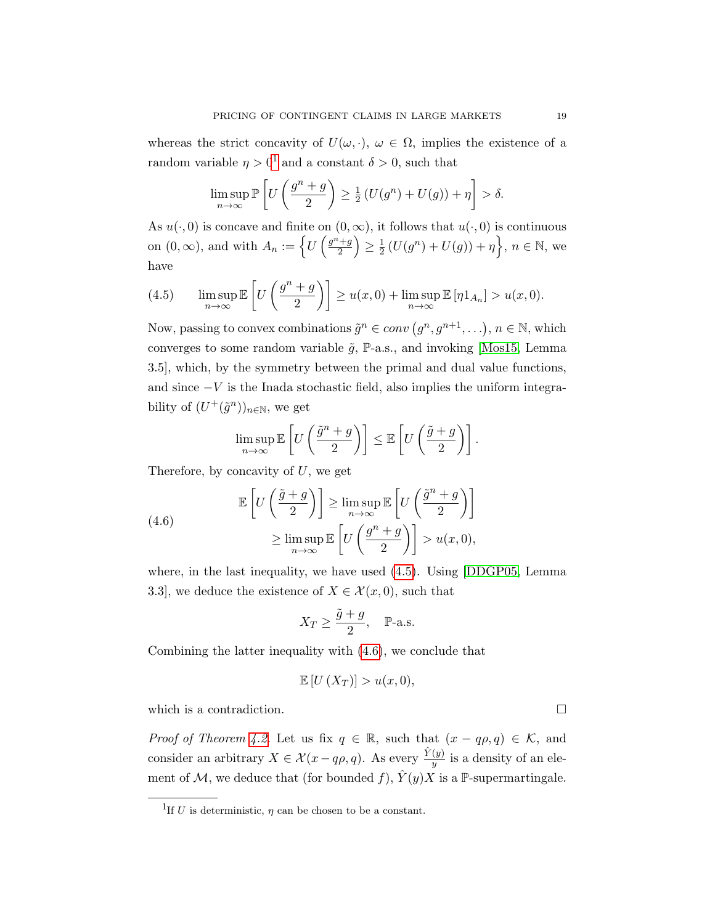whereas the strict concavity of  $U(\omega, \cdot)$ ,  $\omega \in \Omega$ , implies the existence of a random variable  $\eta > 0^1$  $\eta > 0^1$  and a constant  $\delta > 0$ , such that

$$
\limsup_{n \to \infty} \mathbb{P}\left[U\left(\frac{g^n + g}{2}\right) \ge \frac{1}{2}\left(U(g^n) + U(g)\right) + \eta\right] > \delta.
$$

As  $u(\cdot, 0)$  is concave and finite on  $(0, \infty)$ , it follows that  $u(\cdot, 0)$  is continuous on  $(0, \infty)$ , and with  $A_n := \left\{ U \left( \frac{g^n + g}{2} \right) \right\}$  $\left(\frac{+g}{2}\right) \geq \frac{1}{2}$  $\frac{1}{2} (U(g^n) + U(g)) + \eta \Big\}, n \in \mathbb{N}, \text{ we}$ have

<span id="page-18-1"></span>(4.5) 
$$
\limsup_{n \to \infty} \mathbb{E}\left[U\left(\frac{g^n + g}{2}\right)\right] \ge u(x, 0) + \limsup_{n \to \infty} \mathbb{E}\left[\eta 1_{A_n}\right] > u(x, 0).
$$

Now, passing to convex combinations  $\tilde{g}^n \in conv(g^n, g^{n+1}, \ldots), n \in \mathbb{N}$ , which converges to some random variable  $\tilde{g}$ , P-a.s., and invoking [\[Mos15,](#page-43-5) Lemma 3.5], which, by the symmetry between the primal and dual value functions, and since  $-V$  is the Inada stochastic field, also implies the uniform integrability of  $(U^+(\tilde{g}^n))_{n\in\mathbb{N}}$ , we get

$$
\limsup_{n \to \infty} \mathbb{E}\left[U\left(\frac{\tilde{g}^n + g}{2}\right)\right] \le \mathbb{E}\left[U\left(\frac{\tilde{g} + g}{2}\right)\right].
$$

Therefore, by concavity of  $U$ , we get

<span id="page-18-2"></span>(4.6) 
$$
\mathbb{E}\left[U\left(\frac{\tilde{g}+g}{2}\right)\right] \geq \limsup_{n\to\infty} \mathbb{E}\left[U\left(\frac{\tilde{g}^n+g}{2}\right)\right] \geq \limsup_{n\to\infty} \mathbb{E}\left[U\left(\frac{g^n+g}{2}\right)\right] > u(x,0),
$$

where, in the last inequality, we have used [\(4.5\)](#page-18-1). Using [\[DDGP05,](#page-41-1) Lemma 3.3, we deduce the existence of  $X \in \mathcal{X}(x,0)$ , such that

$$
X_T \ge \frac{\tilde{g} + g}{2}, \quad \mathbb{P}\text{-a.s.}
$$

Combining the latter inequality with [\(4.6\)](#page-18-2), we conclude that

$$
\mathbb{E}[U(X_T)] > u(x,0),
$$

which is a contradiction.  $\Box$ 

*Proof of Theorem [4.2.](#page-17-0)* Let us fix  $q \in \mathbb{R}$ , such that  $(x - q\rho, q) \in \mathcal{K}$ , and consider an arbitrary  $X \in \mathcal{X}(x - q\rho, q)$ . As every  $\frac{\hat{Y}(y)}{y}$  is a density of an element of M, we deduce that (for bounded f),  $\hat{Y}(y)X$  is a P-supermartingale.

<span id="page-18-0"></span><sup>&</sup>lt;sup>1</sup>If U is deterministic,  $\eta$  can be chosen to be a constant.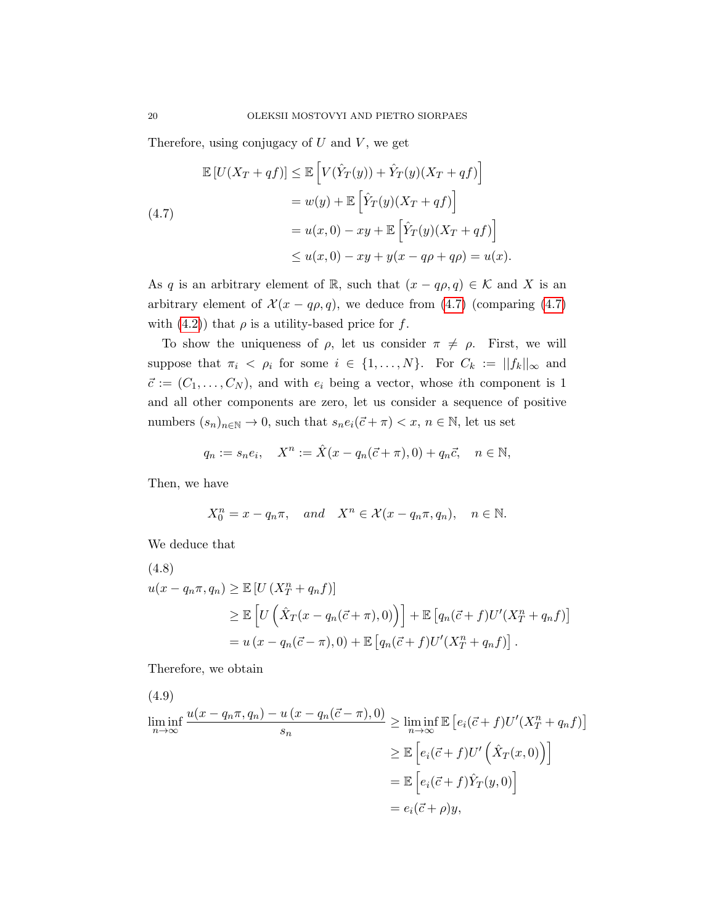Therefore, using conjugacy of  $U$  and  $V$ , we get

<span id="page-19-0"></span>
$$
\mathbb{E}\left[U(X_T+qf)\right] \leq \mathbb{E}\left[V(\hat{Y}_T(y)) + \hat{Y}_T(y)(X_T+qf)\right]
$$

$$
= w(y) + \mathbb{E}\left[\hat{Y}_T(y)(X_T+qf)\right]
$$

$$
= u(x,0) - xy + \mathbb{E}\left[\hat{Y}_T(y)(X_T+qf)\right]
$$

$$
\leq u(x,0) - xy + y(x - q\rho + q\rho) = u(x).
$$

As q is an arbitrary element of R, such that  $(x - q\rho, q) \in \mathcal{K}$  and X is an arbitrary element of  $\mathcal{X}(x - q\rho, q)$ , we deduce from [\(4.7\)](#page-19-0) (comparing (4.7) with [\(4.2\)](#page-16-2)) that  $\rho$  is a utility-based price for f.

To show the uniqueness of  $\rho$ , let us consider  $\pi \neq \rho$ . First, we will suppose that  $\pi_i \leq \rho_i$  for some  $i \in \{1, ..., N\}$ . For  $C_k := ||f_k||_{\infty}$  and  $\vec{c} := (C_1, \ldots, C_N)$ , and with  $e_i$  being a vector, whose *i*th component is 1 and all other components are zero, let us consider a sequence of positive numbers  $(s_n)_{n\in\mathbb{N}} \to 0$ , such that  $s_n e_i(\vec{c} + \pi) < x, n \in \mathbb{N}$ , let us set

$$
q_n := s_n e_i
$$
,  $X^n := \hat{X}(x - q_n(\vec{c} + \pi), 0) + q_n \vec{c}$ ,  $n \in \mathbb{N}$ ,

Then, we have

$$
X_0^n = x - q_n \pi, \quad and \quad X^n \in \mathcal{X}(x - q_n \pi, q_n), \quad n \in \mathbb{N}.
$$

We deduce that

(4.8)  
\n
$$
u(x - q_n\pi, q_n) \ge \mathbb{E}\left[U\left(X_T^n + q_n f\right)\right]
$$
\n
$$
\ge \mathbb{E}\left[U\left(\hat{X}_T(x - q_n(\vec{c} + \pi), 0)\right)\right] + \mathbb{E}\left[q_n(\vec{c} + f)U'(X_T^n + q_n f)\right]
$$
\n
$$
= u\left(x - q_n(\vec{c} - \pi), 0\right) + \mathbb{E}\left[q_n(\vec{c} + f)U'(X_T^n + q_n f)\right].
$$

Therefore, we obtain

(4.9)  
\n
$$
\liminf_{n \to \infty} \frac{u(x - q_n \pi, q_n) - u(x - q_n(\vec{c} - \pi), 0)}{s_n} \ge \liminf_{n \to \infty} \mathbb{E} \left[ e_i(\vec{c} + f) U'(X_T^n + q_n f) \right]
$$
\n
$$
\ge \mathbb{E} \left[ e_i(\vec{c} + f) U'\left(\hat{X}_T(x, 0)\right) \right]
$$
\n
$$
= \mathbb{E} \left[ e_i(\vec{c} + f) \hat{Y}_T(y, 0) \right]
$$
\n
$$
= e_i(\vec{c} + \rho)y,
$$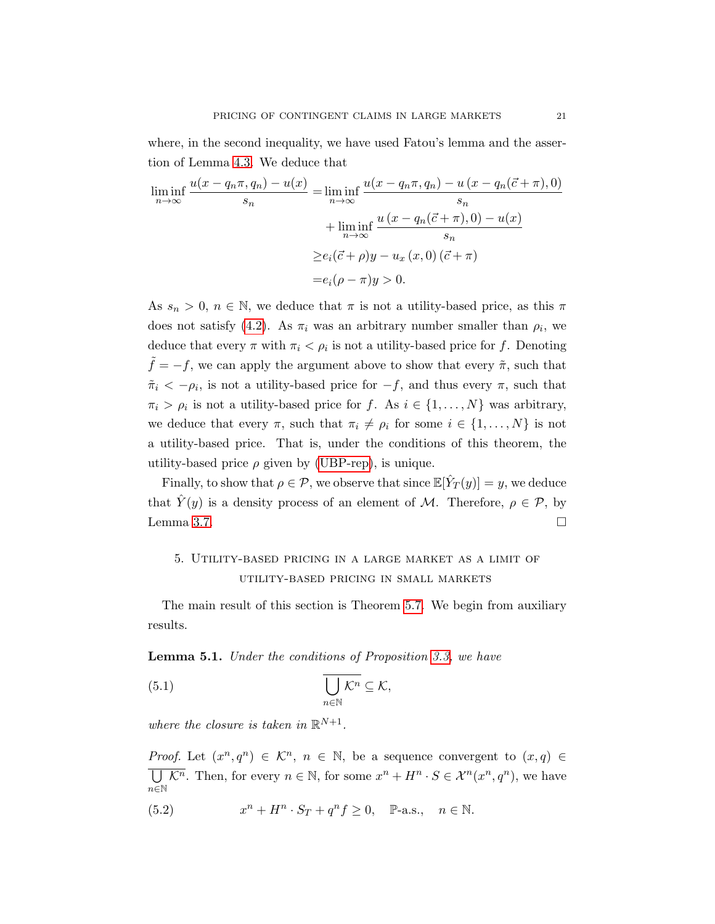where, in the second inequality, we have used Fatou's lemma and the assertion of Lemma [4.3.](#page-17-1) We deduce that

$$
\liminf_{n \to \infty} \frac{u(x - q_n \pi, q_n) - u(x)}{s_n} = \liminf_{n \to \infty} \frac{u(x - q_n \pi, q_n) - u(x - q_n(\vec{c} + \pi), 0)}{s_n}
$$

$$
+ \liminf_{n \to \infty} \frac{u(x - q_n(\vec{c} + \pi), 0) - u(x)}{s_n}
$$

$$
\geq e_i(\vec{c} + \rho)y - u_x(x, 0)(\vec{c} + \pi)
$$

$$
= e_i(\rho - \pi)y > 0.
$$

As  $s_n > 0$ ,  $n \in \mathbb{N}$ , we deduce that  $\pi$  is not a utility-based price, as this  $\pi$ does not satisfy [\(4.2\)](#page-16-2). As  $\pi_i$  was an arbitrary number smaller than  $\rho_i$ , we deduce that every  $\pi$  with  $\pi_i < \rho_i$  is not a utility-based price for f. Denoting  $f = -f$ , we can apply the argument above to show that every  $\tilde{\pi}$ , such that  $\tilde{\pi}_i < -\rho_i$ , is not a utility-based price for  $-f$ , and thus every  $\pi$ , such that  $\pi_i > \rho_i$  is not a utility-based price for f. As  $i \in \{1, ..., N\}$  was arbitrary, we deduce that every  $\pi$ , such that  $\pi_i \neq \rho_i$  for some  $i \in \{1, \ldots, N\}$  is not a utility-based price. That is, under the conditions of this theorem, the utility-based price  $\rho$  given by [\(UBP-rep\)](#page-17-2), is unique.

Finally, to show that  $\rho \in \mathcal{P}$ , we observe that since  $\mathbb{E}[\hat{Y}_T(y)] = y$ , we deduce that  $\hat{Y}(y)$  is a density process of an element of M. Therefore,  $\rho \in \mathcal{P}$ , by Lemma [3.7.](#page-12-1)  $\Box$ 

## <span id="page-20-0"></span>5. Utility-based pricing in a large market as a limit of utility-based pricing in small markets

The main result of this section is Theorem [5.7.](#page-26-0) We begin from auxiliary results.

<span id="page-20-1"></span>Lemma 5.1. Under the conditions of Proposition [3.3,](#page-10-0) we have

(5.1) 
$$
\overline{\bigcup_{n\in\mathbb{N}}\mathcal{K}^n} \subseteq \mathcal{K},
$$

where the closure is taken in  $\mathbb{R}^{N+1}$ .

*Proof.* Let  $(x^n, q^n) \in \mathcal{K}^n$ ,  $n \in \mathbb{N}$ , be a sequence convergent to  $(x, q) \in$  $\overline{\bigcup \mathcal{K}^n}$ . Then, for every  $n \in \mathbb{N}$ , for some  $x^n + H^n \cdot S \in \mathcal{X}^n(x^n, q^n)$ , we have  $n{\in}\mathbb{N}$ 

 $(5.2)$  $n + H^n \cdot S_T + q^n f \ge 0$ , P-a.s.,  $n \in \mathbb{N}$ .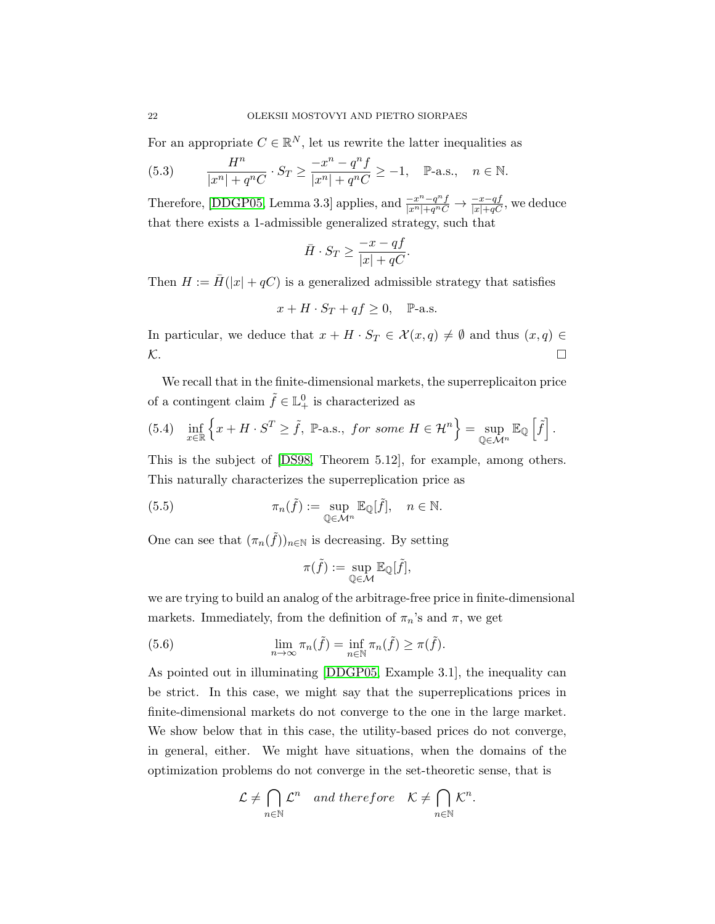For an appropriate  $C \in \mathbb{R}^N$ , let us rewrite the latter inequalities as

(5.3) 
$$
\frac{H^n}{|x^n| + q^n C} \cdot S_T \ge \frac{-x^n - q^n f}{|x^n| + q^n C} \ge -1, \quad \mathbb{P}\text{-a.s.,} \quad n \in \mathbb{N}.
$$

Therefore, [\[DDGP05,](#page-41-1) Lemma 3.3] applies, and  $\frac{-x^n - q^n f}{|x^n| + q^n C} \to \frac{-x - qf}{|x| + qC}$ , we deduce that there exists a 1-admissible generalized strategy, such that

$$
\bar{H}\cdot S_T\geq \frac{-x-qf}{|x|+qC}.
$$

Then  $H := \overline{H}(|x| + qC)$  is a generalized admissible strategy that satisfies

$$
x + H \cdot S_T + qf \ge 0, \quad P-a.s.
$$

In particular, we deduce that  $x + H \cdot S_T \in \mathcal{X}(x, q) \neq \emptyset$  and thus  $(x, q) \in$  $\mathcal{K}$ .

We recall that in the finite-dimensional markets, the superreplicaiton price of a contingent claim  $\tilde{f} \in \mathbb{L}_{+}^{0}$  is characterized as

(5.4) 
$$
\inf_{x \in \mathbb{R}} \left\{ x + H \cdot S^T \ge \tilde{f}, \ \mathbb{P}\text{-a.s., for some } H \in \mathcal{H}^n \right\} = \sup_{\mathbb{Q} \in \mathcal{M}^n} \mathbb{E}_{\mathbb{Q}} \left[ \tilde{f} \right].
$$

This is the subject of [\[DS98,](#page-42-15) Theorem 5.12], for example, among others. This naturally characterizes the superreplication price as

(5.5) 
$$
\pi_n(\tilde{f}) := \sup_{\mathbb{Q} \in \mathcal{M}^n} \mathbb{E}_{\mathbb{Q}}[\tilde{f}], \quad n \in \mathbb{N}.
$$

One can see that  $(\pi_n(\tilde{f}))_{n\in\mathbb{N}}$  is decreasing. By setting

$$
\pi(\tilde{f}) := \sup_{\mathbb{Q} \in \mathcal{M}} \mathbb{E}_{\mathbb{Q}}[\tilde{f}],
$$

we are trying to build an analog of the arbitrage-free price in finite-dimensional markets. Immediately, from the definition of  $\pi_n$ 's and  $\pi$ , we get

(5.6) 
$$
\lim_{n \to \infty} \pi_n(\tilde{f}) = \inf_{n \in \mathbb{N}} \pi_n(\tilde{f}) \ge \pi(\tilde{f}).
$$

As pointed out in illuminating [\[DDGP05,](#page-41-1) Example 3.1], the inequality can be strict. In this case, we might say that the superreplications prices in finite-dimensional markets do not converge to the one in the large market. We show below that in this case, the utility-based prices do not converge, in general, either. We might have situations, when the domains of the optimization problems do not converge in the set-theoretic sense, that is

$$
\mathcal{L} \neq \bigcap_{n \in \mathbb{N}} \mathcal{L}^n \quad and \ therefore \quad \mathcal{K} \neq \bigcap_{n \in \mathbb{N}} \mathcal{K}^n.
$$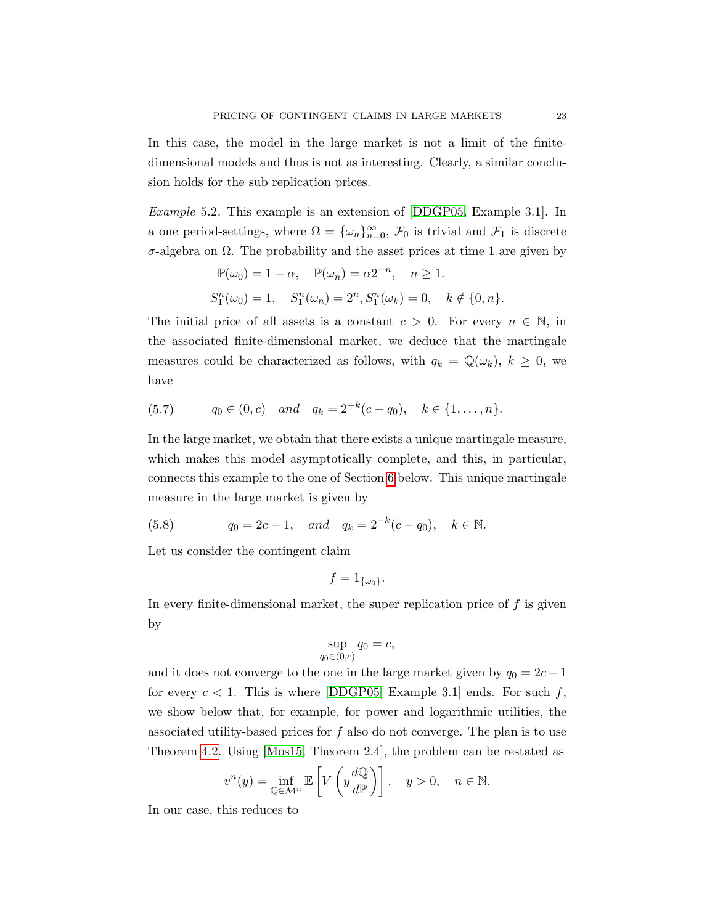In this case, the model in the large market is not a limit of the finitedimensional models and thus is not as interesting. Clearly, a similar conclusion holds for the sub replication prices.

Example 5.2. This example is an extension of [\[DDGP05,](#page-41-1) Example 3.1]. In a one period-settings, where  $\Omega = {\{\omega_n\}}_{n=0}^{\infty}$ ,  $\mathcal{F}_0$  is trivial and  $\mathcal{F}_1$  is discrete σ-algebra on Ω. The probability and the asset prices at time 1 are given by

$$
\mathbb{P}(\omega_0) = 1 - \alpha, \quad \mathbb{P}(\omega_n) = \alpha 2^{-n}, \quad n \ge 1.
$$
  

$$
S_1^n(\omega_0) = 1, \quad S_1^n(\omega_n) = 2^n, S_1^n(\omega_k) = 0, \quad k \notin \{0, n\}.
$$

The initial price of all assets is a constant  $c > 0$ . For every  $n \in \mathbb{N}$ , in the associated finite-dimensional market, we deduce that the martingale measures could be characterized as follows, with  $q_k = \mathbb{Q}(\omega_k)$ ,  $k \geq 0$ , we have

$$
(5.7) \t q_0 \in (0, c) \t and \t q_k = 2^{-k}(c - q_0), \t k \in \{1, ..., n\}.
$$

In the large market, we obtain that there exists a unique martingale measure, which makes this model asymptotically complete, and this, in particular, connects this example to the one of Section [6](#page-36-0) below. This unique martingale measure in the large market is given by

<span id="page-22-0"></span>(5.8) 
$$
q_0 = 2c - 1
$$
, and  $q_k = 2^{-k}(c - q_0)$ ,  $k \in \mathbb{N}$ .

Let us consider the contingent claim

$$
f=1_{\{\omega_0\}}.
$$

In every finite-dimensional market, the super replication price of  $f$  is given by

$$
\sup_{q_0 \in (0,c)} q_0 = c,
$$

and it does not converge to the one in the large market given by  $q_0 = 2c - 1$ for every  $c < 1$ . This is where [\[DDGP05,](#page-41-1) Example 3.1] ends. For such f, we show below that, for example, for power and logarithmic utilities, the associated utility-based prices for f also do not converge. The plan is to use Theorem [4.2.](#page-17-0) Using [\[Mos15,](#page-43-5) Theorem 2.4], the problem can be restated as

<span id="page-22-1"></span>
$$
v^{n}(y) = \inf_{\mathbb{Q} \in \mathcal{M}^{n}} \mathbb{E}\left[V\left(y\frac{d\mathbb{Q}}{d\mathbb{P}}\right)\right], \quad y > 0, \quad n \in \mathbb{N}.
$$

In our case, this reduces to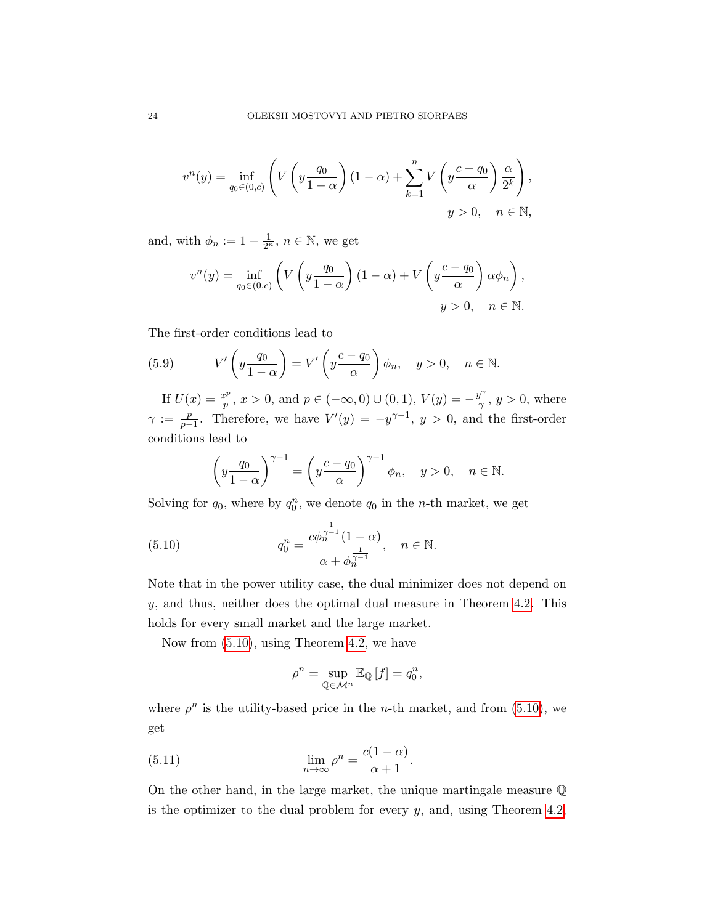$$
v^{n}(y) = \inf_{q_{0} \in (0, c)} \left( V\left(y \frac{q_{0}}{1-\alpha}\right)(1-\alpha) + \sum_{k=1}^{n} V\left(y \frac{c-q_{0}}{\alpha}\right) \frac{\alpha}{2^{k}} \right),
$$
  

$$
y > 0, \quad n \in \mathbb{N},
$$

and, with  $\phi_n := 1 - \frac{1}{2^n}$ ,  $n \in \mathbb{N}$ , we get

$$
v^{n}(y) = \inf_{q_{0} \in (0, c)} \left( V\left(y \frac{q_{0}}{1-\alpha}\right)(1-\alpha) + V\left(y \frac{c-q_{0}}{\alpha}\right) \alpha \phi_{n} \right),
$$
  

$$
y > 0, \quad n \in \mathbb{N}.
$$

The first-order conditions lead to

(5.9) 
$$
V'\left(y\frac{q_0}{1-\alpha}\right) = V'\left(y\frac{c-q_0}{\alpha}\right)\phi_n, \quad y > 0, \quad n \in \mathbb{N}.
$$

If  $U(x) = \frac{x^p}{n}$  $p^p(p^p, x > 0, \text{ and } p \in (-\infty, 0) \cup (0, 1), V(y) = -\frac{y^{\gamma}}{\gamma}$  $\frac{y'}{\gamma}$ ,  $y > 0$ , where  $\gamma := \frac{p}{n}$  $\frac{p}{p-1}$ . Therefore, we have  $V'(y) = -y^{\gamma-1}$ ,  $y > 0$ , and the first-order conditions lead to

<span id="page-23-0"></span>
$$
\left(y\frac{q_0}{1-\alpha}\right)^{\gamma-1} = \left(y\frac{c-q_0}{\alpha}\right)^{\gamma-1}\phi_n, \quad y > 0, \quad n \in \mathbb{N}.
$$

Solving for  $q_0$ , where by  $q_0^n$ , we denote  $q_0$  in the *n*-th market, we get

(5.10) 
$$
q_0^n = \frac{c\phi_n^{\frac{1}{\gamma-1}}(1-\alpha)}{\alpha + \phi_n^{\frac{1}{\gamma-1}}}, \quad n \in \mathbb{N}.
$$

Note that in the power utility case, the dual minimizer does not depend on  $y$ , and thus, neither does the optimal dual measure in Theorem [4.2.](#page-17-0) This holds for every small market and the large market.

Now from [\(5.10\)](#page-23-0), using Theorem [4.2,](#page-17-0) we have

<span id="page-23-1"></span>
$$
\rho^{n} = \sup_{\mathbb{Q} \in \mathcal{M}^{n}} \mathbb{E}_{\mathbb{Q}}[f] = q_{0}^{n},
$$

where  $\rho^n$  is the utility-based price in the *n*-th market, and from [\(5.10\)](#page-23-0), we get

(5.11) 
$$
\lim_{n \to \infty} \rho^n = \frac{c(1-\alpha)}{\alpha+1}.
$$

On the other hand, in the large market, the unique martingale measure Q is the optimizer to the dual problem for every  $y$ , and, using Theorem [4.2,](#page-17-0)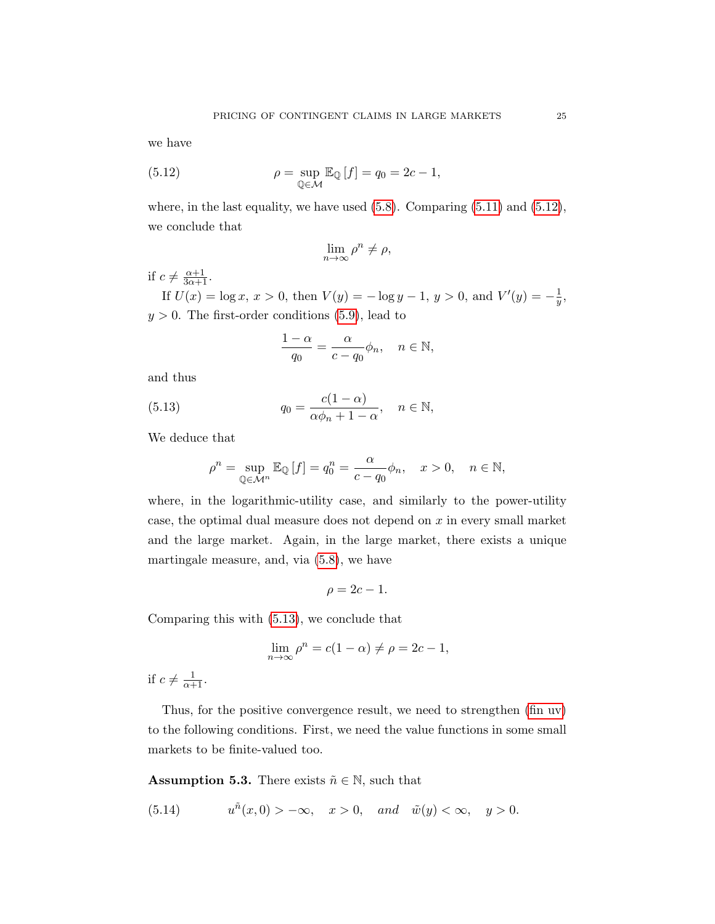we have

(5.12) 
$$
\rho = \sup_{\mathbb{Q} \in \mathcal{M}} \mathbb{E}_{\mathbb{Q}}[f] = q_0 = 2c - 1,
$$

where, in the last equality, we have used  $(5.8)$ . Comparing  $(5.11)$  and  $(5.12)$ , we conclude that

<span id="page-24-0"></span>
$$
\lim_{n\to\infty}\rho^n\neq\rho,
$$

if  $c \neq \frac{\alpha+1}{3\alpha+1}$ .

If  $U(x) = \log x, x > 0$ , then  $V(y) = -\log y - 1, y > 0$ , and  $V'(y) = -\frac{1}{y}$  $\frac{1}{y},$  $y > 0$ . The first-order conditions [\(5.9\)](#page-22-1), lead to

<span id="page-24-1"></span>
$$
\frac{1-\alpha}{q_0}=\frac{\alpha}{c-q_0}\phi_n,\quad n\in\mathbb{N},
$$

and thus

(5.13) 
$$
q_0 = \frac{c(1-\alpha)}{\alpha \phi_n + 1 - \alpha}, \quad n \in \mathbb{N},
$$

We deduce that

$$
\rho^{n} = \sup_{\mathbb{Q} \in \mathcal{M}^{n}} \mathbb{E}_{\mathbb{Q}}[f] = q_{0}^{n} = \frac{\alpha}{c - q_{0}} \phi_{n}, \quad x > 0, \quad n \in \mathbb{N},
$$

where, in the logarithmic-utility case, and similarly to the power-utility case, the optimal dual measure does not depend on  $x$  in every small market and the large market. Again, in the large market, there exists a unique martingale measure, and, via [\(5.8\)](#page-22-0), we have

$$
\rho = 2c - 1.
$$

Comparing this with [\(5.13\)](#page-24-1), we conclude that

$$
\lim_{n \to \infty} \rho^n = c(1 - \alpha) \neq \rho = 2c - 1,
$$

if  $c \neq \frac{1}{\alpha+1}$ .

Thus, for the positive convergence result, we need to strengthen [\(fin uv\)](#page-8-0) to the following conditions. First, we need the value functions in some small markets to be finite-valued too.

<span id="page-24-2"></span>**Assumption 5.3.** There exists  $\tilde{n} \in \mathbb{N}$ , such that

(5.14) 
$$
u^{\tilde{n}}(x,0) > -\infty, \quad x > 0, \quad and \quad \tilde{w}(y) < \infty, \quad y > 0.
$$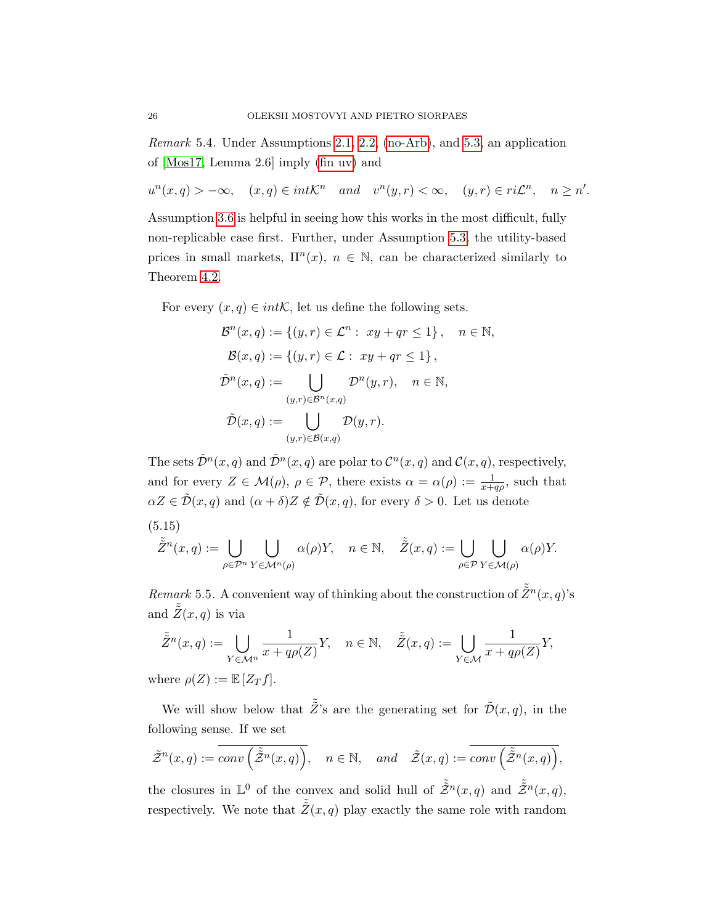Remark 5.4. Under Assumptions [2.1,](#page-5-1) [2.2,](#page-6-1) [\(no-Arb\)](#page-6-3), and [5.3,](#page-24-2) an application of [\[Mos17,](#page-43-4) Lemma 2.6] imply [\(fin uv\)](#page-8-0) and

 $u^{n}(x,q) > -\infty$ ,  $(x,q) \in int\mathcal{K}^{n}$  and  $v^{n}(y,r) < \infty$ ,  $(y,r) \in ri\mathcal{L}^{n}$ ,  $n \geq n'$ .

Assumption [3.6](#page-12-0) is helpful in seeing how this works in the most difficult, fully non-replicable case first. Further, under Assumption [5.3,](#page-24-2) the utility-based prices in small markets,  $\Pi^n(x)$ ,  $n \in \mathbb{N}$ , can be characterized similarly to Theorem [4.2.](#page-17-0)

For every  $(x, q) \in int\mathcal{K}$ , let us define the following sets.

$$
\mathcal{B}^n(x, q) := \{(y, r) \in \mathcal{L}^n : xy + qr \le 1\}, \quad n \in \mathbb{N},
$$
  

$$
\mathcal{B}(x, q) := \{(y, r) \in \mathcal{L} : xy + qr \le 1\},
$$
  

$$
\tilde{\mathcal{D}}^n(x, q) := \bigcup_{(y, r) \in \mathcal{B}^n(x, q)} \mathcal{D}^n(y, r), \quad n \in \mathbb{N},
$$
  

$$
\tilde{\mathcal{D}}(x, q) := \bigcup_{(y, r) \in \mathcal{B}(x, q)} \mathcal{D}(y, r).
$$

The sets  $\tilde{\mathcal{D}}^n(x,q)$  and  $\tilde{\mathcal{D}}^n(x,q)$  are polar to  $\mathcal{C}^n(x,q)$  and  $\mathcal{C}(x,q)$ , respectively, and for every  $Z \in \mathcal{M}(\rho)$ ,  $\rho \in \mathcal{P}$ , there exists  $\alpha = \alpha(\rho) := \frac{1}{x + q\rho}$ , such that  $\alpha Z \in \tilde{\mathcal{D}}(x,q)$  and  $(\alpha + \delta)Z \notin \tilde{\mathcal{D}}(x,q)$ , for every  $\delta > 0$ . Let us denote

(5.15)

$$
\tilde{\tilde{Z}}^n(x,q) := \bigcup_{\rho \in \mathcal{P}^n} \bigcup_{Y \in \mathcal{M}^n(\rho)} \alpha(\rho)Y, \quad n \in \mathbb{N}, \quad \tilde{\tilde{Z}}(x,q) := \bigcup_{\rho \in \mathcal{P}} \bigcup_{Y \in \mathcal{M}(\rho)} \alpha(\rho)Y.
$$

Remark 5.5. A convenient way of thinking about the construction of  $\tilde{\tilde{Z}}^n(x,q)$ 's and  $\tilde{\tilde{Z}}(x,q)$  is via

$$
\tilde{Z}^n(x,q) := \bigcup_{Y \in \mathcal{M}^n} \frac{1}{x + q\rho(Z)} Y, \quad n \in \mathbb{N}, \quad \tilde{Z}(x,q) := \bigcup_{Y \in \mathcal{M}} \frac{1}{x + q\rho(Z)} Y,
$$
  
here  $\rho(Z) := \mathbb{E}[Z_T f]$ 

where  $\rho(Z) := \mathbb{E}[Z_T f].$ 

We will show below that  $\tilde{Z}$ 's are the generating set for  $\tilde{\mathcal{D}}(x,q)$ , in the following sense. If we set

$$
\tilde{\mathcal{Z}}^n(x,q) := \overline{conv\left(\tilde{\mathcal{Z}}^n(x,q)\right)}, \quad n \in \mathbb{N}, \quad and \quad \tilde{\mathcal{Z}}(x,q) := \overline{conv\left(\tilde{\mathcal{Z}}^n(x,q)\right)},
$$

the closures in  $\mathbb{L}^0$  of the convex and solid hull of  $\tilde{\tilde{Z}}^n(x,q)$  and  $\tilde{\tilde{Z}}^n(x,q)$ , respectively. We note that  $\tilde{\tilde{Z}}(x, q)$  play exactly the same role with random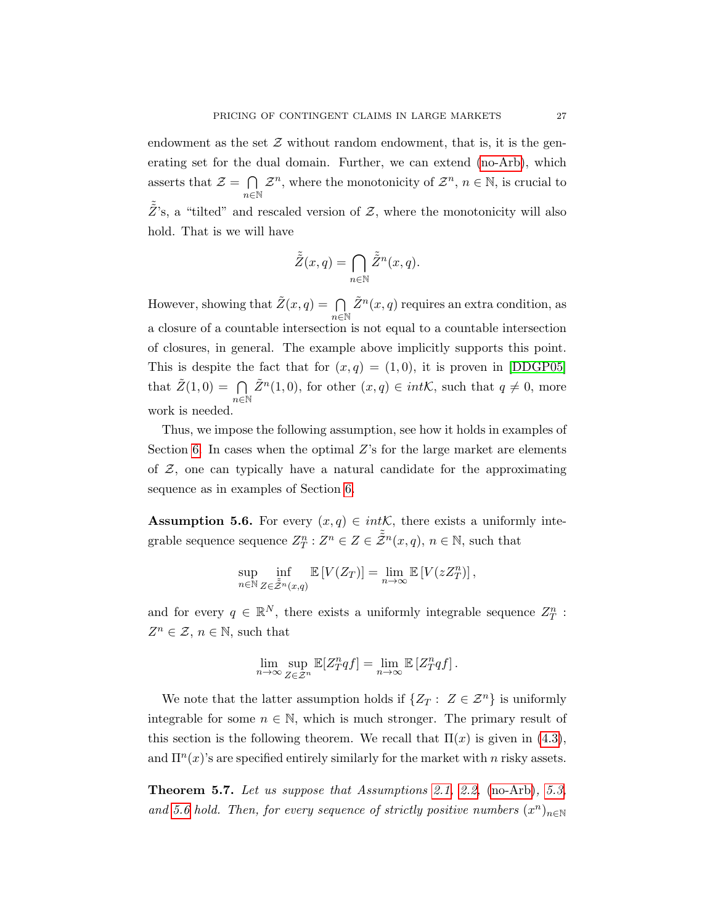endowment as the set  $\mathcal Z$  without random endowment, that is, it is the generating set for the dual domain. Further, we can extend [\(no-Arb\)](#page-6-3), which asserts that  $\mathcal{Z} = \bigcap$ n∈N  $\mathcal{Z}^n$ , where the monotonicity of  $\mathcal{Z}^n$ ,  $n \in \mathbb{N}$ , is crucial to  $\tilde{Z}$ 's, a "tilted" and rescaled version of  $\mathcal{Z}$ , where the monotonicity will also hold. That is we will have

<span id="page-26-2"></span>
$$
\tilde{\tilde{Z}}(x,q) = \bigcap_{n \in \mathbb{N}} \tilde{\tilde{Z}}^n(x,q).
$$

However, showing that  $\tilde{Z}(x, q) = \bigcap$  $n\in\mathbb{N}$  $\tilde{Z}^n(x,q)$  requires an extra condition, as a closure of a countable intersection is not equal to a countable intersection of closures, in general. The example above implicitly supports this point. This is despite the fact that for  $(x, q) = (1, 0)$ , it is proven in [\[DDGP05\]](#page-41-1) that  $\tilde{Z}(1,0) = \bigcap$  $n\in\mathbb{N}$  $\tilde{Z}^n(1,0)$ , for other  $(x,q) \in int\mathcal{K}$ , such that  $q \neq 0$ , more work is needed.

Thus, we impose the following assumption, see how it holds in examples of Section [6.](#page-36-0) In cases when the optimal Z's for the large market are elements of  $Z$ , one can typically have a natural candidate for the approximating sequence as in examples of Section [6.](#page-36-0)

<span id="page-26-1"></span>**Assumption 5.6.** For every  $(x, q) \in int\mathcal{K}$ , there exists a uniformly integrable sequence sequence  $Z_T^n : Z^n \in \tilde{\mathcal{Z}}^n(x,q)$ ,  $n \in \mathbb{N}$ , such that

$$
\sup_{n\in\mathbb{N}}\inf_{Z\in \tilde{\mathcal Z}^n(x,q)}\mathbb{E}\left[V(Z_T)\right]=\lim_{n\to\infty}\mathbb{E}\left[V(zZ_T^n)\right],
$$

and for every  $q \in \mathbb{R}^N$ , there exists a uniformly integrable sequence  $Z_T^n$ :  $Z^n \in \mathcal{Z}, n \in \mathbb{N}$ , such that

$$
\lim_{n\to\infty}\sup_{Z\in\mathcal{Z}^n}\mathbb{E}[Z^n_Tqf]=\lim_{n\to\infty}\mathbb{E}\left[Z^n_Tqf\right].
$$

We note that the latter assumption holds if  $\{Z_T : Z \in \mathcal{Z}^n\}$  is uniformly integrable for some  $n \in \mathbb{N}$ , which is much stronger. The primary result of this section is the following theorem. We recall that  $\Pi(x)$  is given in [\(4.3\)](#page-16-3), and  $\Pi^{n}(x)$ 's are specified entirely similarly for the market with n risky assets.

<span id="page-26-0"></span>Theorem 5.7. Let us suppose that Assumptions [2.1,](#page-5-1) [2.2,](#page-6-1) [\(no-Arb\)](#page-6-3), [5.3,](#page-24-2) and [5.6](#page-26-1) hold. Then, for every sequence of strictly positive numbers  $(x^n)_{n\in\mathbb{N}}$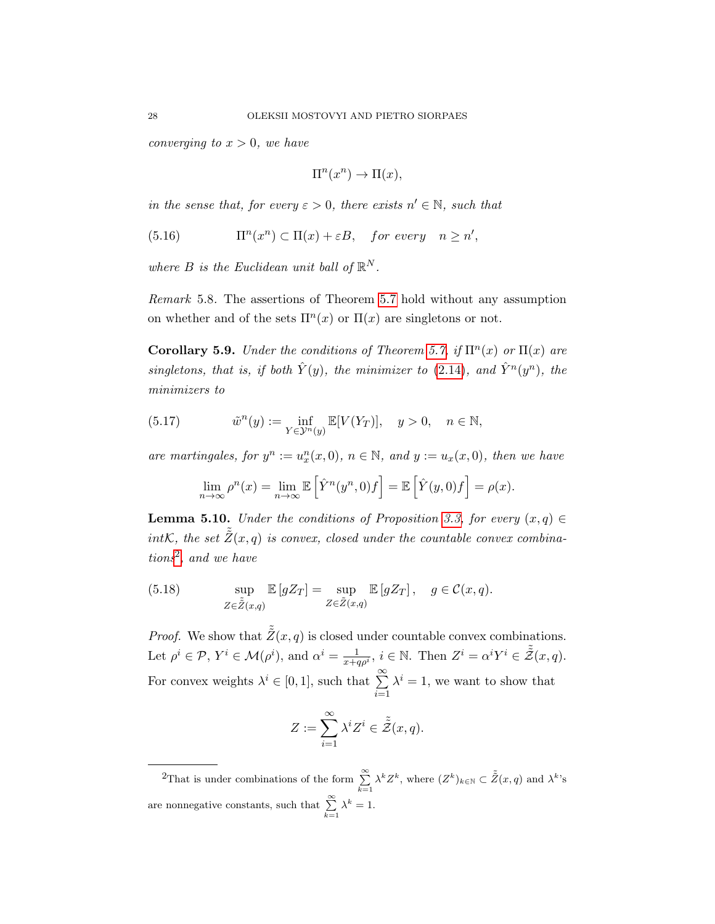*converging to*  $x > 0$ *, we have* 

$$
\Pi^n(x^n) \to \Pi(x),
$$

in the sense that, for every  $\varepsilon > 0$ , there exists  $n' \in \mathbb{N}$ , such that

(5.16) 
$$
\Pi^{n}(x^{n}) \subset \Pi(x) + \varepsilon B, \quad \text{for every} \quad n \geq n',
$$

where B is the Euclidean unit ball of  $\mathbb{R}^N$ .

Remark 5.8. The assertions of Theorem [5.7](#page-26-0) hold without any assumption on whether and of the sets  $\Pi^n(x)$  or  $\Pi(x)$  are singletons or not.

Corollary 5.9. Under the conditions of Theorem [5.7,](#page-26-0) if  $\Pi^n(x)$  or  $\Pi(x)$  are singletons, that is, if both  $\hat{Y}(y)$ , the minimizer to [\(2.14\)](#page-8-4), and  $\hat{Y}^n(y^n)$ , the minimizers to

(5.17) 
$$
\tilde{w}^n(y) := \inf_{Y \in \mathcal{Y}^n(y)} \mathbb{E}[V(Y_T)], \quad y > 0, \quad n \in \mathbb{N},
$$

are martingales, for  $y^n := u_x^n(x,0)$ ,  $n \in \mathbb{N}$ , and  $y := u_x(x,0)$ , then we have

$$
\lim_{n \to \infty} \rho^n(x) = \lim_{n \to \infty} \mathbb{E}\left[\hat{Y}^n(y^n, 0)f\right] = \mathbb{E}\left[\hat{Y}(y, 0)f\right] = \rho(x).
$$

<span id="page-27-2"></span>**Lemma 5.10.** Under the conditions of Proposition [3.3,](#page-10-0) for every  $(x, q) \in$ intK, the set  $\tilde{\tilde{Z}}(x,q)$  is convex, closed under the countable convex combinations[2](#page-27-0) , and we have

<span id="page-27-1"></span>(5.18) 
$$
\sup_{Z \in \tilde{Z}(x,q)} \mathbb{E}\left[gZ_T\right] = \sup_{Z \in \tilde{Z}(x,q)} \mathbb{E}\left[gZ_T\right], \quad g \in \mathcal{C}(x,q).
$$

*Proof.* We show that  $\tilde{Z}(x, q)$  is closed under countable convex combinations. Let  $\rho^i \in \mathcal{P}, Y^i \in \mathcal{M}(\rho^i)$ , and  $\alpha^i = \frac{1}{x+q\rho^i}, i \in \mathbb{N}$ . Then  $Z^i = \alpha^i Y^i \in \tilde{\tilde{Z}}(x, q)$ . For convex weights  $\lambda^i \in [0,1]$ , such that  $\sum_{i=1}^{\infty}$  $i=1$  $\lambda^i = 1$ , we want to show that

$$
Z := \sum_{i=1}^{\infty} \lambda^i Z^i \in \tilde{\tilde{Z}}(x, q).
$$

<span id="page-27-0"></span><sup>2</sup>That is under combinations of the form  $\sum_{k=1}^{\infty} \lambda^k Z^k$ , where  $(Z^k)_{k \in \mathbb{N}} \subset \tilde{Z}(x, q)$  and  $\lambda^k$ 's are nonnegative constants, such that  $\sum_{k=1}^{\infty} \lambda^k = 1$ .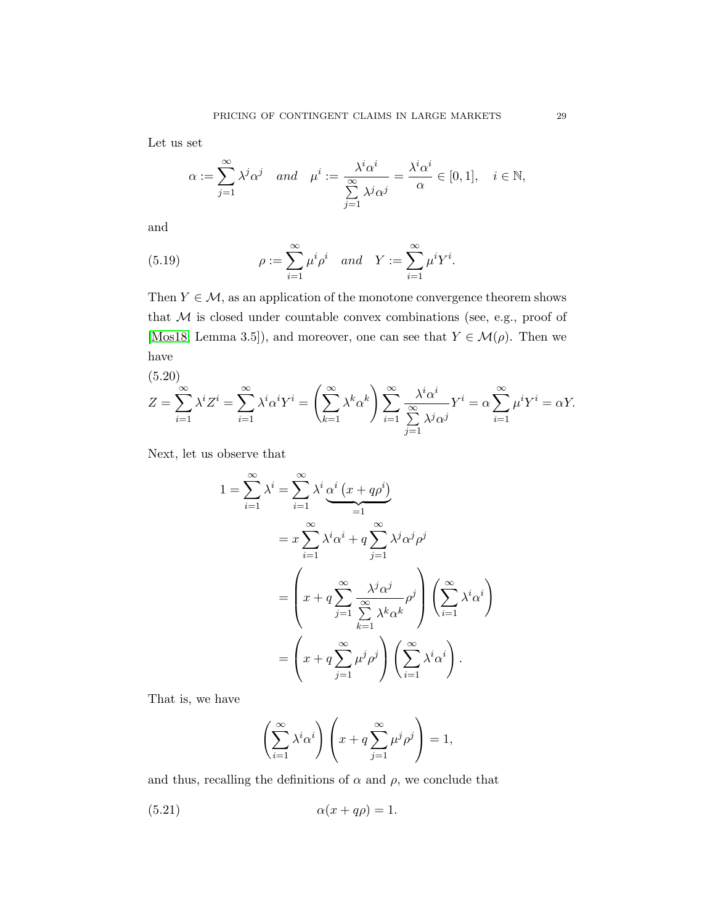Let us set

$$
\alpha:=\sum_{j=1}^\infty \lambda^j\alpha^j\quad and\quad \mu^i:=\frac{\lambda^i\alpha^i}{\sum\limits_{j=1}^\infty \lambda^j\alpha^j}=\frac{\lambda^i\alpha^i}{\alpha}\in [0,1],\quad i\in\mathbb{N},
$$

and

<span id="page-28-0"></span>(5.19) 
$$
\rho := \sum_{i=1}^{\infty} \mu^i \rho^i \text{ and } Y := \sum_{i=1}^{\infty} \mu^i Y^i.
$$

Then  $Y \in \mathcal{M}$ , as an application of the monotone convergence theorem shows that  $M$  is closed under countable convex combinations (see, e.g., proof of [\[Mos18,](#page-43-0) Lemma 3.5]), and moreover, one can see that  $Y \in \mathcal{M}(\rho)$ . Then we have

<span id="page-28-1"></span>(5.20)  
\n
$$
Z = \sum_{i=1}^{\infty} \lambda^i Z^i = \sum_{i=1}^{\infty} \lambda^i \alpha^i Y^i = \left(\sum_{k=1}^{\infty} \lambda^k \alpha^k\right) \sum_{i=1}^{\infty} \frac{\lambda^i \alpha^i}{\sum_{j=1}^{\infty} \lambda^j \alpha^j} Y^i = \alpha \sum_{i=1}^{\infty} \mu^i Y^i = \alpha Y.
$$

Next, let us observe that

<span id="page-28-2"></span> $1\,$ 

$$
= \sum_{i=1}^{\infty} \lambda^{i} = \sum_{i=1}^{\infty} \lambda^{i} \underbrace{\alpha^{i} (x + q\rho^{i})}_{=1}
$$
  

$$
= x \sum_{i=1}^{\infty} \lambda^{i} \alpha^{i} + q \sum_{j=1}^{\infty} \lambda^{j} \alpha^{j} \rho^{j}
$$
  

$$
= \left( x + q \sum_{j=1}^{\infty} \frac{\lambda^{j} \alpha^{j}}{\sum_{k=1}^{\infty} \lambda^{k} \alpha^{k}} \rho^{j} \right) \left( \sum_{i=1}^{\infty} \lambda^{i} \alpha^{i} \right)
$$
  

$$
= \left( x + q \sum_{j=1}^{\infty} \mu^{j} \rho^{j} \right) \left( \sum_{i=1}^{\infty} \lambda^{i} \alpha^{i} \right).
$$

That is, we have

$$
\left(\sum_{i=1}^{\infty} \lambda^i \alpha^i \right) \left( x + q \sum_{j=1}^{\infty} \mu^j \rho^j \right) = 1,
$$

and thus, recalling the definitions of  $\alpha$  and  $\rho$ , we conclude that

$$
(5.21) \qquad \alpha(x+q\rho) = 1.
$$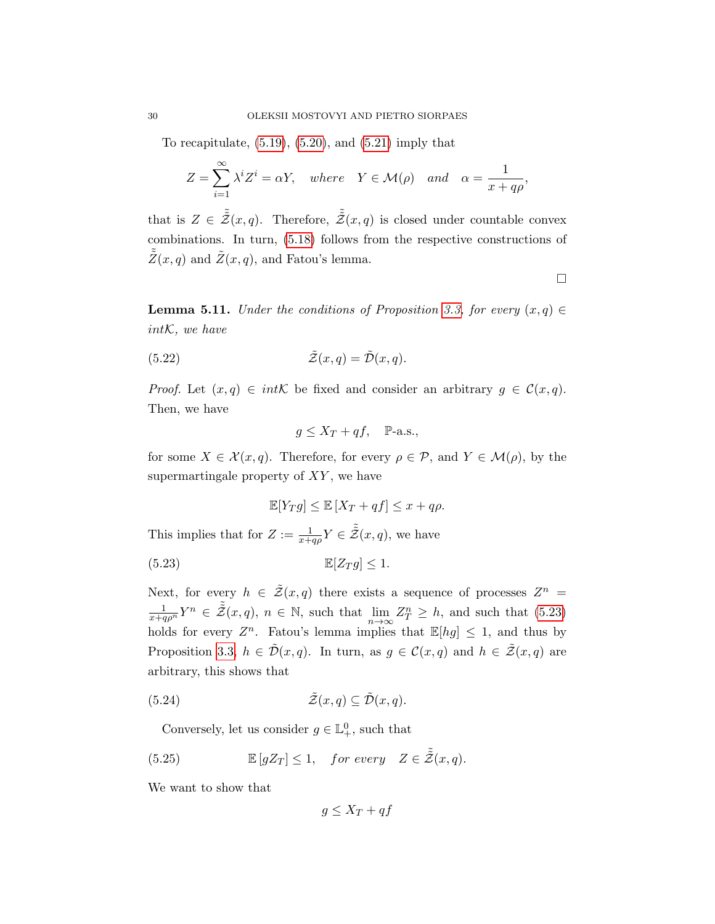To recapitulate,  $(5.19)$ ,  $(5.20)$ , and  $(5.21)$  imply that

$$
Z = \sum_{i=1}^{\infty} \lambda^i Z^i = \alpha Y, \quad where \quad Y \in \mathcal{M}(\rho) \quad and \quad \alpha = \frac{1}{x + q\rho},
$$

that is  $Z \in \tilde{\tilde{\mathcal{Z}}}(x,q)$ . Therefore,  $\tilde{\tilde{\mathcal{Z}}}(x,q)$  is closed under countable convex combinations. In turn, [\(5.18\)](#page-27-1) follows from the respective constructions of  $\tilde{\tilde{Z}}(x,q)$  and  $\tilde{Z}(x,q)$ , and Fatou's lemma.

 $\Box$ 

<span id="page-29-4"></span>**Lemma 5.11.** Under the conditions of Proposition [3.3,](#page-10-0) for every  $(x, q) \in$ intK, we have

(5.22) 
$$
\tilde{\mathcal{Z}}(x,q) = \tilde{\mathcal{D}}(x,q).
$$

*Proof.* Let  $(x, q) \in int\mathcal{K}$  be fixed and consider an arbitrary  $g \in \mathcal{C}(x, q)$ . Then, we have

<span id="page-29-3"></span>
$$
g \le X_T + qf, \quad P-a.s.,
$$

for some  $X \in \mathcal{X}(x,q)$ . Therefore, for every  $\rho \in \mathcal{P}$ , and  $Y \in \mathcal{M}(\rho)$ , by the supermartingale property of  $XY$ , we have

<span id="page-29-0"></span>
$$
\mathbb{E}[Y_T g] \le \mathbb{E}[X_T + qf] \le x + q\rho.
$$

This implies that for  $Z := \frac{1}{x+q\rho} Y \in \tilde{\tilde{Z}}(x,q)$ , we have

$$
\mathbb{E}[Z_T g] \le 1.
$$

Next, for every  $h \in \tilde{\mathcal{Z}}(x,q)$  there exists a sequence of processes  $Z^n =$  $\frac{1}{x+q\rho^n}Y^n \in \tilde{\mathcal{Z}}(x,q), n \in \mathbb{N}$ , such that  $\lim_{n \to \infty} Z_T^n \geq h$ , and such that [\(5.23\)](#page-29-0) holds for every  $Z^n$ . Fatou's lemma implies that  $\mathbb{E}[hg] \leq 1$ , and thus by Proposition [3.3,](#page-10-0)  $h \in \tilde{\mathcal{D}}(x,q)$ . In turn, as  $g \in \mathcal{C}(x,q)$  and  $h \in \tilde{\mathcal{Z}}(x,q)$  are arbitrary, this shows that

(5.24) 
$$
\tilde{\mathcal{Z}}(x,q) \subseteq \tilde{\mathcal{D}}(x,q).
$$

<span id="page-29-1"></span>Conversely, let us consider  $g \in \mathbb{L}^0_+$ , such that

(5.25) 
$$
\mathbb{E}\left[gZ_T\right] \leq 1, \quad \text{for every} \quad Z \in \tilde{\tilde{Z}}(x,q).
$$

We want to show that

<span id="page-29-2"></span>
$$
g \le X_T + qf
$$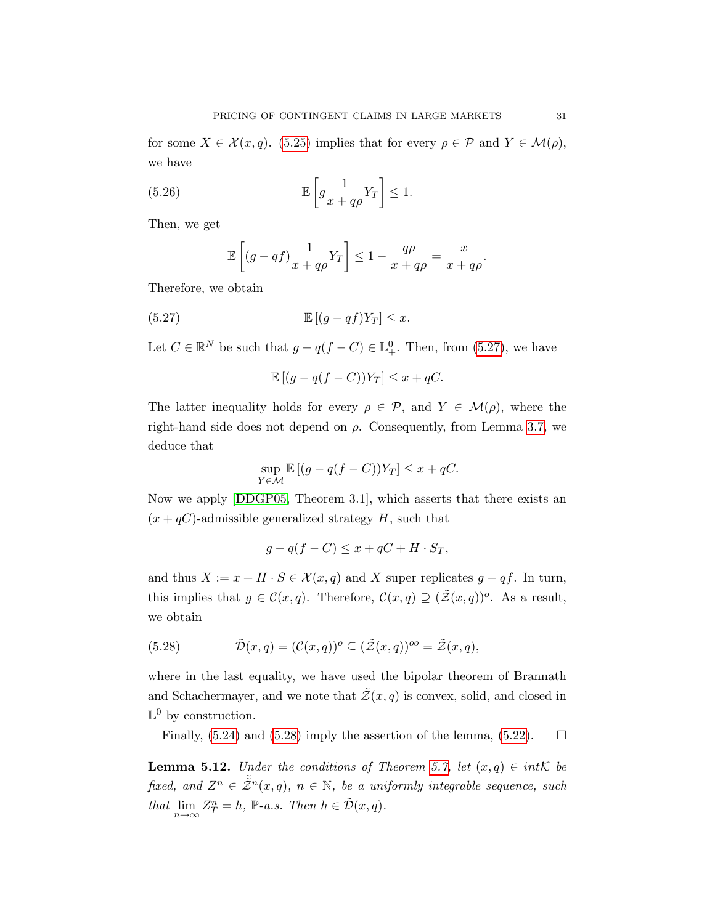for some  $X \in \mathcal{X}(x,q)$ . [\(5.25\)](#page-29-1) implies that for every  $\rho \in \mathcal{P}$  and  $Y \in \mathcal{M}(\rho)$ , we have

(5.26) 
$$
\mathbb{E}\left[g\frac{1}{x+q\rho}Y_T\right] \leq 1.
$$

Then, we get

<span id="page-30-0"></span>
$$
\mathbb{E}\left[ (g - qf)\frac{1}{x + q\rho}Y_T \right] \le 1 - \frac{q\rho}{x + q\rho} = \frac{x}{x + q\rho}.
$$

Therefore, we obtain

(5.27) 
$$
\mathbb{E}[(g-qf)Y_T] \leq x.
$$

Let  $C \in \mathbb{R}^N$  be such that  $g - q(f - C) \in \mathbb{L}^0_+$ . Then, from [\(5.27\)](#page-30-0), we have

<span id="page-30-1"></span>
$$
\mathbb{E}[(g - q(f - C))Y_T] \le x + qC.
$$

The latter inequality holds for every  $\rho \in \mathcal{P}$ , and  $Y \in \mathcal{M}(\rho)$ , where the right-hand side does not depend on  $\rho$ . Consequently, from Lemma [3.7,](#page-12-1) we deduce that

$$
\sup_{Y \in \mathcal{M}} \mathbb{E} \left[ (g - q(f - C))Y_T \right] \le x + qC.
$$

Now we apply [\[DDGP05,](#page-41-1) Theorem 3.1], which asserts that there exists an  $(x + qC)$ -admissible generalized strategy H, such that

$$
g - q(f - C) \le x + qC + H \cdot S_T,
$$

and thus  $X := x + H \cdot S \in \mathcal{X}(x, q)$  and X super replicates  $g - qf$ . In turn, this implies that  $g \in \mathcal{C}(x,q)$ . Therefore,  $\mathcal{C}(x,q) \supseteq (\tilde{\mathcal{Z}}(x,q))^o$ . As a result, we obtain

(5.28) 
$$
\tilde{\mathcal{D}}(x,q) = (\mathcal{C}(x,q))^o \subseteq (\tilde{\mathcal{Z}}(x,q))^{oo} = \tilde{\mathcal{Z}}(x,q),
$$

where in the last equality, we have used the bipolar theorem of Brannath and Schachermayer, and we note that  $\tilde{Z}(x, q)$  is convex, solid, and closed in  $\mathbb{L}^0$  by construction.

Finally,  $(5.24)$  and  $(5.28)$  imply the assertion of the lemma,  $(5.22)$ .  $\Box$ 

<span id="page-30-2"></span>**Lemma 5.12.** Under the conditions of Theorem [5.7,](#page-26-0) let  $(x, q) \in int\mathcal{K}$  be fixed, and  $Z^n \in \tilde{\mathcal{Z}}^n(x,q)$ ,  $n \in \mathbb{N}$ , be a uniformly integrable sequence, such that  $\lim_{n \to \infty} Z_T^n = h$ ,  $\mathbb{P}\text{-}a.s.$  Then  $h \in \tilde{\mathcal{D}}(x, q)$ .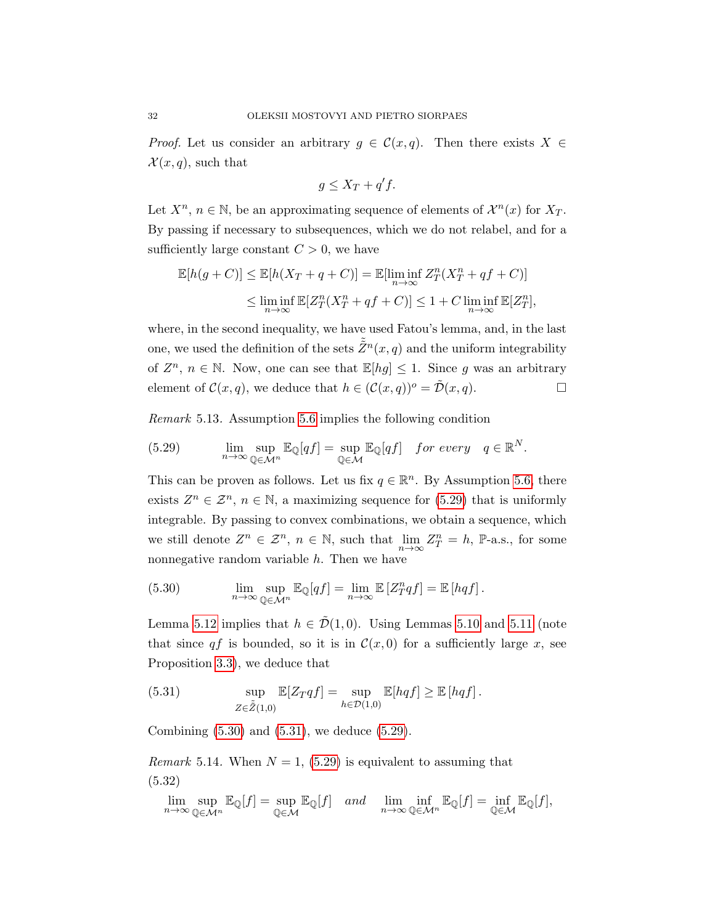*Proof.* Let us consider an arbitrary  $g \in \mathcal{C}(x,q)$ . Then there exists  $X \in$  $\mathcal{X}(x,q)$ , such that

$$
g \le X_T + q'f.
$$

Let  $X^n$ ,  $n \in \mathbb{N}$ , be an approximating sequence of elements of  $\mathcal{X}^n(x)$  for  $X_T$ . By passing if necessary to subsequences, which we do not relabel, and for a sufficiently large constant  $C > 0$ , we have

<span id="page-31-0"></span>
$$
\mathbb{E}[h(g+C)] \leq \mathbb{E}[h(X_T + q + C)] = \mathbb{E}[\liminf_{n \to \infty} Z_T^n(X_T^n + qf + C)]
$$
  

$$
\leq \liminf_{n \to \infty} \mathbb{E}[Z_T^n(X_T^n + qf + C)] \leq 1 + C \liminf_{n \to \infty} \mathbb{E}[Z_T^n],
$$

where, in the second inequality, we have used Fatou's lemma, and, in the last one, we used the definition of the sets  $\tilde{\tilde{Z}}^n(x,q)$  and the uniform integrability of  $\mathbb{Z}^n$ ,  $n \in \mathbb{N}$ . Now, one can see that  $\mathbb{E}[hg] \leq 1$ . Since g was an arbitrary element of  $\mathcal{C}(x,q)$ , we deduce that  $h \in (\mathcal{C}(x,q))^o = \tilde{\mathcal{D}}(x,q)$ .

Remark 5.13. Assumption [5.6](#page-26-1) implies the following condition

(5.29) 
$$
\lim_{n \to \infty} \sup_{\mathbb{Q} \in \mathcal{M}^n} \mathbb{E}_{\mathbb{Q}}[qf] = \sup_{\mathbb{Q} \in \mathcal{M}} \mathbb{E}_{\mathbb{Q}}[qf] \text{ for every } q \in \mathbb{R}^N.
$$

This can be proven as follows. Let us fix  $q \in \mathbb{R}^n$ . By Assumption [5.6,](#page-26-1) there exists  $Z^n \in \mathcal{Z}^n$ ,  $n \in \mathbb{N}$ , a maximizing sequence for [\(5.29\)](#page-31-0) that is uniformly integrable. By passing to convex combinations, we obtain a sequence, which we still denote  $Z^n \in \mathcal{Z}^n$ ,  $n \in \mathbb{N}$ , such that  $\lim_{n\to\infty} Z^n_T = h$ ,  $\mathbb{P}\text{-a.s.,}$  for some nonnegative random variable h. Then we have

<span id="page-31-1"></span>(5.30) 
$$
\lim_{n \to \infty} \sup_{\mathbb{Q} \in \mathcal{M}^n} \mathbb{E}_{\mathbb{Q}}[qf] = \lim_{n \to \infty} \mathbb{E}[Z_T^n qf] = \mathbb{E}[hqf].
$$

Lemma [5.12](#page-30-2) implies that  $h \in \tilde{\mathcal{D}}(1,0)$ . Using Lemmas [5.10](#page-27-2) and [5.11](#page-29-4) (note that since qf is bounded, so it is in  $\mathcal{C}(x, 0)$  for a sufficiently large x, see Proposition [3.3\)](#page-10-0), we deduce that

<span id="page-31-2"></span>(5.31) 
$$
\sup_{Z \in \tilde{Z}(1,0)} \mathbb{E}[Z_T q f] = \sup_{h \in \mathcal{D}(1,0)} \mathbb{E}[hq f] \geq \mathbb{E}[hq f].
$$

Combining [\(5.30\)](#page-31-1) and [\(5.31\)](#page-31-2), we deduce [\(5.29\)](#page-31-0).

Remark 5.14. When  $N = 1$ , [\(5.29\)](#page-31-0) is equivalent to assuming that (5.32)

<span id="page-31-3"></span>
$$
\lim_{n \to \infty} \sup_{\mathbb{Q} \in \mathcal{M}^n} \mathbb{E}_{\mathbb{Q}}[f] = \sup_{\mathbb{Q} \in \mathcal{M}} \mathbb{E}_{\mathbb{Q}}[f] \quad and \quad \lim_{n \to \infty} \inf_{\mathbb{Q} \in \mathcal{M}^n} \mathbb{E}_{\mathbb{Q}}[f] = \inf_{\mathbb{Q} \in \mathcal{M}} \mathbb{E}_{\mathbb{Q}}[f],
$$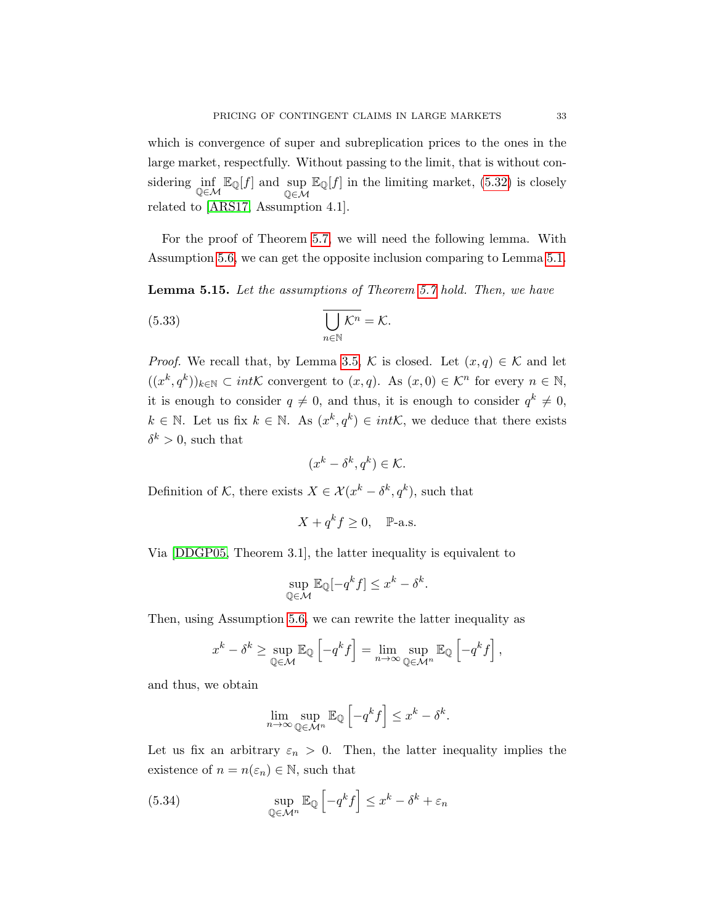which is convergence of super and subreplication prices to the ones in the large market, respectfully. Without passing to the limit, that is without considering  $inf_{\mathbb{Q}\in\mathcal{M}} \mathbb{E}_{\mathbb{Q}}[f]$  and  $sup_{\mathbb{Q}\in\mathcal{M}} \mathbb{E}_{\mathbb{Q}}[f]$  in the limiting market, [\(5.32\)](#page-31-3) is closely  $Q\in\mathcal{M}$ related to [\[ARS17,](#page-41-5) Assumption 4.1].

For the proof of Theorem [5.7,](#page-26-0) we will need the following lemma. With Assumption [5.6,](#page-26-1) we can get the opposite inclusion comparing to Lemma [5.1.](#page-20-1)

<span id="page-32-2"></span>Lemma 5.15. Let the assumptions of Theorem [5.7](#page-26-0) hold. Then, we have

(5.33) 
$$
\overline{\bigcup_{n\in\mathbb{N}}\mathcal{K}^n}=\mathcal{K}.
$$

*Proof.* We recall that, by Lemma [3.5,](#page-11-2) K is closed. Let  $(x, q) \in K$  and let  $((x^k, q^k))_{k \in \mathbb{N}} \subset int\mathcal{K}$  convergent to  $(x, q)$ . As  $(x, 0) \in \mathcal{K}^n$  for every  $n \in \mathbb{N}$ , it is enough to consider  $q \neq 0$ , and thus, it is enough to consider  $q^k \neq 0$ ,  $k \in \mathbb{N}$ . Let us fix  $k \in \mathbb{N}$ . As  $(x^k, q^k) \in int\mathcal{K}$ , we deduce that there exists  $\delta^k > 0$ , such that

<span id="page-32-1"></span>
$$
(x^k - \delta^k, q^k) \in \mathcal{K}.
$$

Definition of K, there exists  $X \in \mathcal{X}(x^k - \delta^k, q^k)$ , such that

$$
X + q^k f \ge 0, \quad P-a.s.
$$

Via [\[DDGP05,](#page-41-1) Theorem 3.1], the latter inequality is equivalent to

$$
\sup_{\mathbb{Q}\in\mathcal{M}} \mathbb{E}_{\mathbb{Q}}[-q^k f] \le x^k - \delta^k.
$$

Then, using Assumption [5.6,](#page-26-1) we can rewrite the latter inequality as

<span id="page-32-0"></span>
$$
x^{k} - \delta^{k} \ge \sup_{\mathbb{Q} \in \mathcal{M}} \mathbb{E}_{\mathbb{Q}} \left[ -q^{k} f \right] = \lim_{n \to \infty} \sup_{\mathbb{Q} \in \mathcal{M}^{n}} \mathbb{E}_{\mathbb{Q}} \left[ -q^{k} f \right],
$$

and thus, we obtain

$$
\lim_{n \to \infty} \sup_{\mathbb{Q} \in \mathcal{M}^n} \mathbb{E}_{\mathbb{Q}} \left[ -q^k f \right] \leq x^k - \delta^k.
$$

Let us fix an arbitrary  $\varepsilon_n > 0$ . Then, the latter inequality implies the existence of  $n = n(\varepsilon_n) \in \mathbb{N}$ , such that

(5.34) 
$$
\sup_{\mathbb{Q}\in\mathcal{M}^n} \mathbb{E}_{\mathbb{Q}}\left[-q^k f\right] \leq x^k - \delta^k + \varepsilon_n
$$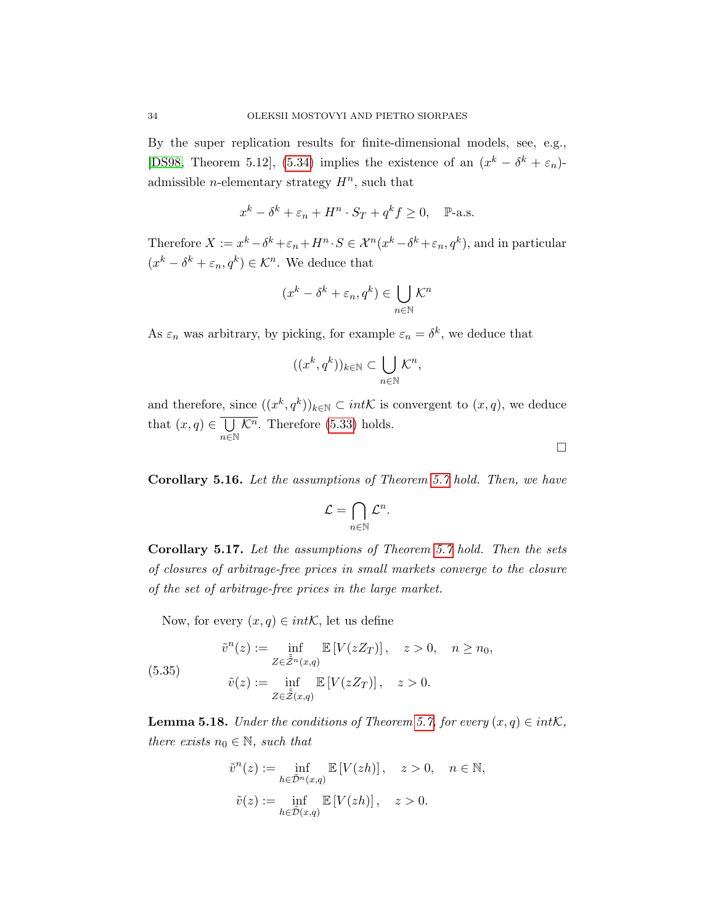By the super replication results for finite-dimensional models, see, e.g., [\[DS98,](#page-42-15) Theorem 5.12], [\(5.34\)](#page-32-0) implies the existence of an  $(x^k - \delta^k + \varepsilon_n)$ admissible *n*-elementary strategy  $H^n$ , such that

$$
x^k - \delta^k + \varepsilon_n + H^n \cdot S_T + q^k f \ge 0, \quad \mathbb{P}\text{-a.s.}
$$

Therefore  $X := x^k - \delta^k + \varepsilon_n + H^n \cdot S \in \mathcal{X}^n(x^k - \delta^k + \varepsilon_n, q^k)$ , and in particular  $(x^k - \delta^k + \varepsilon_n, q^k) \in \mathcal{K}^n$ . We deduce that

$$
(x^k - \delta^k + \varepsilon_n, q^k) \in \bigcup_{n \in \mathbb{N}} \mathcal{K}^n
$$

As  $\varepsilon_n$  was arbitrary, by picking, for example  $\varepsilon_n = \delta^k$ , we deduce that

$$
((x^k, q^k))_{k \in \mathbb{N}} \subset \bigcup_{n \in \mathbb{N}} \mathcal{K}^n,
$$

and therefore, since  $((x^k, q^k))_{k \in \mathbb{N}} \subset int\mathcal{K}$  is convergent to  $(x, q)$ , we deduce that  $(x,q) \in \bigcup$  $n\bar{\in}\mathbb{N}$  $\overline{\mathcal{K}^n}$ . Therefore [\(5.33\)](#page-32-1) holds.  $\Box$ 

<span id="page-33-2"></span>Corollary 5.16. Let the assumptions of Theorem [5.7](#page-26-0) hold. Then, we have

$$
\mathcal{L} = \bigcap_{n \in \mathbb{N}} \mathcal{L}^n.
$$

Corollary 5.17. Let the assumptions of Theorem [5.7](#page-26-0) hold. Then the sets of closures of arbitrage-free prices in small markets converge to the closure of the set of arbitrage-free prices in the large market.

Now, for every  $(x, q) \in int\mathcal{K}$ , let us define

(5.35) 
$$
\tilde{v}^n(z) := \inf_{Z \in \tilde{\mathcal{Z}}^n(x,q)} \mathbb{E}\left[V(zZ_T)\right], \quad z > 0, \quad n \ge n_0,
$$

$$
\tilde{v}(z) := \inf_{Z \in \tilde{\mathcal{Z}}(x,q)} \mathbb{E}\left[V(zZ_T)\right], \quad z > 0.
$$

<span id="page-33-1"></span><span id="page-33-0"></span>**Lemma 5.18.** Under the conditions of Theorem [5.7,](#page-26-0) for every  $(x, q) \in int\mathcal{K}$ , there exists  $n_0 \in \mathbb{N}$ , such that

$$
\tilde{v}^n(z) := \inf_{h \in \tilde{D}^n(x,q)} \mathbb{E}\left[V(zh)\right], \quad z > 0, \quad n \in \mathbb{N},
$$
  

$$
\tilde{v}(z) := \inf_{h \in \tilde{D}(x,q)} \mathbb{E}\left[V(zh)\right], \quad z > 0.
$$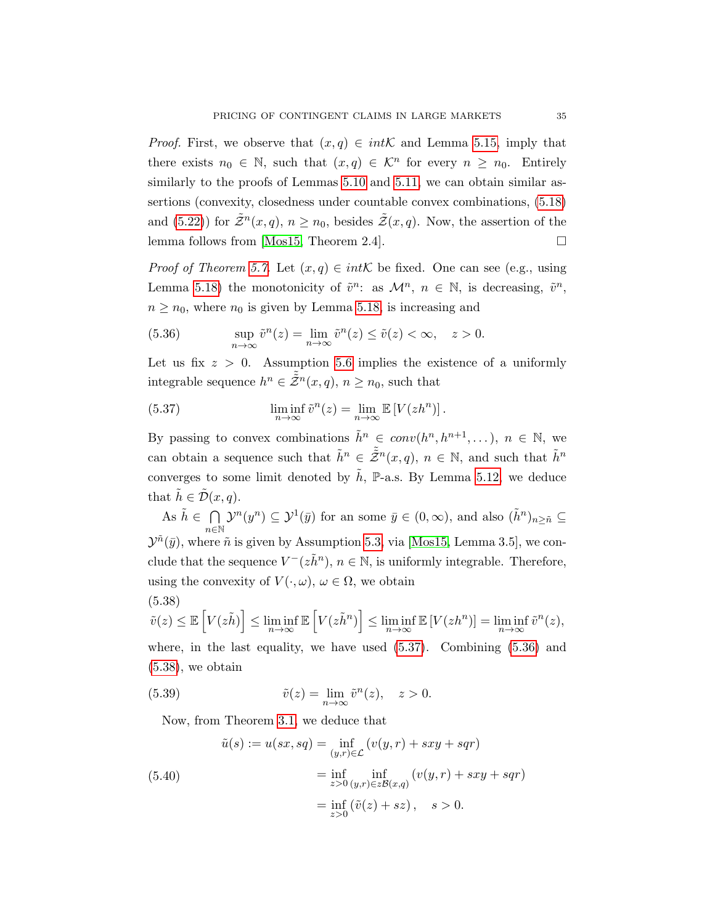*Proof.* First, we observe that  $(x, q) \in int\mathcal{K}$  and Lemma [5.15,](#page-32-2) imply that there exists  $n_0 \in \mathbb{N}$ , such that  $(x, q) \in \mathcal{K}^n$  for every  $n \geq n_0$ . Entirely similarly to the proofs of Lemmas [5.10](#page-27-2) and [5.11,](#page-29-4) we can obtain similar assertions (convexity, closedness under countable convex combinations, [\(5.18\)](#page-27-1) and [\(5.22\)](#page-29-3)) for  $\tilde{Z}^n(x,q)$ ,  $n \geq n_0$ , besides  $\tilde{Z}(x,q)$ . Now, the assertion of the lemma follows from [\[Mos15,](#page-43-5) Theorem 2.4].  $\square$ 

*Proof of Theorem [5.7.](#page-26-0)* Let  $(x, q) \in int\mathcal{K}$  be fixed. One can see (e.g., using Lemma [5.18\)](#page-33-0) the monotonicity of  $\tilde{v}^n$ : as  $\mathcal{M}^n$ ,  $n \in \mathbb{N}$ , is decreasing,  $\tilde{v}^n$ ,  $n \geq n_0$ , where  $n_0$  is given by Lemma [5.18,](#page-33-0) is increasing and

(5.36) 
$$
\sup_{n \to \infty} \tilde{v}^n(z) = \lim_{n \to \infty} \tilde{v}^n(z) \le \tilde{v}(z) < \infty, \quad z > 0.
$$

Let us fix  $z > 0$ . Assumption [5.6](#page-26-1) implies the existence of a uniformly integrable sequence  $h^n \in \tilde{Z}^n(x,q)$ ,  $n \geq n_0$ , such that

<span id="page-34-0"></span>(5.37) 
$$
\liminf_{n \to \infty} \tilde{v}^n(z) = \lim_{n \to \infty} \mathbb{E} \left[ V(zh^n) \right].
$$

By passing to convex combinations  $\tilde{h}^n \in conv(h^n, h^{n+1}, \ldots), n \in \mathbb{N}$ , we can obtain a sequence such that  $\tilde{h}^n \in \tilde{\tilde{Z}}^n(x,q)$ ,  $n \in \mathbb{N}$ , and such that  $\tilde{h}^n$ converges to some limit denoted by  $\tilde{h}$ , P-a.s. By Lemma [5.12,](#page-30-2) we deduce that  $h \in \tilde{\mathcal{D}}(x,q)$ .

As  $\tilde{h} \in \bigcap$  $n\in\mathbb{N}$  $\mathcal{Y}^n(y^n) \subseteq \mathcal{Y}^1(\bar{y})$  for an some  $\bar{y} \in (0, \infty)$ , and also  $(\tilde{h}^n)_{n \geq \tilde{n}} \subseteq$  $\mathcal{Y}^{\tilde{n}}(\bar{y})$ , where  $\tilde{n}$  is given by Assumption [5.3,](#page-24-2) via [\[Mos15,](#page-43-5) Lemma 3.5], we conclude that the sequence  $V^-(z\tilde{h}^n)$ ,  $n \in \mathbb{N}$ , is uniformly integrable. Therefore, using the convexity of  $V(\cdot, \omega)$ ,  $\omega \in \Omega$ , we obtain (5.38)

<span id="page-34-1"></span>
$$
\tilde{v}(z) \leq \mathbb{E}\left[V(z\tilde{h})\right] \leq \liminf_{n \to \infty} \mathbb{E}\left[V(z\tilde{h}^n)\right] \leq \liminf_{n \to \infty} \mathbb{E}\left[V(zh^n)\right] = \liminf_{n \to \infty} \tilde{v}^n(z),
$$

where, in the last equality, we have used [\(5.37\)](#page-34-0). Combining [\(5.36\)](#page-33-1) and  $(5.38)$ , we obtain

(5.39) 
$$
\tilde{v}(z) = \lim_{n \to \infty} \tilde{v}^n(z), \quad z > 0.
$$

<span id="page-34-2"></span>Now, from Theorem [3.1,](#page-9-2) we deduce that

<span id="page-34-3"></span>(5.40)  
\n
$$
\tilde{u}(s) := u(sx, sq) = \inf_{(y,r)\in\mathcal{L}} (v(y,r) + sxy + sqr)
$$
\n
$$
= \inf_{z>0} \inf_{(y,r)\in z\mathcal{B}(x,q)} (v(y,r) + sxy + sqr)
$$
\n
$$
= \inf_{z>0} (\tilde{v}(z) + sz), \quad s>0.
$$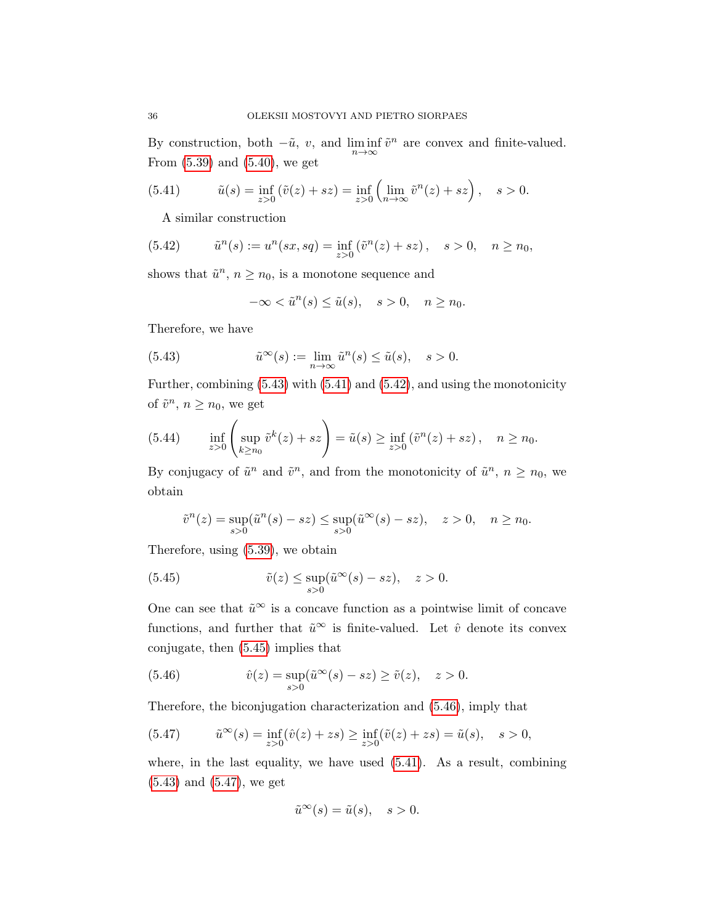By construction, both  $-\tilde{u}$ , v, and  $\liminf_{n\to\infty} \tilde{v}^n$  are convex and finite-valued. From [\(5.39\)](#page-34-2) and [\(5.40\)](#page-34-3), we get

(5.41) 
$$
\tilde{u}(s) = \inf_{z>0} (\tilde{v}(z) + sz) = \inf_{z>0} \left( \lim_{n \to \infty} \tilde{v}^n(z) + sz \right), \quad s > 0.
$$

<span id="page-35-2"></span><span id="page-35-1"></span>A similar construction

(5.42) 
$$
\tilde{u}^n(s) := u^n(sx, sq) = \inf_{z>0} (\tilde{v}^n(z) + sz), \quad s > 0, \quad n \ge n_0,
$$

shows that  $\tilde{u}^n$ ,  $n \geq n_0$ , is a monotone sequence and

<span id="page-35-0"></span>
$$
-\infty < \tilde{u}^n(s) \le \tilde{u}(s), \quad s > 0, \quad n \ge n_0.
$$

Therefore, we have

(5.43) 
$$
\tilde{u}^{\infty}(s) := \lim_{n \to \infty} \tilde{u}^{n}(s) \le \tilde{u}(s), \quad s > 0.
$$

Further, combining [\(5.43\)](#page-35-0) with [\(5.41\)](#page-35-1) and [\(5.42\)](#page-35-2), and using the monotonicity of  $\tilde{v}^n$ ,  $n \geq n_0$ , we get

(5.44) 
$$
\inf_{z>0} \left( \sup_{k\geq n_0} \tilde{v}^k(z) + sz \right) = \tilde{u}(s) \geq \inf_{z>0} \left( \tilde{v}^n(z) + sz \right), \quad n \geq n_0.
$$

By conjugacy of  $\tilde{u}^n$  and  $\tilde{v}^n$ , and from the monotonicity of  $\tilde{u}^n$ ,  $n \ge n_0$ , we obtain

<span id="page-35-3"></span>
$$
\tilde{v}^n(z) = \sup_{s>0} (\tilde{u}^n(s) - sz) \le \sup_{s>0} (\tilde{u}^\infty(s) - sz), \quad z > 0, \quad n \ge n_0.
$$

Therefore, using [\(5.39\)](#page-34-2), we obtain

(5.45) 
$$
\tilde{v}(z) \le \sup_{s>0} (\tilde{u}^{\infty}(s) - sz), \quad z > 0.
$$

One can see that  $\tilde{u}^{\infty}$  is a concave function as a pointwise limit of concave functions, and further that  $\tilde{u}^{\infty}$  is finite-valued. Let  $\hat{v}$  denote its convex conjugate, then [\(5.45\)](#page-35-3) implies that

<span id="page-35-4"></span>(5.46) 
$$
\hat{v}(z) = \sup_{s>0} (\tilde{u}^{\infty}(s) - sz) \ge \tilde{v}(z), \quad z > 0.
$$

Therefore, the biconjugation characterization and [\(5.46\)](#page-35-4), imply that

<span id="page-35-5"></span>(5.47) 
$$
\tilde{u}^{\infty}(s) = \inf_{z>0} (\hat{v}(z) + zs) \ge \inf_{z>0} (\tilde{v}(z) + zs) = \tilde{u}(s), \quad s > 0,
$$

where, in the last equality, we have used [\(5.41\)](#page-35-1). As a result, combining [\(5.43\)](#page-35-0) and [\(5.47\)](#page-35-5), we get

$$
\tilde{u}^{\infty}(s) = \tilde{u}(s), \quad s > 0.
$$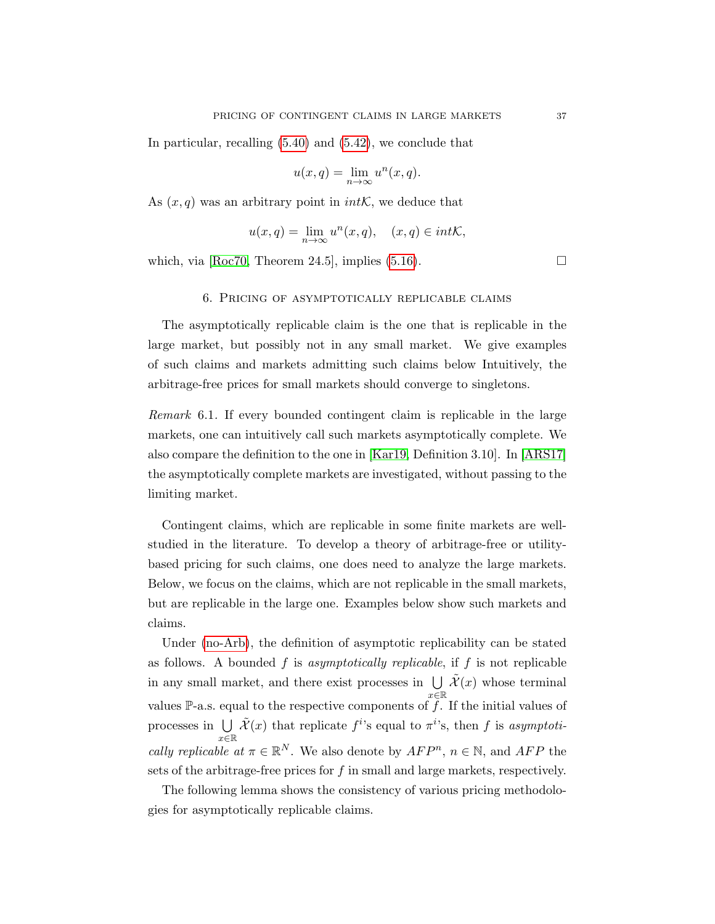In particular, recalling [\(5.40\)](#page-34-3) and [\(5.42\)](#page-35-2), we conclude that

$$
u(x,q) = \lim_{n \to \infty} u^n(x,q).
$$

As  $(x, q)$  was an arbitrary point in *intK*, we deduce that

$$
u(x,q) = \lim_{n \to \infty} u^n(x,q), \quad (x,q) \in int\mathcal{K},
$$

<span id="page-36-0"></span>which, via  $[Roc70, Theorem 24.5]$  $[Roc70, Theorem 24.5]$ , implies [\(5.16\)](#page-26-2).

#### 6. Pricing of asymptotically replicable claims

The asymptotically replicable claim is the one that is replicable in the large market, but possibly not in any small market. We give examples of such claims and markets admitting such claims below Intuitively, the arbitrage-free prices for small markets should converge to singletons.

Remark 6.1. If every bounded contingent claim is replicable in the large markets, one can intuitively call such markets asymptotically complete. We also compare the definition to the one in [\[Kar19,](#page-42-9) Definition 3.10]. In [\[ARS17\]](#page-41-5) the asymptotically complete markets are investigated, without passing to the limiting market.

Contingent claims, which are replicable in some finite markets are wellstudied in the literature. To develop a theory of arbitrage-free or utilitybased pricing for such claims, one does need to analyze the large markets. Below, we focus on the claims, which are not replicable in the small markets, but are replicable in the large one. Examples below show such markets and claims.

Under [\(no-Arb\)](#page-6-3), the definition of asymptotic replicability can be stated as follows. A bounded f is asymptotically replicable, if f is not replicable in any small market, and there exist processes in  $\bigcup \tilde{\mathcal{X}}(x)$  whose terminal values P-a.s. equal to the respective components of f. If the initial values of processes in  $\bigcup$  $x\bar{\in}\mathbb{R}$  $\tilde{\mathcal{X}}(x)$  that replicate  $f^{i}$ 's equal to  $\pi^{i}$ 's, then f is asymptotically replicable at  $\pi \in \mathbb{R}^N$ . We also denote by  $AFP^n$ ,  $n \in \mathbb{N}$ , and  $AFP$  the sets of the arbitrage-free prices for  $f$  in small and large markets, respectively.

The following lemma shows the consistency of various pricing methodologies for asymptotically replicable claims.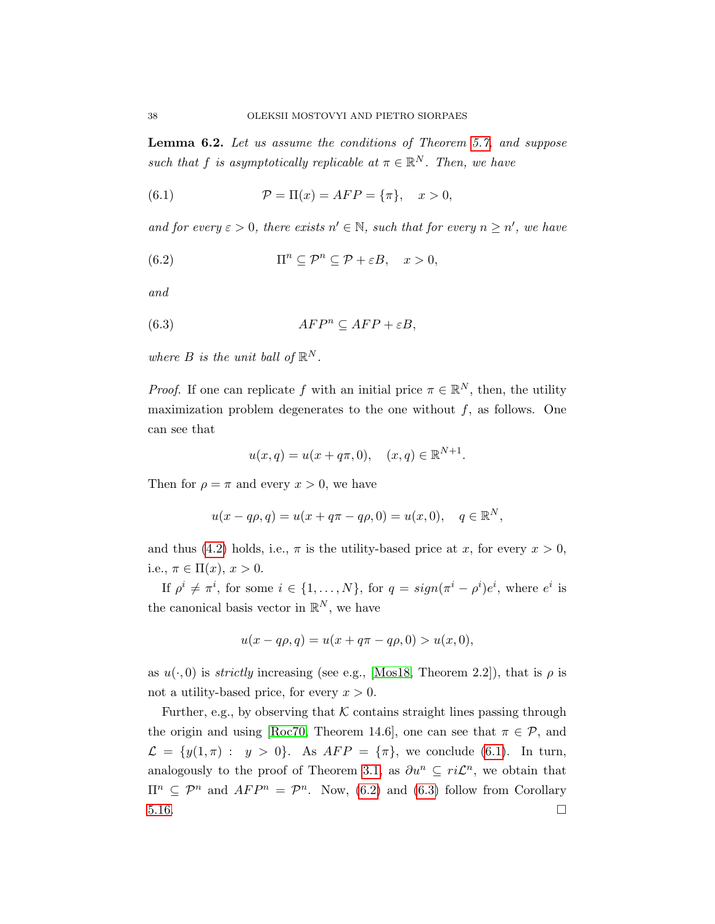<span id="page-37-3"></span>Lemma 6.2. Let us assume the conditions of Theorem [5.7,](#page-26-0) and suppose such that f is asymptotically replicable at  $\pi \in \mathbb{R}^N$ . Then, we have

<span id="page-37-0"></span>(6.1) 
$$
\mathcal{P} = \Pi(x) = AFP = {\pi}, \quad x > 0,
$$

and for every  $\varepsilon > 0$ , there exists  $n' \in \mathbb{N}$ , such that for every  $n \geq n'$ , we have

<span id="page-37-1"></span>(6.2) 
$$
\Pi^n \subseteq \mathcal{P}^n \subseteq \mathcal{P} + \varepsilon B, \quad x > 0,
$$

and

$$
(6.3) \t\t AFPn \subseteq AFP + \varepsilon B,
$$

where  $B$  is the unit ball of  $\mathbb{R}^N$ .

*Proof.* If one can replicate f with an initial price  $\pi \in \mathbb{R}^N$ , then, the utility maximization problem degenerates to the one without  $f$ , as follows. One can see that

<span id="page-37-2"></span>
$$
u(x, q) = u(x + q\pi, 0), \quad (x, q) \in \mathbb{R}^{N+1}.
$$

Then for  $\rho = \pi$  and every  $x > 0$ , we have

$$
u(x - q\rho, q) = u(x + q\pi - q\rho, 0) = u(x, 0), \quad q \in \mathbb{R}^N,
$$

and thus [\(4.2\)](#page-16-2) holds, i.e.,  $\pi$  is the utility-based price at x, for every  $x > 0$ , i.e.,  $\pi \in \Pi(x)$ ,  $x > 0$ .

If  $\rho^i \neq \pi^i$ , for some  $i \in \{1, ..., N\}$ , for  $q = sign(\pi^i - \rho^i)e^i$ , where  $e^i$  is the canonical basis vector in  $\mathbb{R}^N$ , we have

$$
u(x - q\rho, q) = u(x + q\pi - q\rho, 0) > u(x, 0),
$$

as  $u(\cdot, 0)$  is *strictly* increasing (see e.g., [\[Mos18,](#page-43-0) Theorem 2.2]), that is  $\rho$  is not a utility-based price, for every  $x > 0$ .

Further, e.g., by observing that  $K$  contains straight lines passing through the origin and using [\[Roc70,](#page-43-6) Theorem 14.6], one can see that  $\pi \in \mathcal{P}$ , and  $\mathcal{L} = \{y(1,\pi) : y > 0\}.$  As  $AFP = \{\pi\}$ , we conclude [\(6.1\)](#page-37-0). In turn, analogously to the proof of Theorem [3.1,](#page-9-2) as  $\partial u^n \subseteq ri\mathcal{L}^n$ , we obtain that  $\Pi^n \subseteq \mathcal{P}^n$  and  $AFP^n = \mathcal{P}^n$ . Now, [\(6.2\)](#page-37-1) and [\(6.3\)](#page-37-2) follow from Corollary  $5.16.$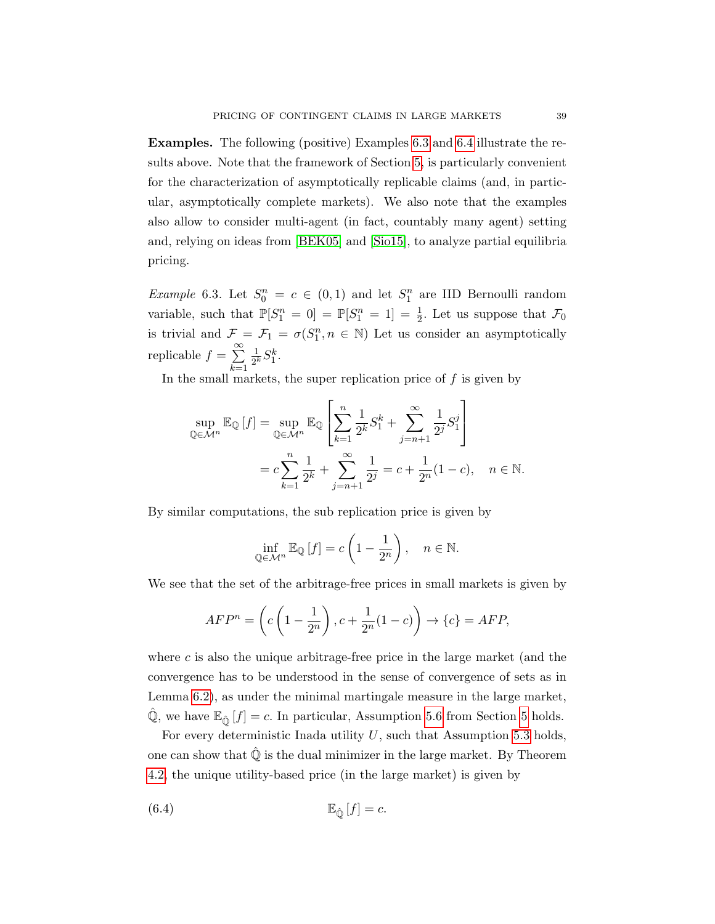Examples. The following (positive) Examples [6.3](#page-38-0) and [6.4](#page-39-0) illustrate the results above. Note that the framework of Section [5,](#page-20-0) is particularly convenient for the characterization of asymptotically replicable claims (and, in particular, asymptotically complete markets). We also note that the examples also allow to consider multi-agent (in fact, countably many agent) setting and, relying on ideas from [\[BEK05\]](#page-41-6) and [\[Sio15\]](#page-43-7), to analyze partial equilibria pricing.

<span id="page-38-0"></span>*Example* 6.3. Let  $S_0^n = c \in (0,1)$  and let  $S_1^n$  are IID Bernoulli random variable, such that  $\mathbb{P}[S_1^n = 0] = \mathbb{P}[S_1^n = 1] = \frac{1}{2}$ . Let us suppose that  $\mathcal{F}_0$ is trivial and  $\mathcal{F} = \mathcal{F}_1 = \sigma(S_1^n, n \in \mathbb{N})$  Let us consider an asymptotically replicable  $f = \sum_{n=1}^{\infty}$ 1  $\frac{1}{2^k}S_1^k$ .

 $k=1$ In the small markets, the super replication price of  $f$  is given by

<span id="page-38-1"></span>
$$
\sup_{\mathbb{Q}\in\mathcal{M}^n} \mathbb{E}_{\mathbb{Q}}[f] = \sup_{\mathbb{Q}\in\mathcal{M}^n} \mathbb{E}_{\mathbb{Q}}\left[\sum_{k=1}^n \frac{1}{2^k} S_1^k + \sum_{j=n+1}^\infty \frac{1}{2^j} S_1^j\right]
$$
  
=  $c \sum_{k=1}^n \frac{1}{2^k} + \sum_{j=n+1}^\infty \frac{1}{2^j} = c + \frac{1}{2^n} (1 - c), \quad n \in \mathbb{N}.$ 

By similar computations, the sub replication price is given by

$$
\inf_{\mathbb{Q}\in\mathcal{M}^n}\mathbb{E}_{\mathbb{Q}}\left[f\right]=c\left(1-\frac{1}{2^n}\right),\quad n\in\mathbb{N}.
$$

We see that the set of the arbitrage-free prices in small markets is given by

$$
AFP^{n} = \left(c\left(1 - \frac{1}{2^{n}}\right), c + \frac{1}{2^{n}}(1 - c)\right) \rightarrow \{c\} = AFP,
$$

where  $c$  is also the unique arbitrage-free price in the large market (and the convergence has to be understood in the sense of convergence of sets as in Lemma [6.2\)](#page-37-3), as under the minimal martingale measure in the large market,  $\mathbb{Q}$ , we have  $\mathbb{E}_{\hat{\mathbb{Q}}}[f] = c$ . In particular, Assumption [5.6](#page-26-1) from Section [5](#page-20-0) holds.

For every deterministic Inada utility  $U$ , such that Assumption [5.3](#page-24-2) holds, one can show that  $\mathbb Q$  is the dual minimizer in the large market. By Theorem [4.2,](#page-17-0) the unique utility-based price (in the large market) is given by

$$
(6.4) \t\t\t\t\mathbb{E}_{\hat{\mathbb{O}}}\left[f\right] = c.
$$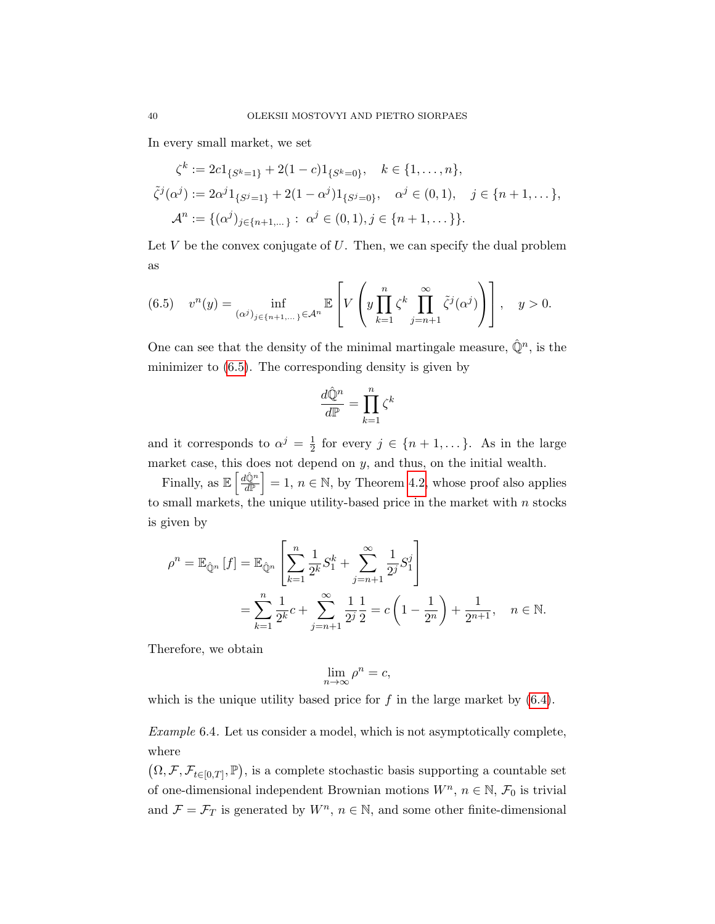In every small market, we set

<span id="page-39-1"></span>
$$
\zeta^k := 2c \mathbf{1}_{\{S^k = 1\}} + 2(1 - c) \mathbf{1}_{\{S^k = 0\}}, \quad k \in \{1, ..., n\},
$$
  

$$
\tilde{\zeta}^j(\alpha^j) := 2\alpha^j \mathbf{1}_{\{S^j = 1\}} + 2(1 - \alpha^j) \mathbf{1}_{\{S^j = 0\}}, \quad \alpha^j \in (0, 1), \quad j \in \{n + 1, ... \},
$$
  

$$
\mathcal{A}^n := \{(\alpha^j)_{j \in \{n + 1, ...\}} : \alpha^j \in (0, 1), j \in \{n + 1, ...\}\}.
$$

Let  $V$  be the convex conjugate of  $U$ . Then, we can specify the dual problem as

(6.5) 
$$
v^{n}(y) = \inf_{(\alpha^{j})_{j \in \{n+1,\dots\}} \in \mathcal{A}^{n}} \mathbb{E}\left[V\left(y\prod_{k=1}^{n} \zeta^{k} \prod_{j=n+1}^{\infty} \tilde{\zeta}^{j}(\alpha^{j})\right)\right], \quad y > 0.
$$

One can see that the density of the minimal martingale measure,  $\hat{\mathbb{Q}}^n$ , is the minimizer to [\(6.5\)](#page-39-1). The corresponding density is given by

$$
\frac{d\hat{\mathbb{Q}}^n}{d\mathbb{P}} = \prod_{k=1}^n \zeta^k
$$

and it corresponds to  $\alpha^j = \frac{1}{2}$  $\frac{1}{2}$  for every  $j \in \{n+1,\dots\}$ . As in the large market case, this does not depend on  $y$ , and thus, on the initial wealth.

Finally, as  $\mathbb{E}\left[\frac{d\hat{\mathbb{Q}}^n}{d\mathbb{P}}\right]$  $\frac{\hat{\mu}^n_{\mathbb{Q}^n}}{\hat{\mu}^n}$  = 1,  $n \in \mathbb{N}$ , by Theorem [4.2,](#page-17-0) whose proof also applies to small markets, the unique utility-based price in the market with  $n$  stocks is given by

$$
\rho^{n} = \mathbb{E}_{\hat{\mathbb{Q}}^{n}}[f] = \mathbb{E}_{\hat{\mathbb{Q}}^{n}}\left[\sum_{k=1}^{n} \frac{1}{2^{k}} S_{1}^{k} + \sum_{j=n+1}^{\infty} \frac{1}{2^{j}} S_{1}^{j}\right]
$$
  
= 
$$
\sum_{k=1}^{n} \frac{1}{2^{k}} c + \sum_{j=n+1}^{\infty} \frac{1}{2^{j}} \frac{1}{2} = c \left(1 - \frac{1}{2^{n}}\right) + \frac{1}{2^{n+1}}, \quad n \in \mathbb{N}.
$$

Therefore, we obtain

$$
\lim_{n \to \infty} \rho^n = c,
$$

which is the unique utility based price for  $f$  in the large market by  $(6.4)$ .

<span id="page-39-0"></span>Example 6.4. Let us consider a model, which is not asymptotically complete, where

 $(\Omega, \mathcal{F}, \mathcal{F}_{t\in[0,T]}, \mathbb{P}),$  is a complete stochastic basis supporting a countable set of one-dimensional independent Brownian motions  $W^n$ ,  $n \in \mathbb{N}$ ,  $\mathcal{F}_0$  is trivial and  $\mathcal{F} = \mathcal{F}_T$  is generated by  $W^n$ ,  $n \in \mathbb{N}$ , and some other finite-dimensional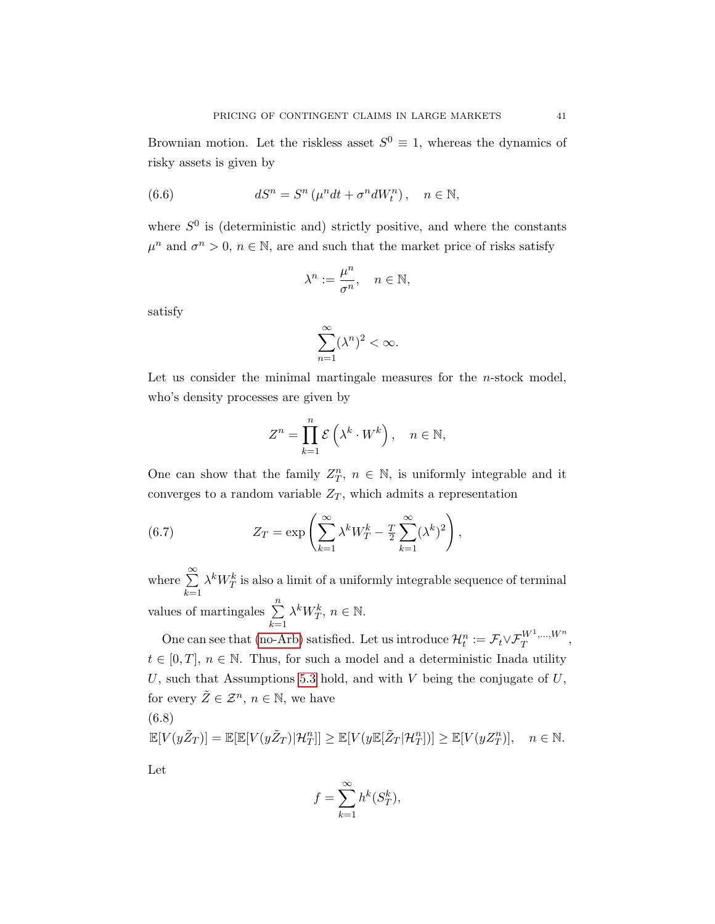Brownian motion. Let the riskless asset  $S^0 \equiv 1$ , whereas the dynamics of risky assets is given by

(6.6) 
$$
dS^n = S^n \left( \mu^n dt + \sigma^n dW_t^n \right), \quad n \in \mathbb{N},
$$

where  $S^0$  is (deterministic and) strictly positive, and where the constants  $\mu^n$  and  $\sigma^n > 0$ ,  $n \in \mathbb{N}$ , are and such that the market price of risks satisfy

$$
\lambda^n:=\frac{\mu^n}{\sigma^n},\quad n\in\mathbb{N},
$$

satisfy

$$
\sum_{n=1}^{\infty} (\lambda^n)^2 < \infty.
$$

Let us consider the minimal martingale measures for the  $n$ -stock model, who's density processes are given by

$$
Z^n = \prod_{k=1}^n \mathcal{E}\left(\lambda^k \cdot W^k\right), \quad n \in \mathbb{N},
$$

One can show that the family  $Z_T^n$ ,  $n \in \mathbb{N}$ , is uniformly integrable and it converges to a random variable  $Z_T$ , which admits a representation

(6.7) 
$$
Z_T = \exp\left(\sum_{k=1}^{\infty} \lambda^k W_T^k - \frac{T}{2} \sum_{k=1}^{\infty} (\lambda^k)^2\right),
$$

where  $\sum_{n=1}^{\infty}$  $_{k=1}$  $\lambda^k W^k_T$  is also a limit of a uniformly integrable sequence of terminal values of martingales  $\sum_{n=1}^{\infty}$  $_{k=1}$  $\lambda^k W_T^k$ ,  $n \in \mathbb{N}$ .

One can see that [\(no-Arb\)](#page-6-3) satisfied. Let us introduce  $\mathcal{H}_t^n := \mathcal{F}_t \vee \mathcal{F}_T^{W^1,\dots,W^n}$  $T^{W^{-1},...,W^{n}},$  $t \in [0, T], n \in \mathbb{N}$ . Thus, for such a model and a deterministic Inada utility U, such that Assumptions [5.3](#page-24-2) hold, and with  $V$  being the conjugate of  $U$ , for every  $\tilde{Z} \in \mathcal{Z}^n$ ,  $n \in \mathbb{N}$ , we have (6.8)

<span id="page-40-0"></span>
$$
\mathbb{E}[V(y\tilde{Z}_T)] = \mathbb{E}[\mathbb{E}[V(y\tilde{Z}_T)|\mathcal{H}_T^n]] \ge \mathbb{E}[V(y\mathbb{E}[\tilde{Z}_T|\mathcal{H}_T^n])] \ge \mathbb{E}[V(yZ_T^n)], \quad n \in \mathbb{N}.
$$

Let

$$
f = \sum_{k=1}^{\infty} h^k(S_T^k),
$$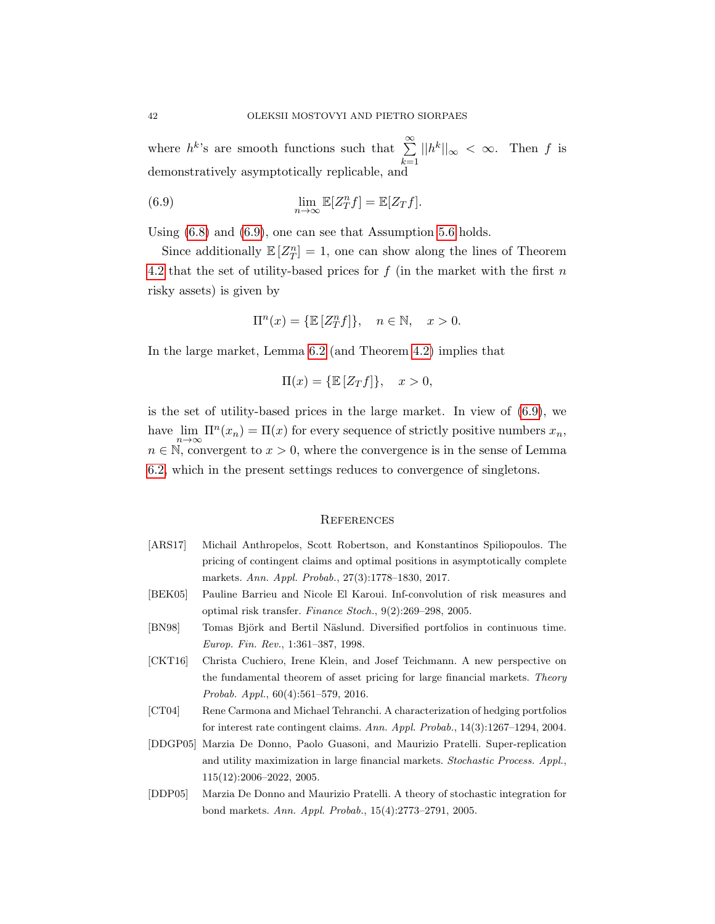where  $h^k$ 's are smooth functions such that  $\sum_{n=1}^{\infty}$  $_{k=1}$  $||h^k||_{\infty} < \infty$ . Then f is demonstratively asymptotically replicable, and

(6.9) 
$$
\lim_{n \to \infty} \mathbb{E}[Z_T^n f] = \mathbb{E}[Z_T f].
$$

Using [\(6.8\)](#page-40-0) and [\(6.9\)](#page-41-7), one can see that Assumption [5.6](#page-26-1) holds.

Since additionally  $\mathbb{E}[Z_T^n] = 1$ , one can show along the lines of Theorem [4.2](#page-17-0) that the set of utility-based prices for  $f$  (in the market with the first  $n$ risky assets) is given by

<span id="page-41-7"></span>
$$
\Pi^{n}(x) = \{ \mathbb{E}\left[Z_{T}^{n}f\right] \}, \quad n \in \mathbb{N}, \quad x > 0.
$$

In the large market, Lemma [6.2](#page-37-3) (and Theorem [4.2\)](#page-17-0) implies that

$$
\Pi(x) = \{ \mathbb{E} [Z_T f] \}, \quad x > 0,
$$

is the set of utility-based prices in the large market. In view of [\(6.9\)](#page-41-7), we have  $\lim_{n \to \infty} \Pi^n(x_n) = \Pi(x)$  for every sequence of strictly positive numbers  $x_n$ ,  $n \in \mathbb{N}$ , convergent to  $x > 0$ , where the convergence is in the sense of Lemma [6.2,](#page-37-3) which in the present settings reduces to convergence of singletons.

#### **REFERENCES**

- <span id="page-41-5"></span>[ARS17] Michail Anthropelos, Scott Robertson, and Konstantinos Spiliopoulos. The pricing of contingent claims and optimal positions in asymptotically complete markets. Ann. Appl. Probab., 27(3):1778–1830, 2017.
- <span id="page-41-6"></span>[BEK05] Pauline Barrieu and Nicole El Karoui. Inf-convolution of risk measures and optimal risk transfer. Finance Stoch., 9(2):269–298, 2005.
- <span id="page-41-0"></span>[BN98] Tomas Björk and Bertil Näslund. Diversified portfolios in continuous time. Europ. Fin. Rev., 1:361–387, 1998.
- <span id="page-41-4"></span>[CKT16] Christa Cuchiero, Irene Klein, and Josef Teichmann. A new perspective on the fundamental theorem of asset pricing for large financial markets. Theory Probab. Appl., 60(4):561–579, 2016.
- <span id="page-41-2"></span>[CT04] Rene Carmona and Michael Tehranchi. A characterization of hedging portfolios for interest rate contingent claims. Ann. Appl. Probab., 14(3):1267–1294, 2004.
- <span id="page-41-1"></span>[DDGP05] Marzia De Donno, Paolo Guasoni, and Maurizio Pratelli. Super-replication and utility maximization in large financial markets. Stochastic Process. Appl., 115(12):2006–2022, 2005.
- <span id="page-41-3"></span>[DDP05] Marzia De Donno and Maurizio Pratelli. A theory of stochastic integration for bond markets. Ann. Appl. Probab., 15(4):2773–2791, 2005.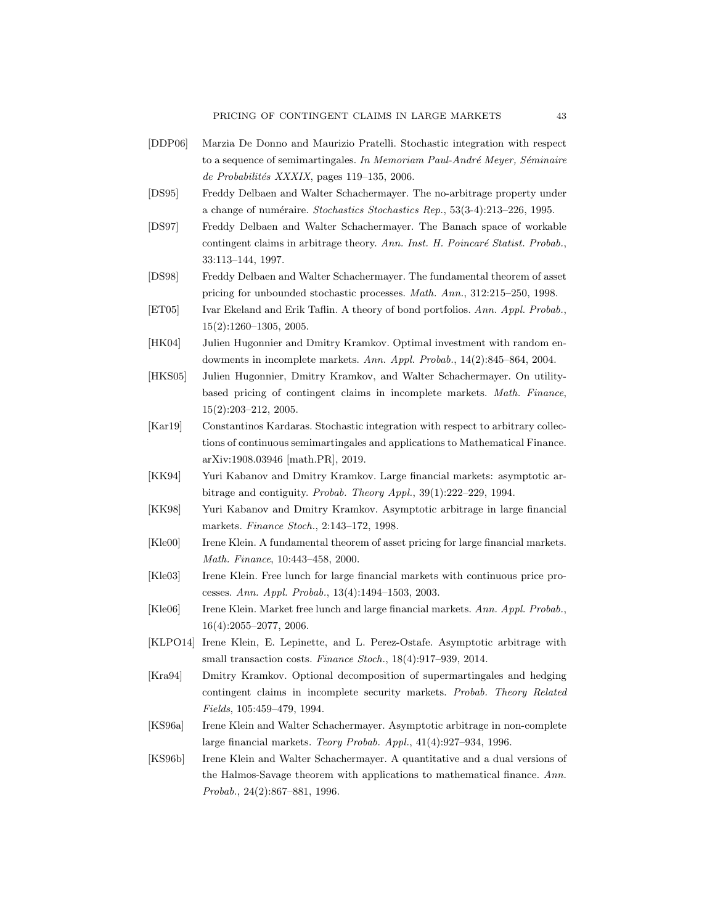PRICING OF CONTINGENT CLAIMS IN LARGE MARKETS 43

- <span id="page-42-11"></span>[DDP06] Marzia De Donno and Maurizio Pratelli. Stochastic integration with respect to a sequence of semimartingales. In Memoriam Paul-André Meyer, Séminaire  $de Probabilités XXXIX$ , pages 119–135, 2006.
- <span id="page-42-13"></span>[DS95] Freddy Delbaen and Walter Schachermayer. The no-arbitrage property under a change of numéraire. Stochastics Stochastics Rep., 53(3-4):213-226, 1995.
- <span id="page-42-12"></span>[DS97] Freddy Delbaen and Walter Schachermayer. The Banach space of workable contingent claims in arbitrage theory. Ann. Inst. H. Poincaré Statist. Probab., 33:113–144, 1997.
- <span id="page-42-15"></span>[DS98] Freddy Delbaen and Walter Schachermayer. The fundamental theorem of asset pricing for unbounded stochastic processes. Math. Ann., 312:215–250, 1998.
- <span id="page-42-0"></span>[ET05] Ivar Ekeland and Erik Taflin. A theory of bond portfolios. Ann. Appl. Probab., 15(2):1260–1305, 2005.
- <span id="page-42-10"></span>[HK04] Julien Hugonnier and Dmitry Kramkov. Optimal investment with random endowments in incomplete markets. Ann. Appl. Probab., 14(2):845–864, 2004.
- <span id="page-42-16"></span>[HKS05] Julien Hugonnier, Dmitry Kramkov, and Walter Schachermayer. On utilitybased pricing of contingent claims in incomplete markets. Math. Finance, 15(2):203–212, 2005.
- <span id="page-42-9"></span>[Kar19] Constantinos Kardaras. Stochastic integration with respect to arbitrary collections of continuous semimartingales and applications to Mathematical Finance. arXiv:1908.03946 [math.PR], 2019.
- <span id="page-42-1"></span>[KK94] Yuri Kabanov and Dmitry Kramkov. Large financial markets: asymptotic arbitrage and contiguity. Probab. Theory Appl., 39(1):222–229, 1994.
- <span id="page-42-2"></span>[KK98] Yuri Kabanov and Dmitry Kramkov. Asymptotic arbitrage in large financial markets. Finance Stoch., 2:143–172, 1998.
- <span id="page-42-5"></span>[Kle00] Irene Klein. A fundamental theorem of asset pricing for large financial markets. Math. Finance, 10:443–458, 2000.
- <span id="page-42-6"></span>[Kle03] Irene Klein. Free lunch for large financial markets with continuous price processes. Ann. Appl. Probab., 13(4):1494–1503, 2003.
- <span id="page-42-7"></span>[Kle06] Irene Klein. Market free lunch and large financial markets. Ann. Appl. Probab., 16(4):2055–2077, 2006.
- <span id="page-42-8"></span>[KLPO14] Irene Klein, E. Lepinette, and L. Perez-Ostafe. Asymptotic arbitrage with small transaction costs. Finance Stoch., 18(4):917–939, 2014.
- <span id="page-42-14"></span>[Kra94] Dmitry Kramkov. Optional decomposition of supermartingales and hedging contingent claims in incomplete security markets. Probab. Theory Related Fields, 105:459–479, 1994.
- <span id="page-42-4"></span>[KS96a] Irene Klein and Walter Schachermayer. Asymptotic arbitrage in non-complete large financial markets. Teory Probab. Appl., 41(4):927–934, 1996.
- <span id="page-42-3"></span>[KS96b] Irene Klein and Walter Schachermayer. A quantitative and a dual versions of the Halmos-Savage theorem with applications to mathematical finance. Ann. Probab., 24(2):867–881, 1996.